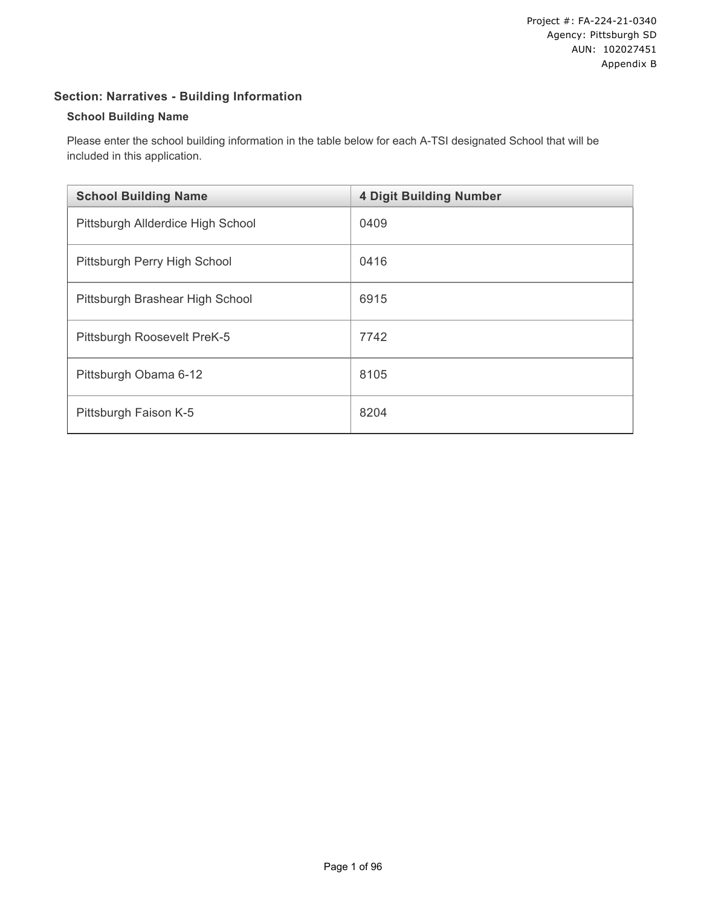# **Section: Narratives - Building Information**

#### **School Building Name**

Please enter the school building information in the table below for each A-TSI designated School that will be included in this application.

| <b>School Building Name</b>       | <b>4 Digit Building Number</b> |
|-----------------------------------|--------------------------------|
| Pittsburgh Allderdice High School | 0409                           |
| Pittsburgh Perry High School      | 0416                           |
| Pittsburgh Brashear High School   | 6915                           |
| Pittsburgh Roosevelt PreK-5       | 7742                           |
| Pittsburgh Obama 6-12             | 8105                           |
| Pittsburgh Faison K-5             | 8204                           |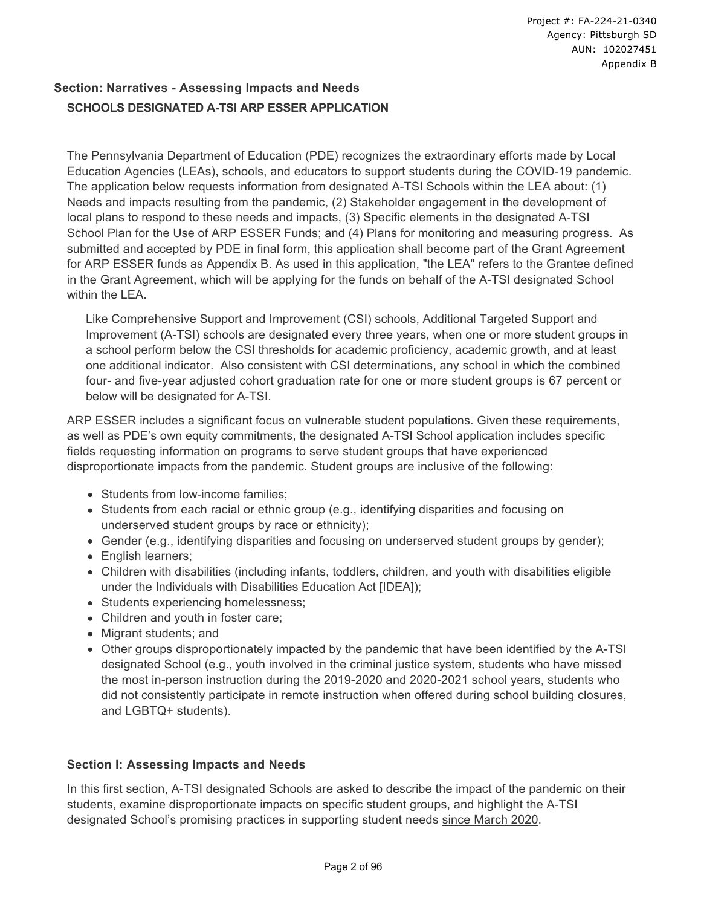# **Section: Narratives - Assessing Impacts and Needs SCHOOLS DESIGNATED A-TSI ARP ESSER APPLICATION**

The Pennsylvania Department of Education (PDE) recognizes the extraordinary efforts made by Local Education Agencies (LEAs), schools, and educators to support students during the COVID-19 pandemic. The application below requests information from designated A-TSI Schools within the LEA about: (1) Needs and impacts resulting from the pandemic, (2) Stakeholder engagement in the development of local plans to respond to these needs and impacts, (3) Specific elements in the designated A-TSI School Plan for the Use of ARP ESSER Funds; and (4) Plans for monitoring and measuring progress. As submitted and accepted by PDE in final form, this application shall become part of the Grant Agreement for ARP ESSER funds as Appendix B. As used in this application, "the LEA" refers to the Grantee defined in the Grant Agreement, which will be applying for the funds on behalf of the A-TSI designated School within the LEA.

Like Comprehensive Support and Improvement (CSI) schools, Additional Targeted Support and Improvement (A-TSI) schools are designated every three years, when one or more student groups in a school perform below the CSI thresholds for academic proficiency, academic growth, and at least one additional indicator. Also consistent with CSI determinations, any school in which the combined four- and five-year adjusted cohort graduation rate for one or more student groups is 67 percent or below will be designated for A-TSI.

ARP ESSER includes a significant focus on vulnerable student populations. Given these requirements, as well as PDE's own equity commitments, the designated A-TSI School application includes specific fields requesting information on programs to serve student groups that have experienced disproportionate impacts from the pandemic. Student groups are inclusive of the following:

- Students from low-income families:
- Students from each racial or ethnic group (e.g., identifying disparities and focusing on underserved student groups by race or ethnicity);
- Gender (e.g., identifying disparities and focusing on underserved student groups by gender);
- English learners;
- Children with disabilities (including infants, toddlers, children, and youth with disabilities eligible under the Individuals with Disabilities Education Act [IDEA]);
- Students experiencing homelessness;
- Children and youth in foster care;
- Migrant students; and
- Other groups disproportionately impacted by the pandemic that have been identified by the A-TSI designated School (e.g., youth involved in the criminal justice system, students who have missed the most in-person instruction during the 2019-2020 and 2020-2021 school years, students who did not consistently participate in remote instruction when offered during school building closures, and LGBTQ+ students).

### **Section I: Assessing Impacts and Needs**

In this first section, A-TSI designated Schools are asked to describe the impact of the pandemic on their students, examine disproportionate impacts on specific student groups, and highlight the A-TSI designated School's promising practices in supporting student needs since March 2020.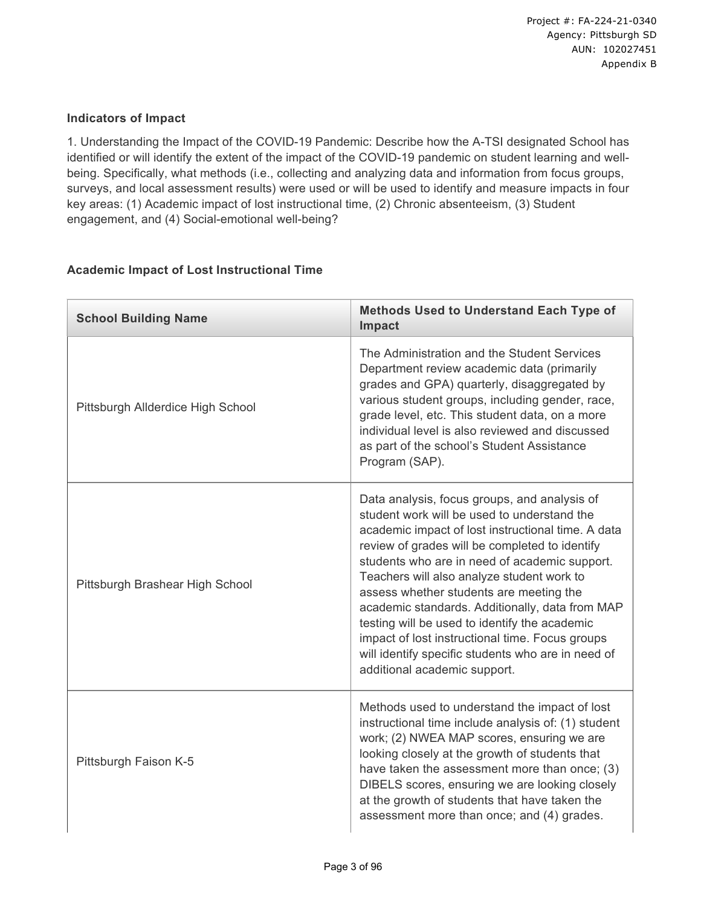#### **Indicators of Impact**

1. Understanding the Impact of the COVID-19 Pandemic: Describe how the A-TSI designated School has identified or will identify the extent of the impact of the COVID-19 pandemic on student learning and wellbeing. Specifically, what methods (i.e., collecting and analyzing data and information from focus groups, surveys, and local assessment results) were used or will be used to identify and measure impacts in four key areas: (1) Academic impact of lost instructional time, (2) Chronic absenteeism, (3) Student engagement, and (4) Social-emotional well-being?

| <b>School Building Name</b>       | <b>Methods Used to Understand Each Type of</b><br>Impact                                                                                                                                                                                                                                                                                                                                                                                                                                                                                                                                   |
|-----------------------------------|--------------------------------------------------------------------------------------------------------------------------------------------------------------------------------------------------------------------------------------------------------------------------------------------------------------------------------------------------------------------------------------------------------------------------------------------------------------------------------------------------------------------------------------------------------------------------------------------|
| Pittsburgh Allderdice High School | The Administration and the Student Services<br>Department review academic data (primarily<br>grades and GPA) quarterly, disaggregated by<br>various student groups, including gender, race,<br>grade level, etc. This student data, on a more<br>individual level is also reviewed and discussed<br>as part of the school's Student Assistance<br>Program (SAP).                                                                                                                                                                                                                           |
| Pittsburgh Brashear High School   | Data analysis, focus groups, and analysis of<br>student work will be used to understand the<br>academic impact of lost instructional time. A data<br>review of grades will be completed to identify<br>students who are in need of academic support.<br>Teachers will also analyze student work to<br>assess whether students are meeting the<br>academic standards. Additionally, data from MAP<br>testing will be used to identify the academic<br>impact of lost instructional time. Focus groups<br>will identify specific students who are in need of<br>additional academic support. |
| Pittsburgh Faison K-5             | Methods used to understand the impact of lost<br>instructional time include analysis of: (1) student<br>work; (2) NWEA MAP scores, ensuring we are<br>looking closely at the growth of students that<br>have taken the assessment more than once; (3)<br>DIBELS scores, ensuring we are looking closely<br>at the growth of students that have taken the<br>assessment more than once; and (4) grades.                                                                                                                                                                                     |

#### **Academic Impact of Lost Instructional Time**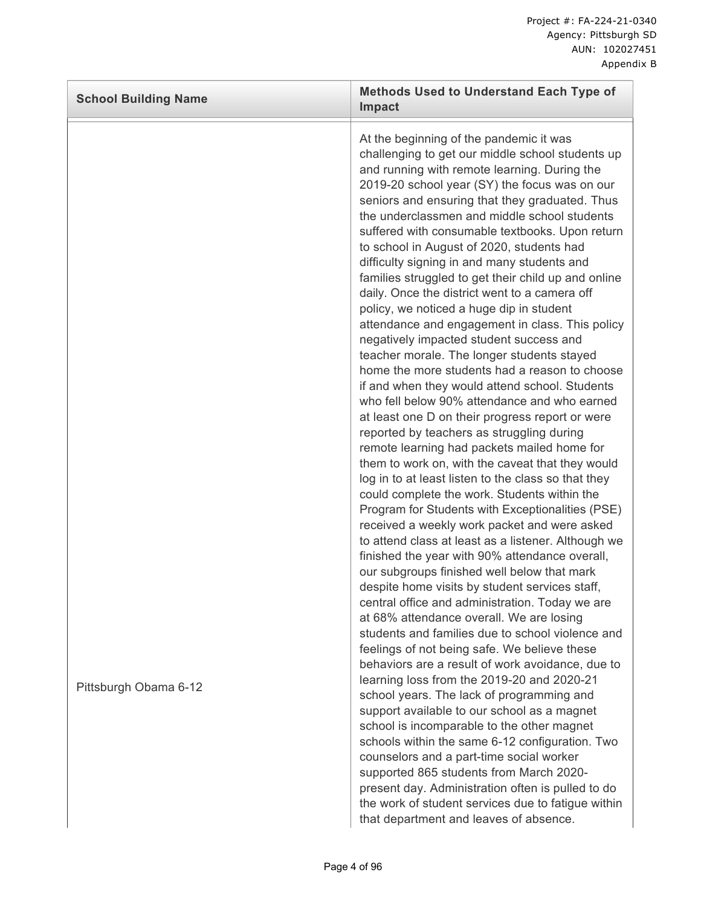| <b>School Building Name</b> | <b>Methods Used to Understand Each Type of</b><br>Impact                                                                                                                                                                                                                                                                                                                                                                                                                                                                                                                                                                                                                                                                                                                                                                                                                                                                                                                                                                                                                                                                                                                                                                                                                                                                                                                                                                                                                                                                                                                                                                                                                                                                                                                                                                                                                                                                                                                                                                   |
|-----------------------------|----------------------------------------------------------------------------------------------------------------------------------------------------------------------------------------------------------------------------------------------------------------------------------------------------------------------------------------------------------------------------------------------------------------------------------------------------------------------------------------------------------------------------------------------------------------------------------------------------------------------------------------------------------------------------------------------------------------------------------------------------------------------------------------------------------------------------------------------------------------------------------------------------------------------------------------------------------------------------------------------------------------------------------------------------------------------------------------------------------------------------------------------------------------------------------------------------------------------------------------------------------------------------------------------------------------------------------------------------------------------------------------------------------------------------------------------------------------------------------------------------------------------------------------------------------------------------------------------------------------------------------------------------------------------------------------------------------------------------------------------------------------------------------------------------------------------------------------------------------------------------------------------------------------------------------------------------------------------------------------------------------------------------|
| Pittsburgh Obama 6-12       | At the beginning of the pandemic it was<br>challenging to get our middle school students up<br>and running with remote learning. During the<br>2019-20 school year (SY) the focus was on our<br>seniors and ensuring that they graduated. Thus<br>the underclassmen and middle school students<br>suffered with consumable textbooks. Upon return<br>to school in August of 2020, students had<br>difficulty signing in and many students and<br>families struggled to get their child up and online<br>daily. Once the district went to a camera off<br>policy, we noticed a huge dip in student<br>attendance and engagement in class. This policy<br>negatively impacted student success and<br>teacher morale. The longer students stayed<br>home the more students had a reason to choose<br>if and when they would attend school. Students<br>who fell below 90% attendance and who earned<br>at least one D on their progress report or were<br>reported by teachers as struggling during<br>remote learning had packets mailed home for<br>them to work on, with the caveat that they would<br>log in to at least listen to the class so that they<br>could complete the work. Students within the<br>Program for Students with Exceptionalities (PSE)<br>received a weekly work packet and were asked<br>to attend class at least as a listener. Although we<br>finished the year with 90% attendance overall,<br>our subgroups finished well below that mark<br>despite home visits by student services staff,<br>central office and administration. Today we are<br>at 68% attendance overall. We are losing<br>students and families due to school violence and<br>feelings of not being safe. We believe these<br>behaviors are a result of work avoidance, due to<br>learning loss from the 2019-20 and 2020-21<br>school years. The lack of programming and<br>support available to our school as a magnet<br>school is incomparable to the other magnet<br>schools within the same 6-12 configuration. Two |
|                             | counselors and a part-time social worker<br>supported 865 students from March 2020-<br>present day. Administration often is pulled to do<br>the work of student services due to fatigue within<br>that department and leaves of absence.                                                                                                                                                                                                                                                                                                                                                                                                                                                                                                                                                                                                                                                                                                                                                                                                                                                                                                                                                                                                                                                                                                                                                                                                                                                                                                                                                                                                                                                                                                                                                                                                                                                                                                                                                                                   |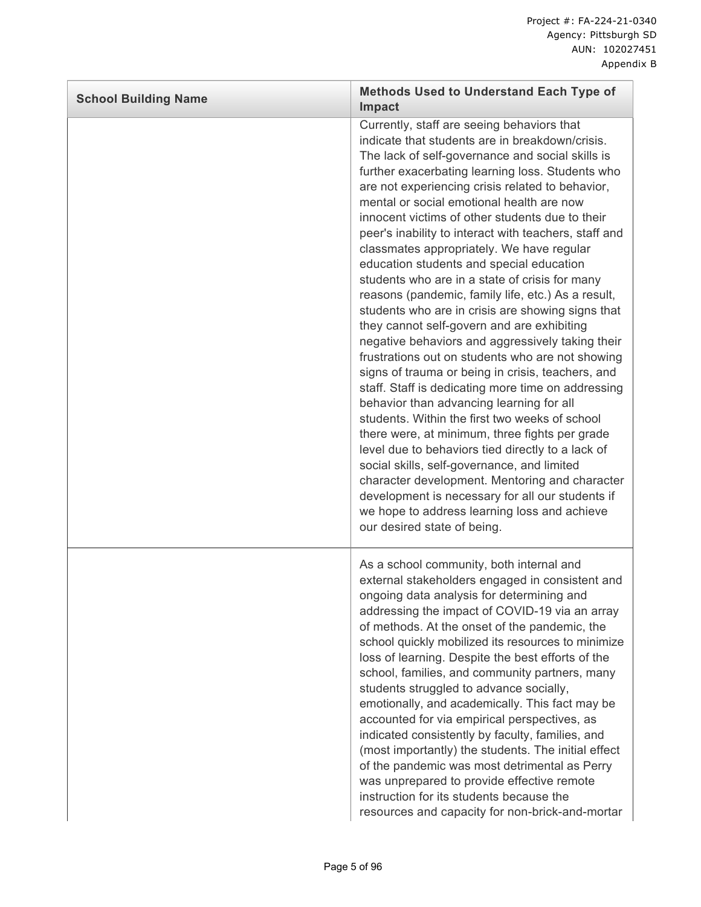| <b>School Building Name</b> | <b>Methods Used to Understand Each Type of</b><br><b>Impact</b>                                                                                                                                                                                                                                                                                                                                                                                                                                                                                                                                                                                                                                                                                                                                                                                                                                                                                                                                                                                                                                                                                                                                                                                                                                                                                                                    |
|-----------------------------|------------------------------------------------------------------------------------------------------------------------------------------------------------------------------------------------------------------------------------------------------------------------------------------------------------------------------------------------------------------------------------------------------------------------------------------------------------------------------------------------------------------------------------------------------------------------------------------------------------------------------------------------------------------------------------------------------------------------------------------------------------------------------------------------------------------------------------------------------------------------------------------------------------------------------------------------------------------------------------------------------------------------------------------------------------------------------------------------------------------------------------------------------------------------------------------------------------------------------------------------------------------------------------------------------------------------------------------------------------------------------------|
|                             | Currently, staff are seeing behaviors that<br>indicate that students are in breakdown/crisis.<br>The lack of self-governance and social skills is<br>further exacerbating learning loss. Students who<br>are not experiencing crisis related to behavior,<br>mental or social emotional health are now<br>innocent victims of other students due to their<br>peer's inability to interact with teachers, staff and<br>classmates appropriately. We have regular<br>education students and special education<br>students who are in a state of crisis for many<br>reasons (pandemic, family life, etc.) As a result,<br>students who are in crisis are showing signs that<br>they cannot self-govern and are exhibiting<br>negative behaviors and aggressively taking their<br>frustrations out on students who are not showing<br>signs of trauma or being in crisis, teachers, and<br>staff. Staff is dedicating more time on addressing<br>behavior than advancing learning for all<br>students. Within the first two weeks of school<br>there were, at minimum, three fights per grade<br>level due to behaviors tied directly to a lack of<br>social skills, self-governance, and limited<br>character development. Mentoring and character<br>development is necessary for all our students if<br>we hope to address learning loss and achieve<br>our desired state of being. |
|                             | As a school community, both internal and<br>external stakeholders engaged in consistent and<br>ongoing data analysis for determining and<br>addressing the impact of COVID-19 via an array<br>of methods. At the onset of the pandemic, the<br>school quickly mobilized its resources to minimize<br>loss of learning. Despite the best efforts of the<br>school, families, and community partners, many<br>students struggled to advance socially,<br>emotionally, and academically. This fact may be<br>accounted for via empirical perspectives, as<br>indicated consistently by faculty, families, and<br>(most importantly) the students. The initial effect<br>of the pandemic was most detrimental as Perry<br>was unprepared to provide effective remote<br>instruction for its students because the<br>resources and capacity for non-brick-and-mortar                                                                                                                                                                                                                                                                                                                                                                                                                                                                                                                    |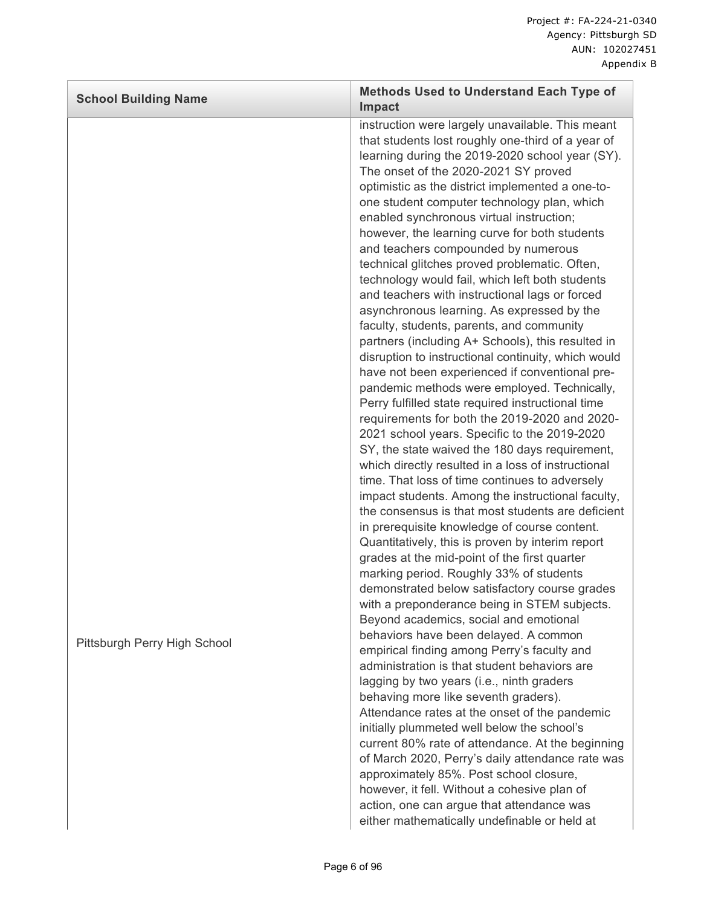| <b>School Building Name</b>  | <b>Methods Used to Understand Each Type of</b><br><b>Impact</b>                                                                                                                                                                                                                                                                                                                                                                                                                                                                                                                                                                                                                                                                                                                                                                                                                                                                                                                                                                                                                                                                                                                                                                                                                                                                                                                                                                                                                                                                                                                                                                                                                                                                                                    |
|------------------------------|--------------------------------------------------------------------------------------------------------------------------------------------------------------------------------------------------------------------------------------------------------------------------------------------------------------------------------------------------------------------------------------------------------------------------------------------------------------------------------------------------------------------------------------------------------------------------------------------------------------------------------------------------------------------------------------------------------------------------------------------------------------------------------------------------------------------------------------------------------------------------------------------------------------------------------------------------------------------------------------------------------------------------------------------------------------------------------------------------------------------------------------------------------------------------------------------------------------------------------------------------------------------------------------------------------------------------------------------------------------------------------------------------------------------------------------------------------------------------------------------------------------------------------------------------------------------------------------------------------------------------------------------------------------------------------------------------------------------------------------------------------------------|
| Pittsburgh Perry High School | instruction were largely unavailable. This meant<br>that students lost roughly one-third of a year of<br>learning during the 2019-2020 school year (SY).<br>The onset of the 2020-2021 SY proved<br>optimistic as the district implemented a one-to-<br>one student computer technology plan, which<br>enabled synchronous virtual instruction;<br>however, the learning curve for both students<br>and teachers compounded by numerous<br>technical glitches proved problematic. Often,<br>technology would fail, which left both students<br>and teachers with instructional lags or forced<br>asynchronous learning. As expressed by the<br>faculty, students, parents, and community<br>partners (including A+ Schools), this resulted in<br>disruption to instructional continuity, which would<br>have not been experienced if conventional pre-<br>pandemic methods were employed. Technically,<br>Perry fulfilled state required instructional time<br>requirements for both the 2019-2020 and 2020-<br>2021 school years. Specific to the 2019-2020<br>SY, the state waived the 180 days requirement,<br>which directly resulted in a loss of instructional<br>time. That loss of time continues to adversely<br>impact students. Among the instructional faculty,<br>the consensus is that most students are deficient<br>in prerequisite knowledge of course content.<br>Quantitatively, this is proven by interim report<br>grades at the mid-point of the first quarter<br>marking period. Roughly 33% of students<br>demonstrated below satisfactory course grades<br>with a preponderance being in STEM subjects.<br>Beyond academics, social and emotional<br>behaviors have been delayed. A common<br>empirical finding among Perry's faculty and |
|                              | administration is that student behaviors are<br>lagging by two years (i.e., ninth graders<br>behaving more like seventh graders).<br>Attendance rates at the onset of the pandemic<br>initially plummeted well below the school's<br>current 80% rate of attendance. At the beginning<br>of March 2020, Perry's daily attendance rate was<br>approximately 85%. Post school closure,<br>however, it fell. Without a cohesive plan of<br>action, one can argue that attendance was<br>either mathematically undefinable or held at                                                                                                                                                                                                                                                                                                                                                                                                                                                                                                                                                                                                                                                                                                                                                                                                                                                                                                                                                                                                                                                                                                                                                                                                                                  |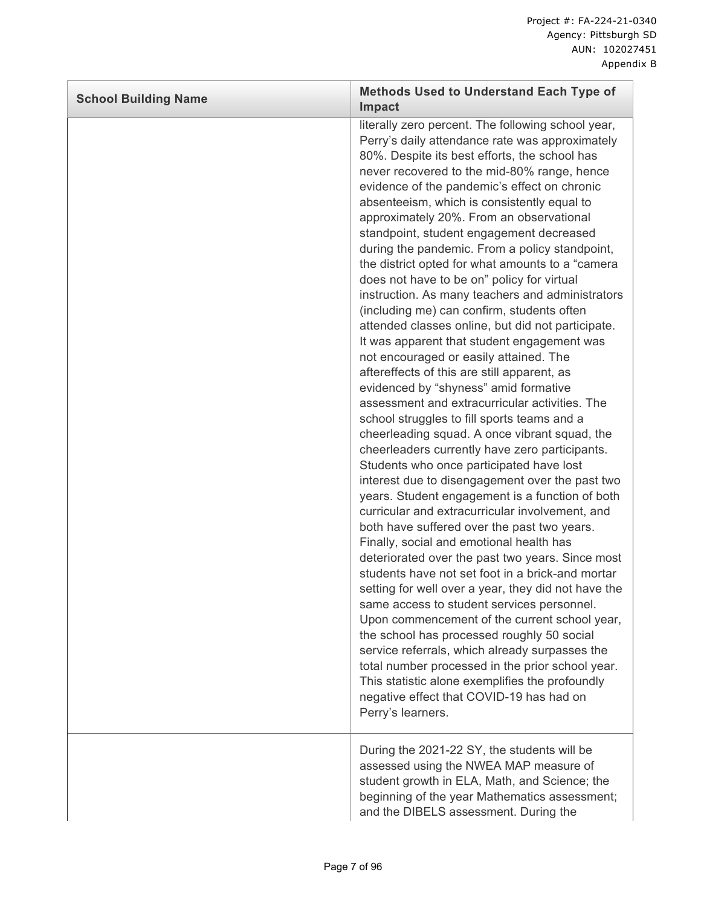| <b>School Building Name</b> | <b>Methods Used to Understand Each Type of</b><br><b>Impact</b>                                                                                                                                                                                                                                                                                                                                                                                                                                                                                                                                                                                                                                                                                                                                                                                                                                                                                                                                                                                                                                                                                                                                                                                                                                                                                                                                                                                                                                                                                                                                                                                                                                                                                                                                                                                                                                                                    |
|-----------------------------|------------------------------------------------------------------------------------------------------------------------------------------------------------------------------------------------------------------------------------------------------------------------------------------------------------------------------------------------------------------------------------------------------------------------------------------------------------------------------------------------------------------------------------------------------------------------------------------------------------------------------------------------------------------------------------------------------------------------------------------------------------------------------------------------------------------------------------------------------------------------------------------------------------------------------------------------------------------------------------------------------------------------------------------------------------------------------------------------------------------------------------------------------------------------------------------------------------------------------------------------------------------------------------------------------------------------------------------------------------------------------------------------------------------------------------------------------------------------------------------------------------------------------------------------------------------------------------------------------------------------------------------------------------------------------------------------------------------------------------------------------------------------------------------------------------------------------------------------------------------------------------------------------------------------------------|
|                             | literally zero percent. The following school year,<br>Perry's daily attendance rate was approximately<br>80%. Despite its best efforts, the school has<br>never recovered to the mid-80% range, hence<br>evidence of the pandemic's effect on chronic<br>absenteeism, which is consistently equal to<br>approximately 20%. From an observational<br>standpoint, student engagement decreased<br>during the pandemic. From a policy standpoint,<br>the district opted for what amounts to a "camera<br>does not have to be on" policy for virtual<br>instruction. As many teachers and administrators<br>(including me) can confirm, students often<br>attended classes online, but did not participate.<br>It was apparent that student engagement was<br>not encouraged or easily attained. The<br>aftereffects of this are still apparent, as<br>evidenced by "shyness" amid formative<br>assessment and extracurricular activities. The<br>school struggles to fill sports teams and a<br>cheerleading squad. A once vibrant squad, the<br>cheerleaders currently have zero participants.<br>Students who once participated have lost<br>interest due to disengagement over the past two<br>years. Student engagement is a function of both<br>curricular and extracurricular involvement, and<br>both have suffered over the past two years.<br>Finally, social and emotional health has<br>deteriorated over the past two years. Since most<br>students have not set foot in a brick-and mortar<br>setting for well over a year, they did not have the<br>same access to student services personnel.<br>Upon commencement of the current school year,<br>the school has processed roughly 50 social<br>service referrals, which already surpasses the<br>total number processed in the prior school year.<br>This statistic alone exemplifies the profoundly<br>negative effect that COVID-19 has had on<br>Perry's learners. |
|                             | During the 2021-22 SY, the students will be<br>assessed using the NWEA MAP measure of<br>student growth in ELA, Math, and Science; the<br>beginning of the year Mathematics assessment;<br>and the DIBELS assessment. During the                                                                                                                                                                                                                                                                                                                                                                                                                                                                                                                                                                                                                                                                                                                                                                                                                                                                                                                                                                                                                                                                                                                                                                                                                                                                                                                                                                                                                                                                                                                                                                                                                                                                                                   |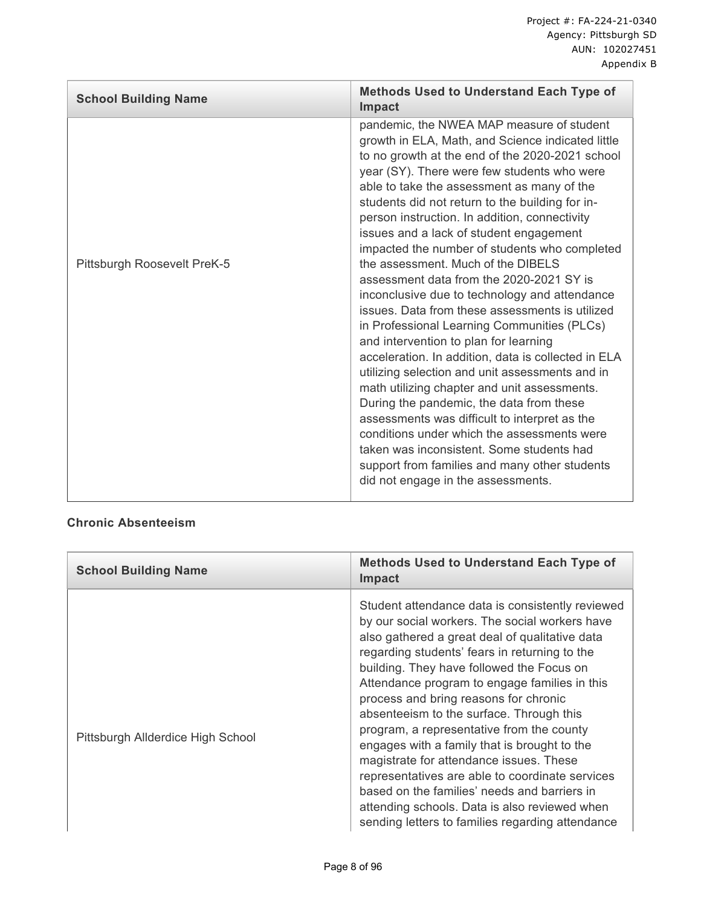| <b>School Building Name</b> | <b>Methods Used to Understand Each Type of</b><br>Impact                                                                                                                                                                                                                                                                                                                                                                                                                                                                                                                                                                                                                                                                                                                                                                                                                                                                                                                                                                                                                                                                                                               |
|-----------------------------|------------------------------------------------------------------------------------------------------------------------------------------------------------------------------------------------------------------------------------------------------------------------------------------------------------------------------------------------------------------------------------------------------------------------------------------------------------------------------------------------------------------------------------------------------------------------------------------------------------------------------------------------------------------------------------------------------------------------------------------------------------------------------------------------------------------------------------------------------------------------------------------------------------------------------------------------------------------------------------------------------------------------------------------------------------------------------------------------------------------------------------------------------------------------|
| Pittsburgh Roosevelt PreK-5 | pandemic, the NWEA MAP measure of student<br>growth in ELA, Math, and Science indicated little<br>to no growth at the end of the 2020-2021 school<br>year (SY). There were few students who were<br>able to take the assessment as many of the<br>students did not return to the building for in-<br>person instruction. In addition, connectivity<br>issues and a lack of student engagement<br>impacted the number of students who completed<br>the assessment. Much of the DIBELS<br>assessment data from the 2020-2021 SY is<br>inconclusive due to technology and attendance<br>issues. Data from these assessments is utilized<br>in Professional Learning Communities (PLCs)<br>and intervention to plan for learning<br>acceleration. In addition, data is collected in ELA<br>utilizing selection and unit assessments and in<br>math utilizing chapter and unit assessments.<br>During the pandemic, the data from these<br>assessments was difficult to interpret as the<br>conditions under which the assessments were<br>taken was inconsistent. Some students had<br>support from families and many other students<br>did not engage in the assessments. |
|                             |                                                                                                                                                                                                                                                                                                                                                                                                                                                                                                                                                                                                                                                                                                                                                                                                                                                                                                                                                                                                                                                                                                                                                                        |

# **Chronic Absenteeism**

| <b>School Building Name</b>       | <b>Methods Used to Understand Each Type of</b><br><b>Impact</b>                                                                                                                                                                                                                                                                                                                                                                                                                                                                                                                                                                                                                                                                          |
|-----------------------------------|------------------------------------------------------------------------------------------------------------------------------------------------------------------------------------------------------------------------------------------------------------------------------------------------------------------------------------------------------------------------------------------------------------------------------------------------------------------------------------------------------------------------------------------------------------------------------------------------------------------------------------------------------------------------------------------------------------------------------------------|
| Pittsburgh Allderdice High School | Student attendance data is consistently reviewed<br>by our social workers. The social workers have<br>also gathered a great deal of qualitative data<br>regarding students' fears in returning to the<br>building. They have followed the Focus on<br>Attendance program to engage families in this<br>process and bring reasons for chronic<br>absenteeism to the surface. Through this<br>program, a representative from the county<br>engages with a family that is brought to the<br>magistrate for attendance issues. These<br>representatives are able to coordinate services<br>based on the families' needs and barriers in<br>attending schools. Data is also reviewed when<br>sending letters to families regarding attendance |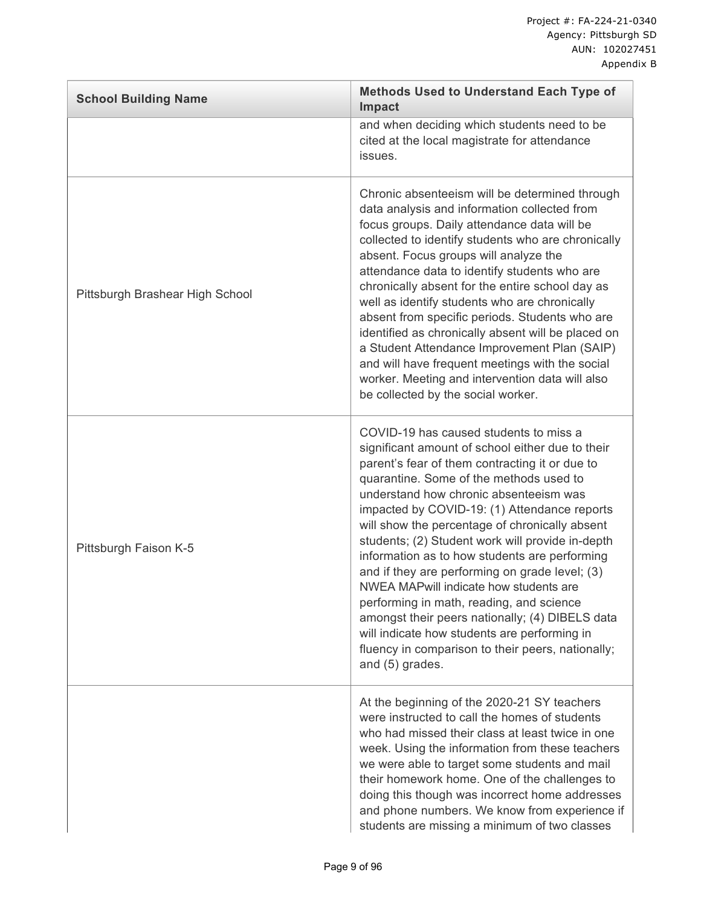| <b>School Building Name</b>     | <b>Methods Used to Understand Each Type of</b><br><b>Impact</b>                                                                                                                                                                                                                                                                                                                                                                                                                                                                                                                                                                                                                                                                                             |
|---------------------------------|-------------------------------------------------------------------------------------------------------------------------------------------------------------------------------------------------------------------------------------------------------------------------------------------------------------------------------------------------------------------------------------------------------------------------------------------------------------------------------------------------------------------------------------------------------------------------------------------------------------------------------------------------------------------------------------------------------------------------------------------------------------|
|                                 | and when deciding which students need to be<br>cited at the local magistrate for attendance<br>issues.                                                                                                                                                                                                                                                                                                                                                                                                                                                                                                                                                                                                                                                      |
| Pittsburgh Brashear High School | Chronic absenteeism will be determined through<br>data analysis and information collected from<br>focus groups. Daily attendance data will be<br>collected to identify students who are chronically<br>absent. Focus groups will analyze the<br>attendance data to identify students who are<br>chronically absent for the entire school day as<br>well as identify students who are chronically<br>absent from specific periods. Students who are<br>identified as chronically absent will be placed on<br>a Student Attendance Improvement Plan (SAIP)<br>and will have frequent meetings with the social<br>worker. Meeting and intervention data will also<br>be collected by the social worker.                                                        |
| Pittsburgh Faison K-5           | COVID-19 has caused students to miss a<br>significant amount of school either due to their<br>parent's fear of them contracting it or due to<br>quarantine. Some of the methods used to<br>understand how chronic absenteeism was<br>impacted by COVID-19: (1) Attendance reports<br>will show the percentage of chronically absent<br>students; (2) Student work will provide in-depth<br>information as to how students are performing<br>and if they are performing on grade level; (3)<br>NWEA MAPwill indicate how students are<br>performing in math, reading, and science<br>amongst their peers nationally; (4) DIBELS data<br>will indicate how students are performing in<br>fluency in comparison to their peers, nationally;<br>and (5) grades. |
|                                 | At the beginning of the 2020-21 SY teachers<br>were instructed to call the homes of students<br>who had missed their class at least twice in one<br>week. Using the information from these teachers<br>we were able to target some students and mail<br>their homework home. One of the challenges to<br>doing this though was incorrect home addresses<br>and phone numbers. We know from experience if<br>students are missing a minimum of two classes                                                                                                                                                                                                                                                                                                   |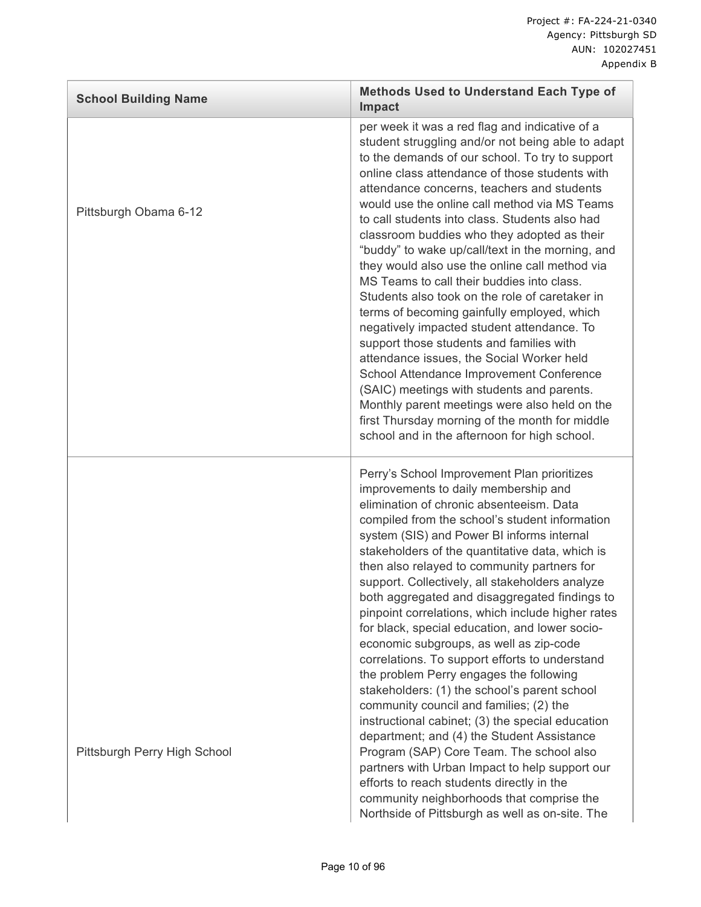| <b>School Building Name</b>  | <b>Methods Used to Understand Each Type of</b><br><b>Impact</b>                                                                                                                                                                                                                                                                                                                                                                                                                                                                                                                                                                                                                                                                                                                                                                                                                                                                                                                                                                                                                                                              |
|------------------------------|------------------------------------------------------------------------------------------------------------------------------------------------------------------------------------------------------------------------------------------------------------------------------------------------------------------------------------------------------------------------------------------------------------------------------------------------------------------------------------------------------------------------------------------------------------------------------------------------------------------------------------------------------------------------------------------------------------------------------------------------------------------------------------------------------------------------------------------------------------------------------------------------------------------------------------------------------------------------------------------------------------------------------------------------------------------------------------------------------------------------------|
| Pittsburgh Obama 6-12        | per week it was a red flag and indicative of a<br>student struggling and/or not being able to adapt<br>to the demands of our school. To try to support<br>online class attendance of those students with<br>attendance concerns, teachers and students<br>would use the online call method via MS Teams<br>to call students into class. Students also had<br>classroom buddies who they adopted as their<br>"buddy" to wake up/call/text in the morning, and<br>they would also use the online call method via<br>MS Teams to call their buddies into class.<br>Students also took on the role of caretaker in<br>terms of becoming gainfully employed, which<br>negatively impacted student attendance. To<br>support those students and families with<br>attendance issues, the Social Worker held<br>School Attendance Improvement Conference<br>(SAIC) meetings with students and parents.<br>Monthly parent meetings were also held on the<br>first Thursday morning of the month for middle<br>school and in the afternoon for high school.                                                                            |
| Pittsburgh Perry High School | Perry's School Improvement Plan prioritizes<br>improvements to daily membership and<br>elimination of chronic absenteeism. Data<br>compiled from the school's student information<br>system (SIS) and Power BI informs internal<br>stakeholders of the quantitative data, which is<br>then also relayed to community partners for<br>support. Collectively, all stakeholders analyze<br>both aggregated and disaggregated findings to<br>pinpoint correlations, which include higher rates<br>for black, special education, and lower socio-<br>economic subgroups, as well as zip-code<br>correlations. To support efforts to understand<br>the problem Perry engages the following<br>stakeholders: (1) the school's parent school<br>community council and families; (2) the<br>instructional cabinet; (3) the special education<br>department; and (4) the Student Assistance<br>Program (SAP) Core Team. The school also<br>partners with Urban Impact to help support our<br>efforts to reach students directly in the<br>community neighborhoods that comprise the<br>Northside of Pittsburgh as well as on-site. The |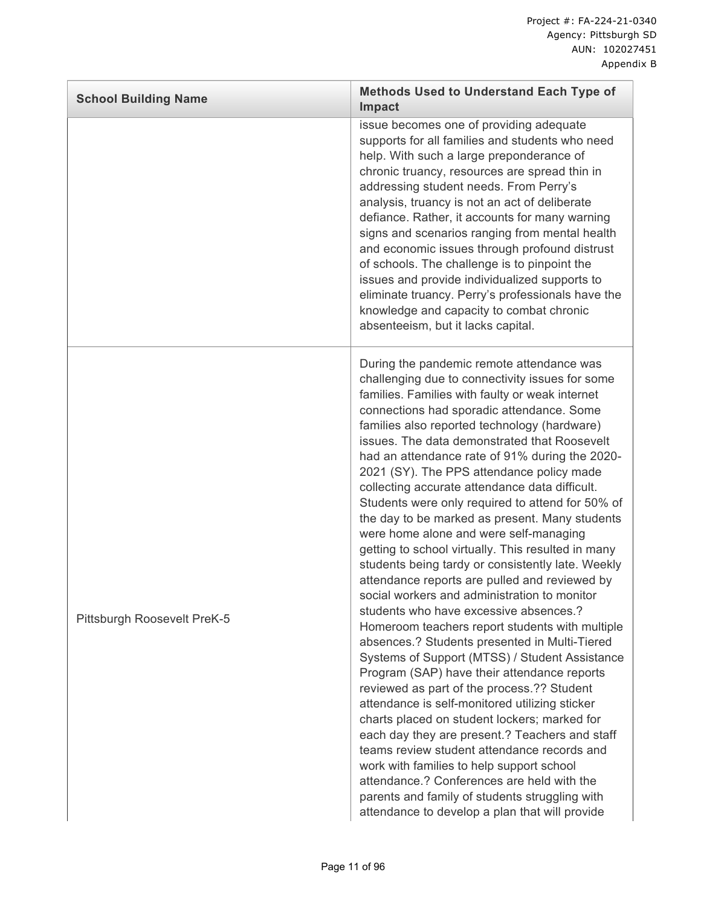| <b>School Building Name</b> | Methods Used to Understand Each Type of<br>Impact                                                                                                                                                                                                                                                                                                                                                                                                                                                                                                                                                                                                                                                                                                                                                                                                                                                                                                                                                                                                                                                                                                                                                                                                                                                                                                                                                                                                                                                        |
|-----------------------------|----------------------------------------------------------------------------------------------------------------------------------------------------------------------------------------------------------------------------------------------------------------------------------------------------------------------------------------------------------------------------------------------------------------------------------------------------------------------------------------------------------------------------------------------------------------------------------------------------------------------------------------------------------------------------------------------------------------------------------------------------------------------------------------------------------------------------------------------------------------------------------------------------------------------------------------------------------------------------------------------------------------------------------------------------------------------------------------------------------------------------------------------------------------------------------------------------------------------------------------------------------------------------------------------------------------------------------------------------------------------------------------------------------------------------------------------------------------------------------------------------------|
|                             | issue becomes one of providing adequate<br>supports for all families and students who need<br>help. With such a large preponderance of<br>chronic truancy, resources are spread thin in<br>addressing student needs. From Perry's<br>analysis, truancy is not an act of deliberate<br>defiance. Rather, it accounts for many warning<br>signs and scenarios ranging from mental health<br>and economic issues through profound distrust<br>of schools. The challenge is to pinpoint the<br>issues and provide individualized supports to<br>eliminate truancy. Perry's professionals have the<br>knowledge and capacity to combat chronic<br>absenteeism, but it lacks capital.                                                                                                                                                                                                                                                                                                                                                                                                                                                                                                                                                                                                                                                                                                                                                                                                                          |
| Pittsburgh Roosevelt PreK-5 | During the pandemic remote attendance was<br>challenging due to connectivity issues for some<br>families. Families with faulty or weak internet<br>connections had sporadic attendance. Some<br>families also reported technology (hardware)<br>issues. The data demonstrated that Roosevelt<br>had an attendance rate of 91% during the 2020-<br>2021 (SY). The PPS attendance policy made<br>collecting accurate attendance data difficult.<br>Students were only required to attend for 50% of<br>the day to be marked as present. Many students<br>were home alone and were self-managing<br>getting to school virtually. This resulted in many<br>students being tardy or consistently late. Weekly<br>attendance reports are pulled and reviewed by<br>social workers and administration to monitor<br>students who have excessive absences.?<br>Homeroom teachers report students with multiple<br>absences.? Students presented in Multi-Tiered<br>Systems of Support (MTSS) / Student Assistance<br>Program (SAP) have their attendance reports<br>reviewed as part of the process.?? Student<br>attendance is self-monitored utilizing sticker<br>charts placed on student lockers; marked for<br>each day they are present.? Teachers and staff<br>teams review student attendance records and<br>work with families to help support school<br>attendance.? Conferences are held with the<br>parents and family of students struggling with<br>attendance to develop a plan that will provide |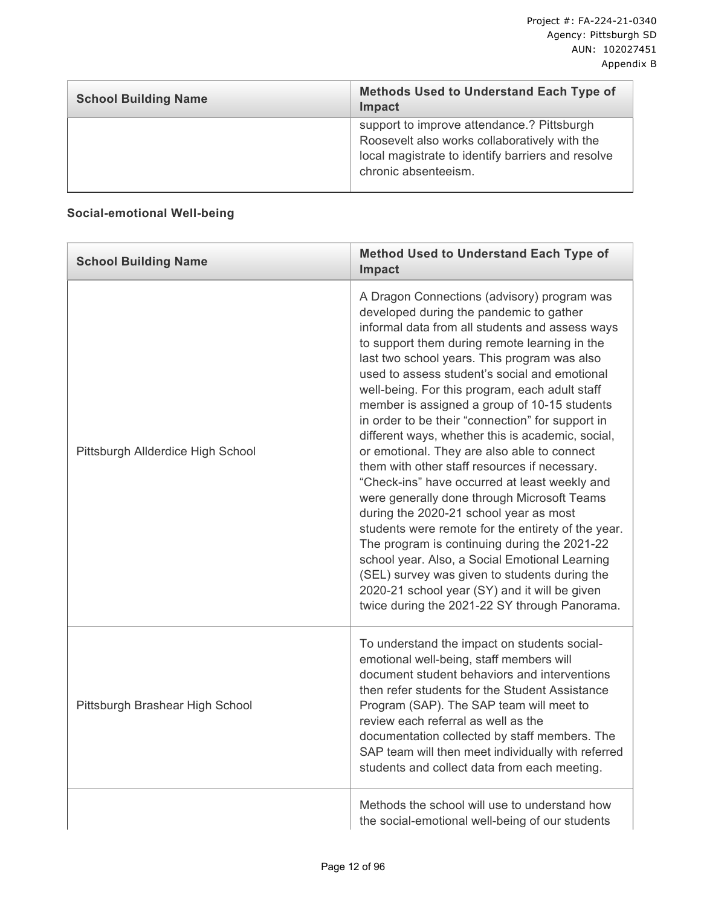| <b>School Building Name</b> | <b>Methods Used to Understand Each Type of</b><br><b>Impact</b>                                                                                                          |
|-----------------------------|--------------------------------------------------------------------------------------------------------------------------------------------------------------------------|
|                             | support to improve attendance.? Pittsburgh<br>Roosevelt also works collaboratively with the<br>local magistrate to identify barriers and resolve<br>chronic absenteeism. |

## **Social-emotional Well-being**

| <b>School Building Name</b>       | <b>Method Used to Understand Each Type of</b><br>Impact                                                                                                                                                                                                                                                                                                                                                                                                                                                                                                                                                                                                                                                                                                                                                                                                                                                                                                                                                                                                     |
|-----------------------------------|-------------------------------------------------------------------------------------------------------------------------------------------------------------------------------------------------------------------------------------------------------------------------------------------------------------------------------------------------------------------------------------------------------------------------------------------------------------------------------------------------------------------------------------------------------------------------------------------------------------------------------------------------------------------------------------------------------------------------------------------------------------------------------------------------------------------------------------------------------------------------------------------------------------------------------------------------------------------------------------------------------------------------------------------------------------|
| Pittsburgh Allderdice High School | A Dragon Connections (advisory) program was<br>developed during the pandemic to gather<br>informal data from all students and assess ways<br>to support them during remote learning in the<br>last two school years. This program was also<br>used to assess student's social and emotional<br>well-being. For this program, each adult staff<br>member is assigned a group of 10-15 students<br>in order to be their "connection" for support in<br>different ways, whether this is academic, social,<br>or emotional. They are also able to connect<br>them with other staff resources if necessary.<br>"Check-ins" have occurred at least weekly and<br>were generally done through Microsoft Teams<br>during the 2020-21 school year as most<br>students were remote for the entirety of the year.<br>The program is continuing during the 2021-22<br>school year. Also, a Social Emotional Learning<br>(SEL) survey was given to students during the<br>2020-21 school year (SY) and it will be given<br>twice during the 2021-22 SY through Panorama. |
| Pittsburgh Brashear High School   | To understand the impact on students social-<br>emotional well-being, staff members will<br>document student behaviors and interventions<br>then refer students for the Student Assistance<br>Program (SAP). The SAP team will meet to<br>review each referral as well as the<br>documentation collected by staff members. The<br>SAP team will then meet individually with referred<br>students and collect data from each meeting.                                                                                                                                                                                                                                                                                                                                                                                                                                                                                                                                                                                                                        |
|                                   | Methods the school will use to understand how<br>the social-emotional well-being of our students                                                                                                                                                                                                                                                                                                                                                                                                                                                                                                                                                                                                                                                                                                                                                                                                                                                                                                                                                            |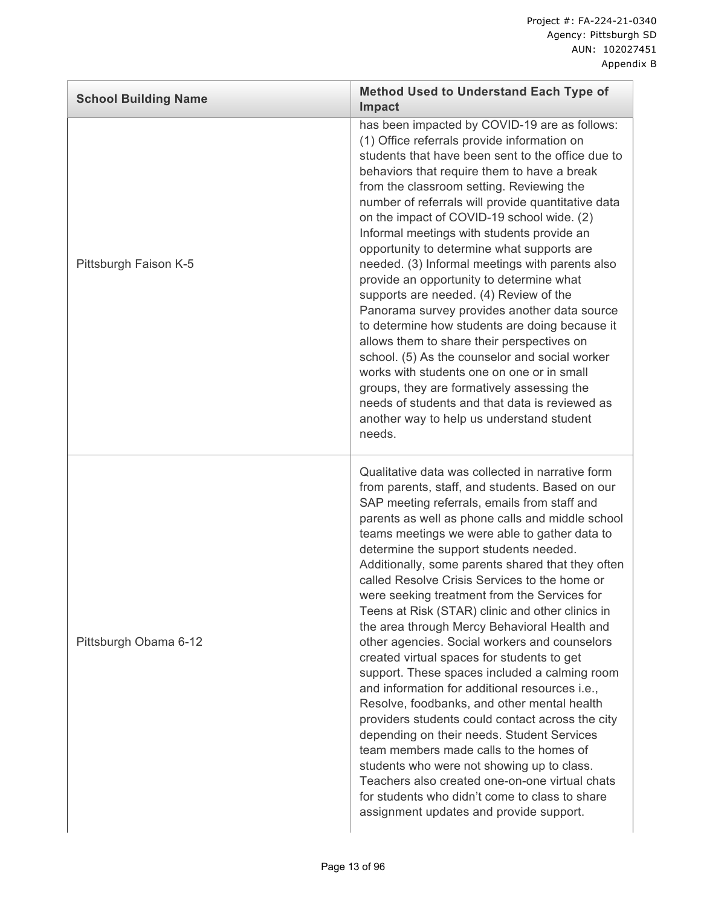| <b>School Building Name</b> | <b>Method Used to Understand Each Type of</b><br><b>Impact</b>                                                                                                                                                                                                                                                                                                                                                                                                                                                                                                                                                                                                                                                                                                                                                                                                                                                                                                                                                                                                                                                                                          |
|-----------------------------|---------------------------------------------------------------------------------------------------------------------------------------------------------------------------------------------------------------------------------------------------------------------------------------------------------------------------------------------------------------------------------------------------------------------------------------------------------------------------------------------------------------------------------------------------------------------------------------------------------------------------------------------------------------------------------------------------------------------------------------------------------------------------------------------------------------------------------------------------------------------------------------------------------------------------------------------------------------------------------------------------------------------------------------------------------------------------------------------------------------------------------------------------------|
| Pittsburgh Faison K-5       | has been impacted by COVID-19 are as follows:<br>(1) Office referrals provide information on<br>students that have been sent to the office due to<br>behaviors that require them to have a break<br>from the classroom setting. Reviewing the<br>number of referrals will provide quantitative data<br>on the impact of COVID-19 school wide. (2)<br>Informal meetings with students provide an<br>opportunity to determine what supports are<br>needed. (3) Informal meetings with parents also<br>provide an opportunity to determine what<br>supports are needed. (4) Review of the<br>Panorama survey provides another data source<br>to determine how students are doing because it<br>allows them to share their perspectives on<br>school. (5) As the counselor and social worker<br>works with students one on one or in small<br>groups, they are formatively assessing the<br>needs of students and that data is reviewed as<br>another way to help us understand student<br>needs.                                                                                                                                                           |
| Pittsburgh Obama 6-12       | Qualitative data was collected in narrative form<br>from parents, staff, and students. Based on our<br>SAP meeting referrals, emails from staff and<br>parents as well as phone calls and middle school<br>teams meetings we were able to gather data to<br>determine the support students needed.<br>Additionally, some parents shared that they often<br>called Resolve Crisis Services to the home or<br>were seeking treatment from the Services for<br>Teens at Risk (STAR) clinic and other clinics in<br>the area through Mercy Behavioral Health and<br>other agencies. Social workers and counselors<br>created virtual spaces for students to get<br>support. These spaces included a calming room<br>and information for additional resources i.e.,<br>Resolve, foodbanks, and other mental health<br>providers students could contact across the city<br>depending on their needs. Student Services<br>team members made calls to the homes of<br>students who were not showing up to class.<br>Teachers also created one-on-one virtual chats<br>for students who didn't come to class to share<br>assignment updates and provide support. |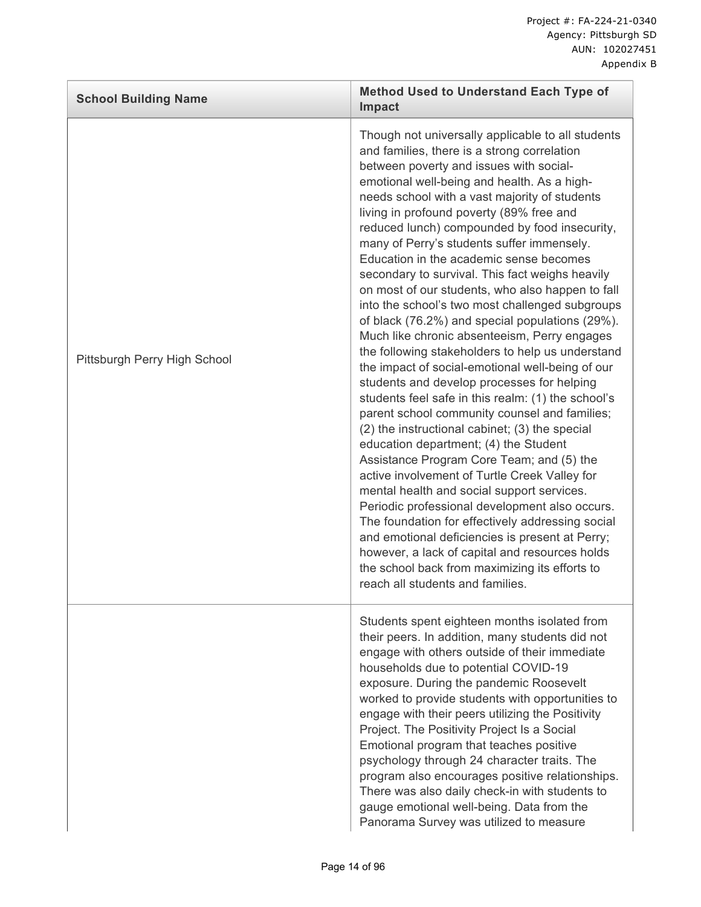| <b>School Building Name</b>  | <b>Method Used to Understand Each Type of</b><br>Impact                                                                                                                                                                                                                                                                                                                                                                                                                                                                                                                                                                                                                                                                                                                                                                                                                                                                                                                                                                                                                                                                                                                                                                                                                                                                                                                                                                                                                                             |
|------------------------------|-----------------------------------------------------------------------------------------------------------------------------------------------------------------------------------------------------------------------------------------------------------------------------------------------------------------------------------------------------------------------------------------------------------------------------------------------------------------------------------------------------------------------------------------------------------------------------------------------------------------------------------------------------------------------------------------------------------------------------------------------------------------------------------------------------------------------------------------------------------------------------------------------------------------------------------------------------------------------------------------------------------------------------------------------------------------------------------------------------------------------------------------------------------------------------------------------------------------------------------------------------------------------------------------------------------------------------------------------------------------------------------------------------------------------------------------------------------------------------------------------------|
| Pittsburgh Perry High School | Though not universally applicable to all students<br>and families, there is a strong correlation<br>between poverty and issues with social-<br>emotional well-being and health. As a high-<br>needs school with a vast majority of students<br>living in profound poverty (89% free and<br>reduced lunch) compounded by food insecurity,<br>many of Perry's students suffer immensely.<br>Education in the academic sense becomes<br>secondary to survival. This fact weighs heavily<br>on most of our students, who also happen to fall<br>into the school's two most challenged subgroups<br>of black (76.2%) and special populations (29%).<br>Much like chronic absenteeism, Perry engages<br>the following stakeholders to help us understand<br>the impact of social-emotional well-being of our<br>students and develop processes for helping<br>students feel safe in this realm: (1) the school's<br>parent school community counsel and families;<br>(2) the instructional cabinet; (3) the special<br>education department; (4) the Student<br>Assistance Program Core Team; and (5) the<br>active involvement of Turtle Creek Valley for<br>mental health and social support services.<br>Periodic professional development also occurs.<br>The foundation for effectively addressing social<br>and emotional deficiencies is present at Perry;<br>however, a lack of capital and resources holds<br>the school back from maximizing its efforts to<br>reach all students and families. |
|                              | Students spent eighteen months isolated from<br>their peers. In addition, many students did not<br>engage with others outside of their immediate<br>households due to potential COVID-19<br>exposure. During the pandemic Roosevelt<br>worked to provide students with opportunities to<br>engage with their peers utilizing the Positivity<br>Project. The Positivity Project Is a Social<br>Emotional program that teaches positive<br>psychology through 24 character traits. The<br>program also encourages positive relationships.<br>There was also daily check-in with students to<br>gauge emotional well-being. Data from the<br>Panorama Survey was utilized to measure                                                                                                                                                                                                                                                                                                                                                                                                                                                                                                                                                                                                                                                                                                                                                                                                                   |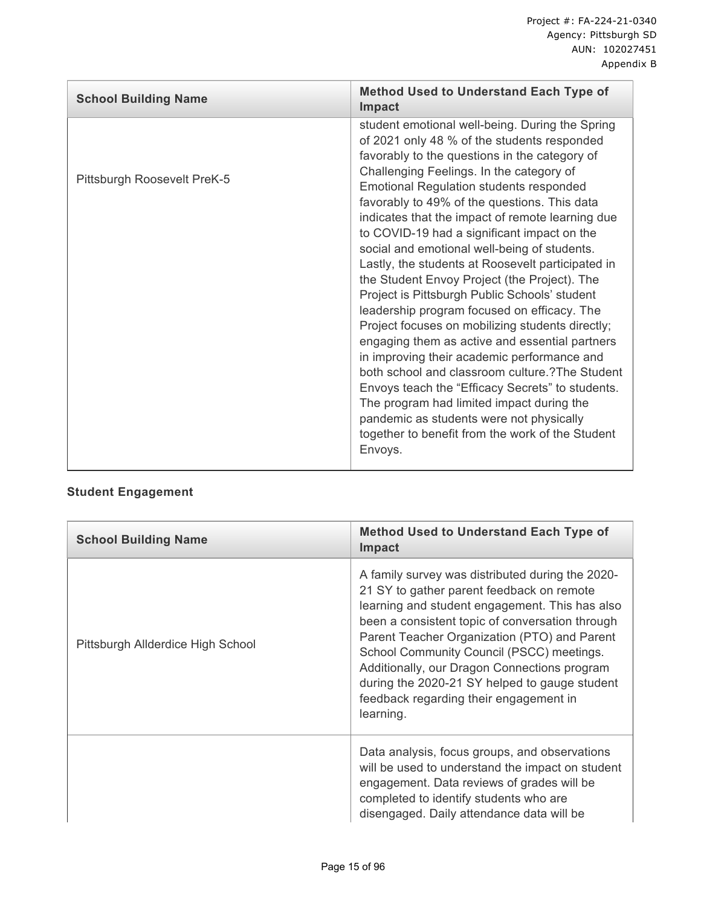| <b>School Building Name</b> | <b>Method Used to Understand Each Type of</b><br><b>Impact</b>                                                                                                                                                                                                                                                                                                                                                                                                                                                                                                                                                                                                                                                                                                                                                                                                                                                                                                                                                                                                            |
|-----------------------------|---------------------------------------------------------------------------------------------------------------------------------------------------------------------------------------------------------------------------------------------------------------------------------------------------------------------------------------------------------------------------------------------------------------------------------------------------------------------------------------------------------------------------------------------------------------------------------------------------------------------------------------------------------------------------------------------------------------------------------------------------------------------------------------------------------------------------------------------------------------------------------------------------------------------------------------------------------------------------------------------------------------------------------------------------------------------------|
| Pittsburgh Roosevelt PreK-5 | student emotional well-being. During the Spring<br>of 2021 only 48 % of the students responded<br>favorably to the questions in the category of<br>Challenging Feelings. In the category of<br><b>Emotional Regulation students responded</b><br>favorably to 49% of the questions. This data<br>indicates that the impact of remote learning due<br>to COVID-19 had a significant impact on the<br>social and emotional well-being of students.<br>Lastly, the students at Roosevelt participated in<br>the Student Envoy Project (the Project). The<br>Project is Pittsburgh Public Schools' student<br>leadership program focused on efficacy. The<br>Project focuses on mobilizing students directly;<br>engaging them as active and essential partners<br>in improving their academic performance and<br>both school and classroom culture.? The Student<br>Envoys teach the "Efficacy Secrets" to students.<br>The program had limited impact during the<br>pandemic as students were not physically<br>together to benefit from the work of the Student<br>Envoys. |

# **Student Engagement**

| <b>School Building Name</b>       | <b>Method Used to Understand Each Type of</b><br><b>Impact</b>                                                                                                                                                                                                                                                                                                                                                                                          |
|-----------------------------------|---------------------------------------------------------------------------------------------------------------------------------------------------------------------------------------------------------------------------------------------------------------------------------------------------------------------------------------------------------------------------------------------------------------------------------------------------------|
| Pittsburgh Allderdice High School | A family survey was distributed during the 2020-<br>21 SY to gather parent feedback on remote<br>learning and student engagement. This has also<br>been a consistent topic of conversation through<br>Parent Teacher Organization (PTO) and Parent<br>School Community Council (PSCC) meetings.<br>Additionally, our Dragon Connections program<br>during the 2020-21 SY helped to gauge student<br>feedback regarding their engagement in<br>learning. |
|                                   | Data analysis, focus groups, and observations<br>will be used to understand the impact on student<br>engagement. Data reviews of grades will be<br>completed to identify students who are<br>disengaged. Daily attendance data will be                                                                                                                                                                                                                  |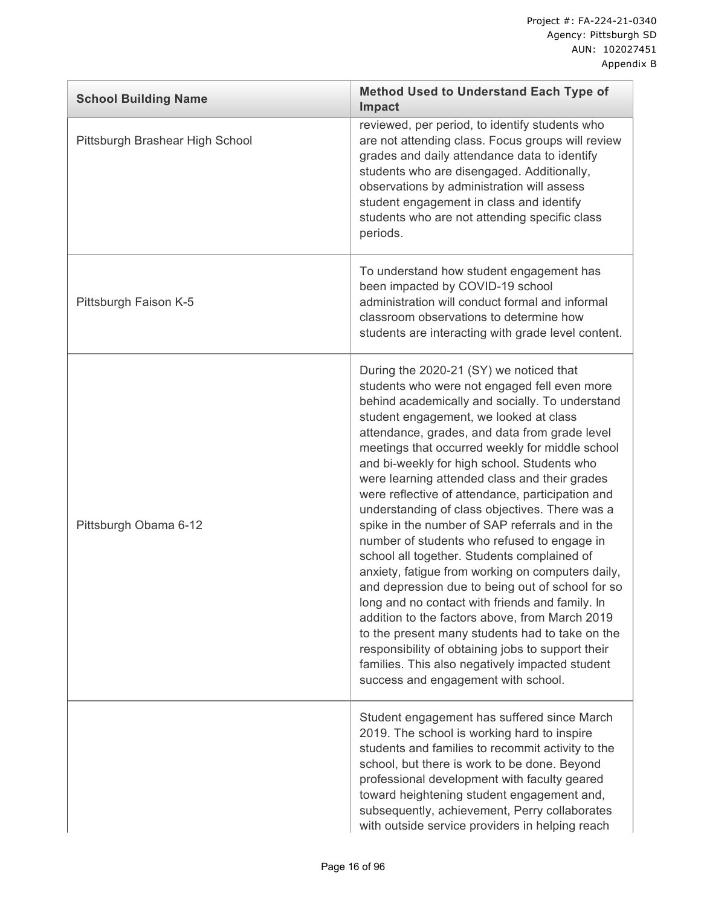| <b>School Building Name</b>     | <b>Method Used to Understand Each Type of</b><br><b>Impact</b>                                                                                                                                                                                                                                                                                                                                                                                                                                                                                                                                                                                                                                                                                                                                                                                                                                                                                                                                                                                                  |
|---------------------------------|-----------------------------------------------------------------------------------------------------------------------------------------------------------------------------------------------------------------------------------------------------------------------------------------------------------------------------------------------------------------------------------------------------------------------------------------------------------------------------------------------------------------------------------------------------------------------------------------------------------------------------------------------------------------------------------------------------------------------------------------------------------------------------------------------------------------------------------------------------------------------------------------------------------------------------------------------------------------------------------------------------------------------------------------------------------------|
| Pittsburgh Brashear High School | reviewed, per period, to identify students who<br>are not attending class. Focus groups will review<br>grades and daily attendance data to identify<br>students who are disengaged. Additionally,<br>observations by administration will assess<br>student engagement in class and identify<br>students who are not attending specific class<br>periods.                                                                                                                                                                                                                                                                                                                                                                                                                                                                                                                                                                                                                                                                                                        |
| Pittsburgh Faison K-5           | To understand how student engagement has<br>been impacted by COVID-19 school<br>administration will conduct formal and informal<br>classroom observations to determine how<br>students are interacting with grade level content.                                                                                                                                                                                                                                                                                                                                                                                                                                                                                                                                                                                                                                                                                                                                                                                                                                |
| Pittsburgh Obama 6-12           | During the 2020-21 (SY) we noticed that<br>students who were not engaged fell even more<br>behind academically and socially. To understand<br>student engagement, we looked at class<br>attendance, grades, and data from grade level<br>meetings that occurred weekly for middle school<br>and bi-weekly for high school. Students who<br>were learning attended class and their grades<br>were reflective of attendance, participation and<br>understanding of class objectives. There was a<br>spike in the number of SAP referrals and in the<br>number of students who refused to engage in<br>school all together. Students complained of<br>anxiety, fatigue from working on computers daily,<br>and depression due to being out of school for so<br>long and no contact with friends and family. In<br>addition to the factors above, from March 2019<br>to the present many students had to take on the<br>responsibility of obtaining jobs to support their<br>families. This also negatively impacted student<br>success and engagement with school. |
|                                 | Student engagement has suffered since March<br>2019. The school is working hard to inspire<br>students and families to recommit activity to the<br>school, but there is work to be done. Beyond<br>professional development with faculty geared<br>toward heightening student engagement and,<br>subsequently, achievement, Perry collaborates<br>with outside service providers in helping reach                                                                                                                                                                                                                                                                                                                                                                                                                                                                                                                                                                                                                                                               |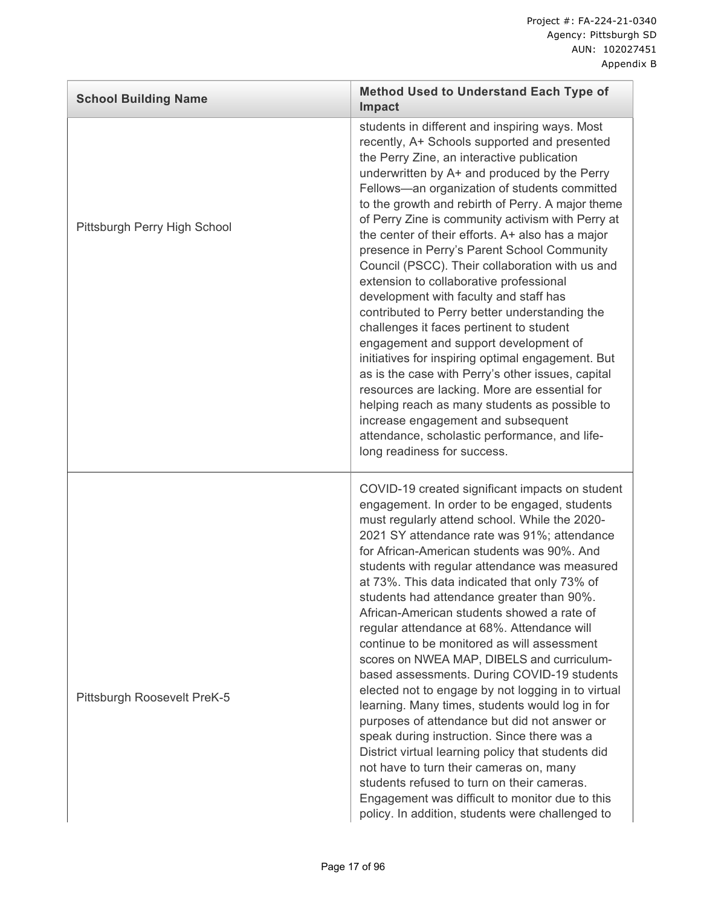| <b>School Building Name</b>  | <b>Method Used to Understand Each Type of</b><br><b>Impact</b>                                                                                                                                                                                                                                                                                                                                                                                                                                                                                                                                                                                                                                                                                                                                                                                                                                                                                                                                                                                                                                    |
|------------------------------|---------------------------------------------------------------------------------------------------------------------------------------------------------------------------------------------------------------------------------------------------------------------------------------------------------------------------------------------------------------------------------------------------------------------------------------------------------------------------------------------------------------------------------------------------------------------------------------------------------------------------------------------------------------------------------------------------------------------------------------------------------------------------------------------------------------------------------------------------------------------------------------------------------------------------------------------------------------------------------------------------------------------------------------------------------------------------------------------------|
| Pittsburgh Perry High School | students in different and inspiring ways. Most<br>recently, A+ Schools supported and presented<br>the Perry Zine, an interactive publication<br>underwritten by A+ and produced by the Perry<br>Fellows-an organization of students committed<br>to the growth and rebirth of Perry. A major theme<br>of Perry Zine is community activism with Perry at<br>the center of their efforts. A+ also has a major<br>presence in Perry's Parent School Community<br>Council (PSCC). Their collaboration with us and<br>extension to collaborative professional<br>development with faculty and staff has<br>contributed to Perry better understanding the<br>challenges it faces pertinent to student<br>engagement and support development of<br>initiatives for inspiring optimal engagement. But<br>as is the case with Perry's other issues, capital<br>resources are lacking. More are essential for<br>helping reach as many students as possible to<br>increase engagement and subsequent<br>attendance, scholastic performance, and life-<br>long readiness for success.                        |
| Pittsburgh Roosevelt PreK-5  | COVID-19 created significant impacts on student<br>engagement. In order to be engaged, students<br>must regularly attend school. While the 2020-<br>2021 SY attendance rate was 91%; attendance<br>for African-American students was 90%. And<br>students with regular attendance was measured<br>at 73%. This data indicated that only 73% of<br>students had attendance greater than 90%.<br>African-American students showed a rate of<br>regular attendance at 68%. Attendance will<br>continue to be monitored as will assessment<br>scores on NWEA MAP, DIBELS and curriculum-<br>based assessments. During COVID-19 students<br>elected not to engage by not logging in to virtual<br>learning. Many times, students would log in for<br>purposes of attendance but did not answer or<br>speak during instruction. Since there was a<br>District virtual learning policy that students did<br>not have to turn their cameras on, many<br>students refused to turn on their cameras.<br>Engagement was difficult to monitor due to this<br>policy. In addition, students were challenged to |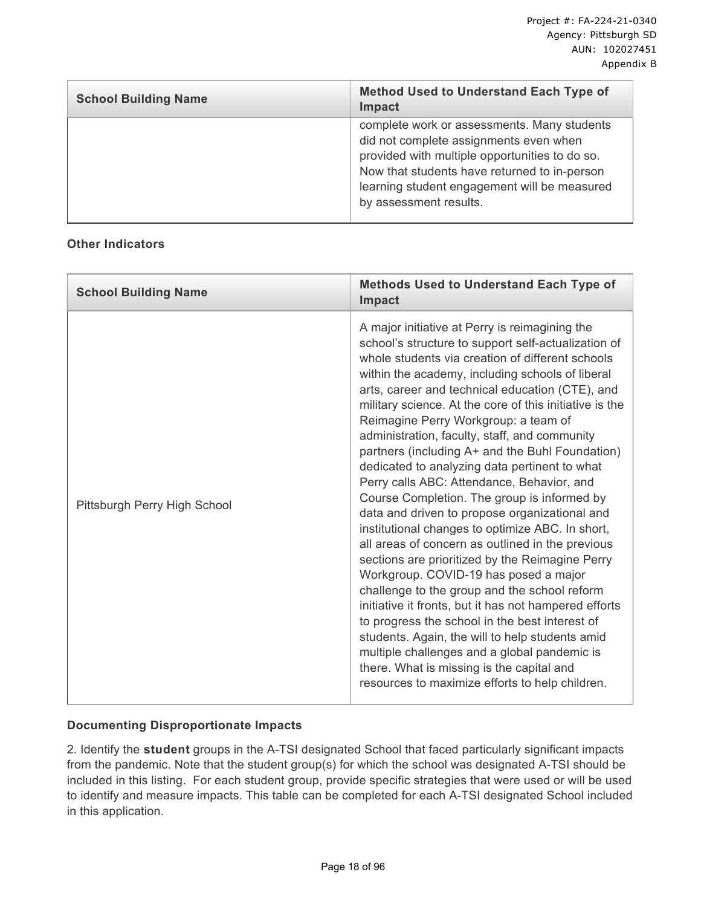| <b>School Building Name</b> | <b>Method Used to Understand Each Type of</b><br><b>Impact</b>                                                                                                                                                                                                    |
|-----------------------------|-------------------------------------------------------------------------------------------------------------------------------------------------------------------------------------------------------------------------------------------------------------------|
|                             | complete work or assessments. Many students<br>did not complete assignments even when<br>provided with multiple opportunities to do so.<br>Now that students have returned to in-person<br>learning student engagement will be measured<br>by assessment results. |

#### **Other Indicators**

| <b>School Building Name</b>  | <b>Methods Used to Understand Each Type of</b><br><b>Impact</b>                                                                                                                                                                                                                                                                                                                                                                                                                                                                                                                                                                                                                                                                                                                                                                                                                                                                                                                                                                                                                                                                                                                                                                          |
|------------------------------|------------------------------------------------------------------------------------------------------------------------------------------------------------------------------------------------------------------------------------------------------------------------------------------------------------------------------------------------------------------------------------------------------------------------------------------------------------------------------------------------------------------------------------------------------------------------------------------------------------------------------------------------------------------------------------------------------------------------------------------------------------------------------------------------------------------------------------------------------------------------------------------------------------------------------------------------------------------------------------------------------------------------------------------------------------------------------------------------------------------------------------------------------------------------------------------------------------------------------------------|
| Pittsburgh Perry High School | A major initiative at Perry is reimagining the<br>school's structure to support self-actualization of<br>whole students via creation of different schools<br>within the academy, including schools of liberal<br>arts, career and technical education (CTE), and<br>military science. At the core of this initiative is the<br>Reimagine Perry Workgroup: a team of<br>administration, faculty, staff, and community<br>partners (including A+ and the Buhl Foundation)<br>dedicated to analyzing data pertinent to what<br>Perry calls ABC: Attendance, Behavior, and<br>Course Completion. The group is informed by<br>data and driven to propose organizational and<br>institutional changes to optimize ABC. In short,<br>all areas of concern as outlined in the previous<br>sections are prioritized by the Reimagine Perry<br>Workgroup. COVID-19 has posed a major<br>challenge to the group and the school reform<br>initiative it fronts, but it has not hampered efforts<br>to progress the school in the best interest of<br>students. Again, the will to help students amid<br>multiple challenges and a global pandemic is<br>there. What is missing is the capital and<br>resources to maximize efforts to help children. |

### **Documenting Disproportionate Impacts**

2. Identify the **student** groups in the A-TSI designated School that faced particularly significant impacts from the pandemic. Note that the student group(s) for which the school was designated A-TSI should be included in this listing. For each student group, provide specific strategies that were used or will be used to identify and measure impacts. This table can be completed for each A-TSI designated School included in this application.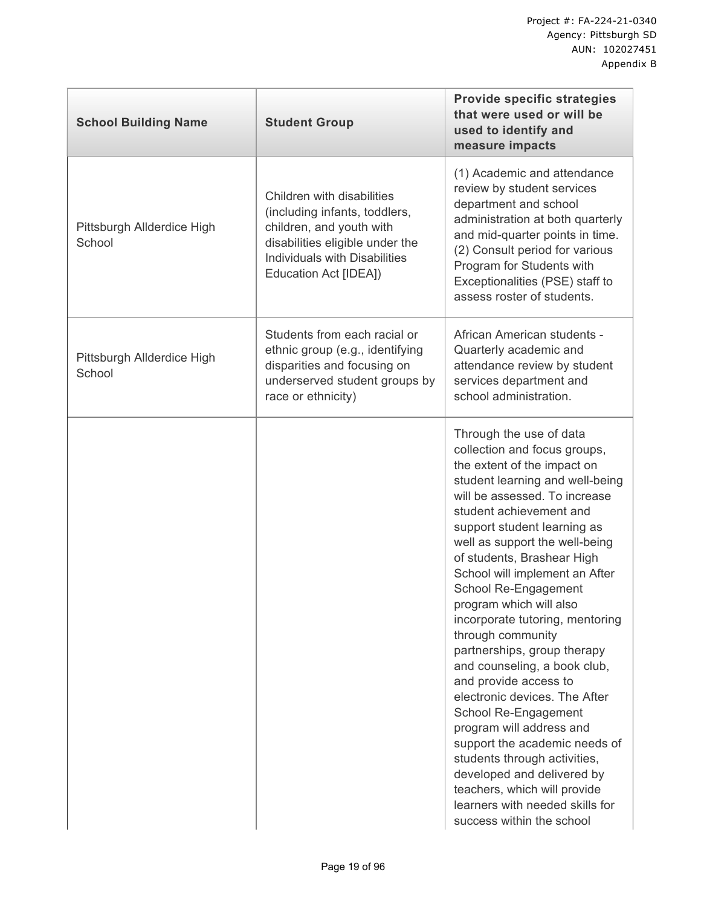| <b>School Building Name</b>          | <b>Student Group</b>                                                                                                                                                                 | <b>Provide specific strategies</b><br>that were used or will be<br>used to identify and<br>measure impacts                                                                                                                                                                                                                                                                                                                                                                                                                                                                                                                                                                                                                                                                                                    |
|--------------------------------------|--------------------------------------------------------------------------------------------------------------------------------------------------------------------------------------|---------------------------------------------------------------------------------------------------------------------------------------------------------------------------------------------------------------------------------------------------------------------------------------------------------------------------------------------------------------------------------------------------------------------------------------------------------------------------------------------------------------------------------------------------------------------------------------------------------------------------------------------------------------------------------------------------------------------------------------------------------------------------------------------------------------|
| Pittsburgh Allderdice High<br>School | Children with disabilities<br>(including infants, toddlers,<br>children, and youth with<br>disabilities eligible under the<br>Individuals with Disabilities<br>Education Act [IDEA]) | (1) Academic and attendance<br>review by student services<br>department and school<br>administration at both quarterly<br>and mid-quarter points in time.<br>(2) Consult period for various<br>Program for Students with<br>Exceptionalities (PSE) staff to<br>assess roster of students.                                                                                                                                                                                                                                                                                                                                                                                                                                                                                                                     |
| Pittsburgh Allderdice High<br>School | Students from each racial or<br>ethnic group (e.g., identifying<br>disparities and focusing on<br>underserved student groups by<br>race or ethnicity)                                | African American students -<br>Quarterly academic and<br>attendance review by student<br>services department and<br>school administration.                                                                                                                                                                                                                                                                                                                                                                                                                                                                                                                                                                                                                                                                    |
|                                      |                                                                                                                                                                                      | Through the use of data<br>collection and focus groups,<br>the extent of the impact on<br>student learning and well-being<br>will be assessed. To increase<br>student achievement and<br>support student learning as<br>well as support the well-being<br>of students, Brashear High<br>School will implement an After<br>School Re-Engagement<br>program which will also<br>incorporate tutoring, mentoring<br>through community<br>partnerships, group therapy<br>and counseling, a book club,<br>and provide access to<br>electronic devices. The After<br>School Re-Engagement<br>program will address and<br>support the academic needs of<br>students through activities,<br>developed and delivered by<br>teachers, which will provide<br>learners with needed skills for<br>success within the school |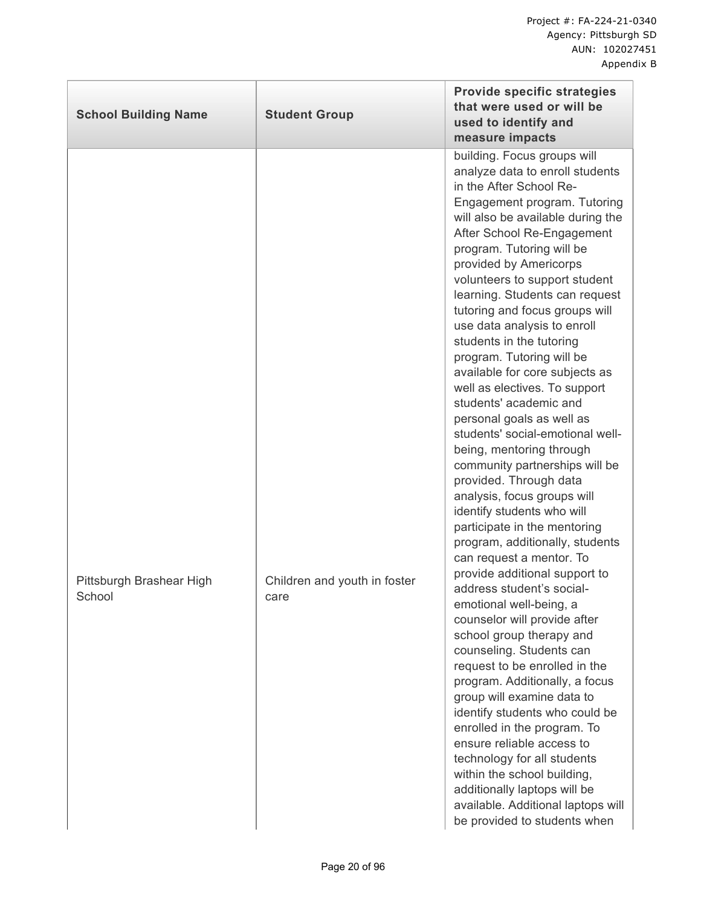| <b>School Building Name</b>        | <b>Student Group</b>                 | <b>Provide specific strategies</b><br>that were used or will be<br>used to identify and<br>measure impacts                                                                                                                                                                                                                                                                                                                                                                                                                                                                                                                                                                                                                                                                                                                                                                                                                                                                                                                                                                                                                                                                                                                                                                                                                                                                                                             |
|------------------------------------|--------------------------------------|------------------------------------------------------------------------------------------------------------------------------------------------------------------------------------------------------------------------------------------------------------------------------------------------------------------------------------------------------------------------------------------------------------------------------------------------------------------------------------------------------------------------------------------------------------------------------------------------------------------------------------------------------------------------------------------------------------------------------------------------------------------------------------------------------------------------------------------------------------------------------------------------------------------------------------------------------------------------------------------------------------------------------------------------------------------------------------------------------------------------------------------------------------------------------------------------------------------------------------------------------------------------------------------------------------------------------------------------------------------------------------------------------------------------|
| Pittsburgh Brashear High<br>School | Children and youth in foster<br>care | building. Focus groups will<br>analyze data to enroll students<br>in the After School Re-<br>Engagement program. Tutoring<br>will also be available during the<br>After School Re-Engagement<br>program. Tutoring will be<br>provided by Americorps<br>volunteers to support student<br>learning. Students can request<br>tutoring and focus groups will<br>use data analysis to enroll<br>students in the tutoring<br>program. Tutoring will be<br>available for core subjects as<br>well as electives. To support<br>students' academic and<br>personal goals as well as<br>students' social-emotional well-<br>being, mentoring through<br>community partnerships will be<br>provided. Through data<br>analysis, focus groups will<br>identify students who will<br>participate in the mentoring<br>program, additionally, students<br>can request a mentor. To<br>provide additional support to<br>address student's social-<br>emotional well-being, a<br>counselor will provide after<br>school group therapy and<br>counseling. Students can<br>request to be enrolled in the<br>program. Additionally, a focus<br>group will examine data to<br>identify students who could be<br>enrolled in the program. To<br>ensure reliable access to<br>technology for all students<br>within the school building,<br>additionally laptops will be<br>available. Additional laptops will<br>be provided to students when |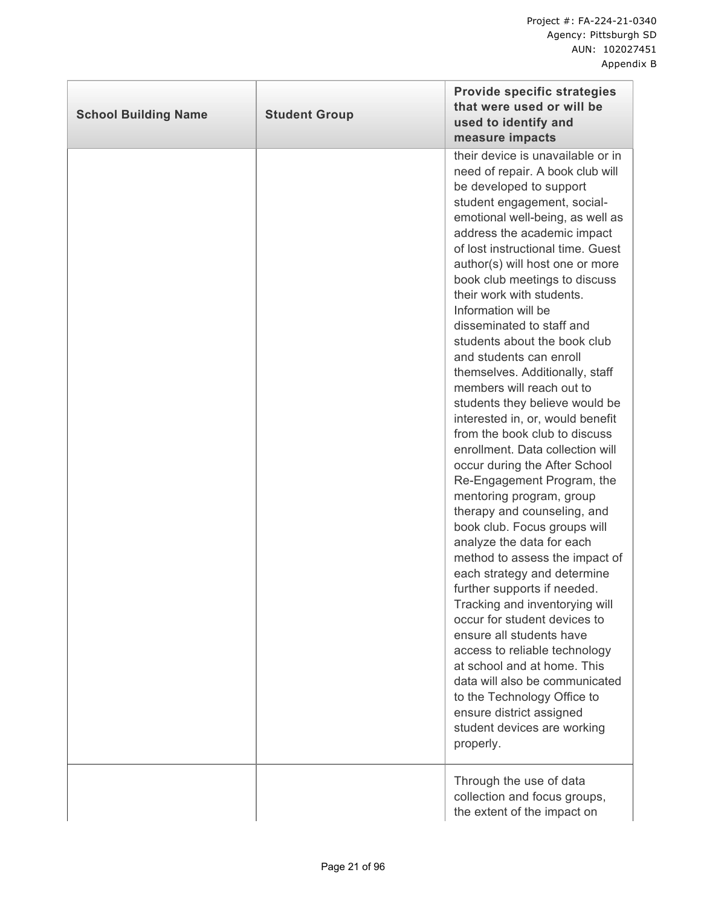| <b>School Building Name</b> | <b>Student Group</b> | <b>Provide specific strategies</b><br>that were used or will be<br>used to identify and<br>measure impacts                                                                                                                                                                                                                                                                                                                                                                                                                                                                                                                                                                                                                                                                                                                                                                                                                                                                                                                                                                                                                                                                                                                                                       |
|-----------------------------|----------------------|------------------------------------------------------------------------------------------------------------------------------------------------------------------------------------------------------------------------------------------------------------------------------------------------------------------------------------------------------------------------------------------------------------------------------------------------------------------------------------------------------------------------------------------------------------------------------------------------------------------------------------------------------------------------------------------------------------------------------------------------------------------------------------------------------------------------------------------------------------------------------------------------------------------------------------------------------------------------------------------------------------------------------------------------------------------------------------------------------------------------------------------------------------------------------------------------------------------------------------------------------------------|
|                             |                      | their device is unavailable or in<br>need of repair. A book club will<br>be developed to support<br>student engagement, social-<br>emotional well-being, as well as<br>address the academic impact<br>of lost instructional time. Guest<br>author(s) will host one or more<br>book club meetings to discuss<br>their work with students.<br>Information will be<br>disseminated to staff and<br>students about the book club<br>and students can enroll<br>themselves. Additionally, staff<br>members will reach out to<br>students they believe would be<br>interested in, or, would benefit<br>from the book club to discuss<br>enrollment. Data collection will<br>occur during the After School<br>Re-Engagement Program, the<br>mentoring program, group<br>therapy and counseling, and<br>book club. Focus groups will<br>analyze the data for each<br>method to assess the impact of<br>each strategy and determine<br>further supports if needed.<br>Tracking and inventorying will<br>occur for student devices to<br>ensure all students have<br>access to reliable technology<br>at school and at home. This<br>data will also be communicated<br>to the Technology Office to<br>ensure district assigned<br>student devices are working<br>properly. |
|                             |                      | Through the use of data<br>collection and focus groups,<br>the extent of the impact on                                                                                                                                                                                                                                                                                                                                                                                                                                                                                                                                                                                                                                                                                                                                                                                                                                                                                                                                                                                                                                                                                                                                                                           |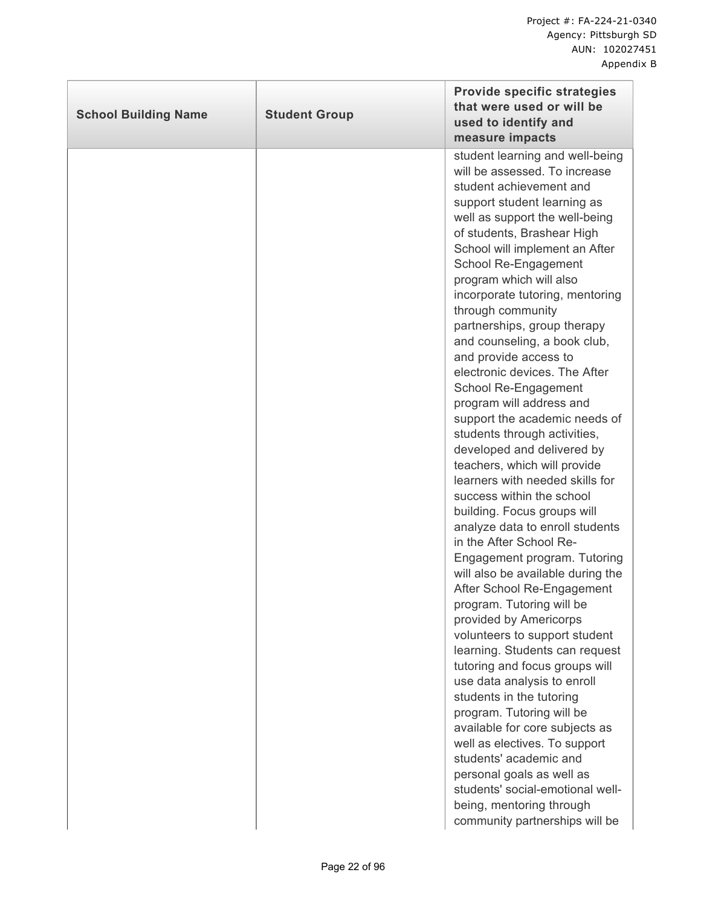| <b>School Building Name</b> | <b>Student Group</b> | <b>Provide specific strategies</b><br>that were used or will be<br>used to identify and<br>measure impacts                                                                                                                                                                                                                                                                                                                                                                                                                                                                                                                                                                                                                                                                                                                                                                                                                                                                                                                                                                                                                                                                                                                                                                                                                                                        |
|-----------------------------|----------------------|-------------------------------------------------------------------------------------------------------------------------------------------------------------------------------------------------------------------------------------------------------------------------------------------------------------------------------------------------------------------------------------------------------------------------------------------------------------------------------------------------------------------------------------------------------------------------------------------------------------------------------------------------------------------------------------------------------------------------------------------------------------------------------------------------------------------------------------------------------------------------------------------------------------------------------------------------------------------------------------------------------------------------------------------------------------------------------------------------------------------------------------------------------------------------------------------------------------------------------------------------------------------------------------------------------------------------------------------------------------------|
|                             |                      | student learning and well-being<br>will be assessed. To increase<br>student achievement and<br>support student learning as<br>well as support the well-being<br>of students, Brashear High<br>School will implement an After<br>School Re-Engagement<br>program which will also<br>incorporate tutoring, mentoring<br>through community<br>partnerships, group therapy<br>and counseling, a book club,<br>and provide access to<br>electronic devices. The After<br>School Re-Engagement<br>program will address and<br>support the academic needs of<br>students through activities,<br>developed and delivered by<br>teachers, which will provide<br>learners with needed skills for<br>success within the school<br>building. Focus groups will<br>analyze data to enroll students<br>in the After School Re-<br>Engagement program. Tutoring<br>will also be available during the<br>After School Re-Engagement<br>program. Tutoring will be<br>provided by Americorps<br>volunteers to support student<br>learning. Students can request<br>tutoring and focus groups will<br>use data analysis to enroll<br>students in the tutoring<br>program. Tutoring will be<br>available for core subjects as<br>well as electives. To support<br>students' academic and<br>personal goals as well as<br>students' social-emotional well-<br>being, mentoring through |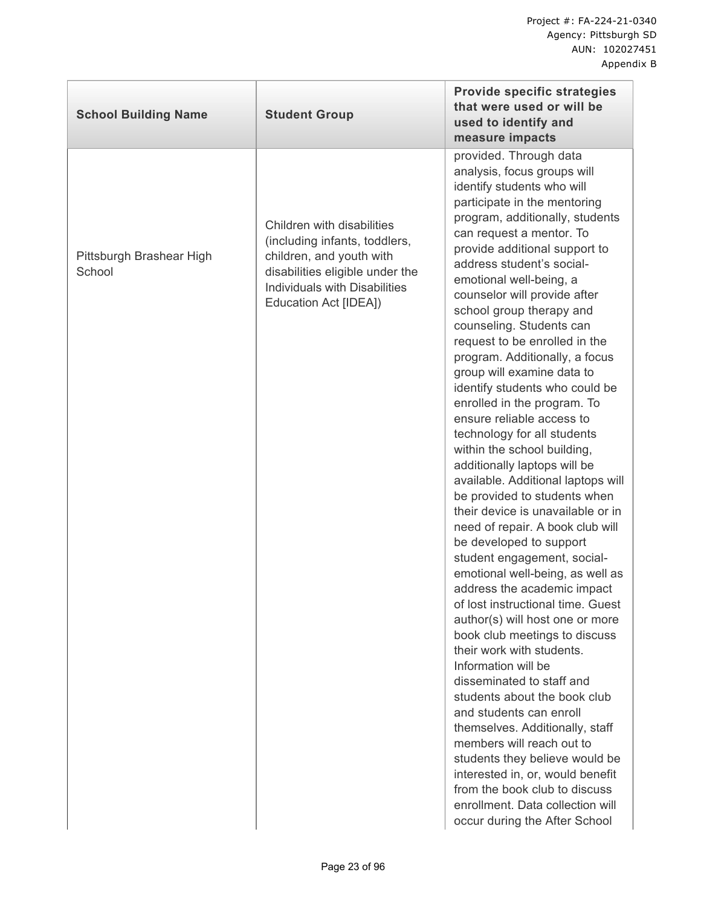| <b>School Building Name</b>        | <b>Student Group</b>                                                                                                                                                                 | <b>Provide specific strategies</b><br>that were used or will be<br>used to identify and<br>measure impacts                                                                                                                                                                                                                                                                                                                                                                                                                                                                                                                                                                                                                                                                                                                                                                                                                                                                                                                                                                                                                                                                                                                                                                                                                                                                                                                                    |
|------------------------------------|--------------------------------------------------------------------------------------------------------------------------------------------------------------------------------------|-----------------------------------------------------------------------------------------------------------------------------------------------------------------------------------------------------------------------------------------------------------------------------------------------------------------------------------------------------------------------------------------------------------------------------------------------------------------------------------------------------------------------------------------------------------------------------------------------------------------------------------------------------------------------------------------------------------------------------------------------------------------------------------------------------------------------------------------------------------------------------------------------------------------------------------------------------------------------------------------------------------------------------------------------------------------------------------------------------------------------------------------------------------------------------------------------------------------------------------------------------------------------------------------------------------------------------------------------------------------------------------------------------------------------------------------------|
| Pittsburgh Brashear High<br>School | Children with disabilities<br>(including infants, toddlers,<br>children, and youth with<br>disabilities eligible under the<br>Individuals with Disabilities<br>Education Act [IDEA]) | provided. Through data<br>analysis, focus groups will<br>identify students who will<br>participate in the mentoring<br>program, additionally, students<br>can request a mentor. To<br>provide additional support to<br>address student's social-<br>emotional well-being, a<br>counselor will provide after<br>school group therapy and<br>counseling. Students can<br>request to be enrolled in the<br>program. Additionally, a focus<br>group will examine data to<br>identify students who could be<br>enrolled in the program. To<br>ensure reliable access to<br>technology for all students<br>within the school building,<br>additionally laptops will be<br>available. Additional laptops will<br>be provided to students when<br>their device is unavailable or in<br>need of repair. A book club will<br>be developed to support<br>student engagement, social-<br>emotional well-being, as well as<br>address the academic impact<br>of lost instructional time. Guest<br>author(s) will host one or more<br>book club meetings to discuss<br>their work with students.<br>Information will be<br>disseminated to staff and<br>students about the book club<br>and students can enroll<br>themselves. Additionally, staff<br>members will reach out to<br>students they believe would be<br>interested in, or, would benefit<br>from the book club to discuss<br>enrollment. Data collection will<br>occur during the After School |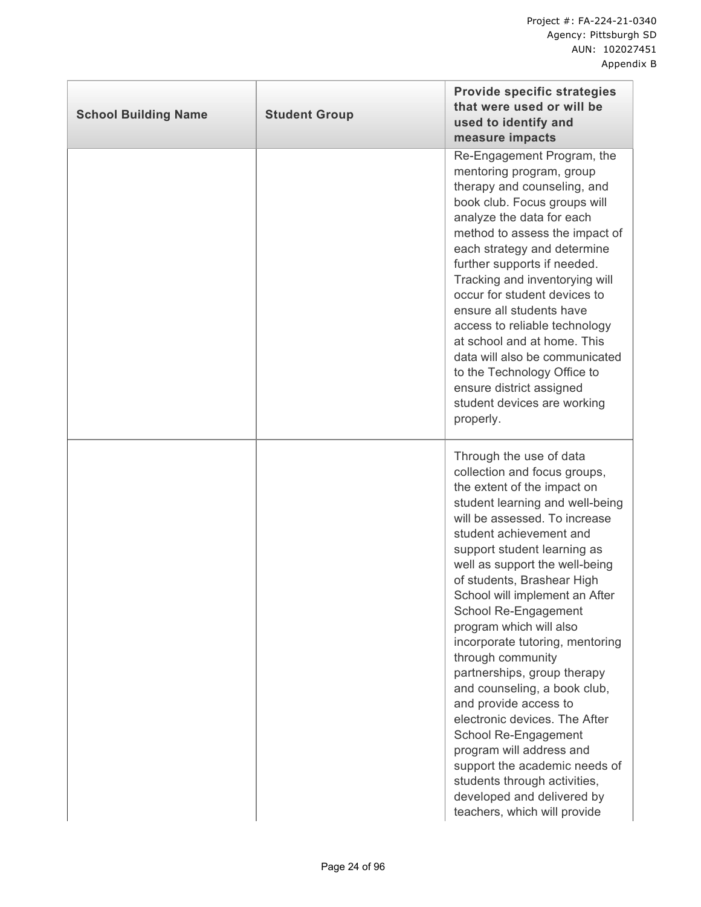| <b>School Building Name</b> | <b>Student Group</b> | <b>Provide specific strategies</b><br>that were used or will be<br>used to identify and<br>measure impacts                                                                                                                                                                                                                                                                                                                                                                                                                                                                                                                                                                                                                                    |
|-----------------------------|----------------------|-----------------------------------------------------------------------------------------------------------------------------------------------------------------------------------------------------------------------------------------------------------------------------------------------------------------------------------------------------------------------------------------------------------------------------------------------------------------------------------------------------------------------------------------------------------------------------------------------------------------------------------------------------------------------------------------------------------------------------------------------|
|                             |                      | Re-Engagement Program, the<br>mentoring program, group<br>therapy and counseling, and<br>book club. Focus groups will<br>analyze the data for each<br>method to assess the impact of<br>each strategy and determine<br>further supports if needed.<br>Tracking and inventorying will<br>occur for student devices to<br>ensure all students have<br>access to reliable technology<br>at school and at home. This<br>data will also be communicated<br>to the Technology Office to<br>ensure district assigned<br>student devices are working<br>properly.                                                                                                                                                                                     |
|                             |                      | Through the use of data<br>collection and focus groups,<br>the extent of the impact on<br>student learning and well-being<br>will be assessed. To increase<br>student achievement and<br>support student learning as<br>well as support the well-being<br>of students, Brashear High<br>School will implement an After<br>School Re-Engagement<br>program which will also<br>incorporate tutoring, mentoring<br>through community<br>partnerships, group therapy<br>and counseling, a book club,<br>and provide access to<br>electronic devices. The After<br>School Re-Engagement<br>program will address and<br>support the academic needs of<br>students through activities,<br>developed and delivered by<br>teachers, which will provide |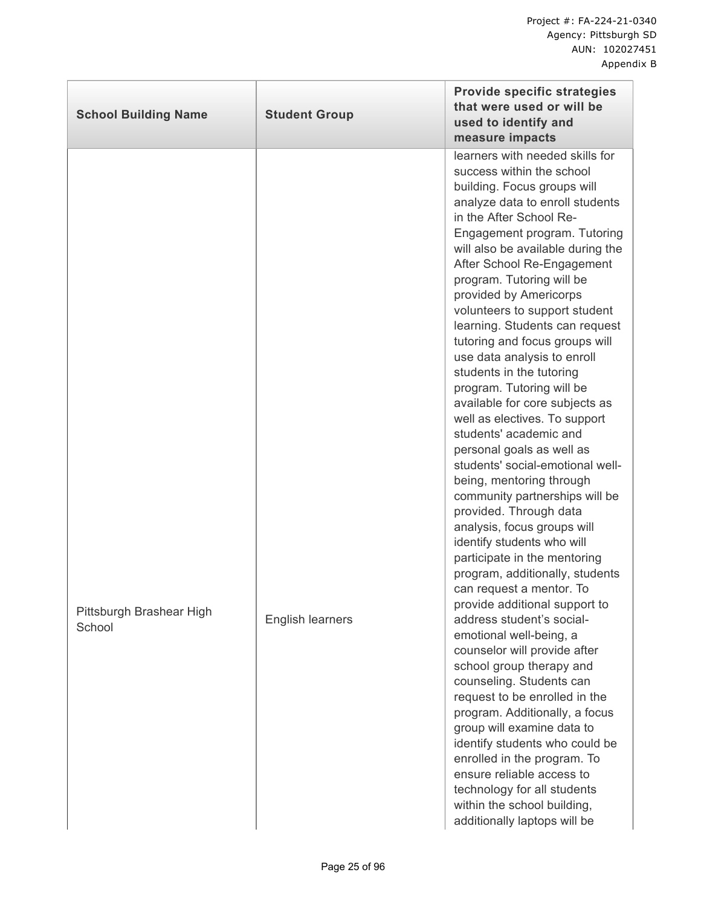| <b>School Building Name</b>        | <b>Student Group</b>    | <b>Provide specific strategies</b><br>that were used or will be<br>used to identify and<br>measure impacts                                                                                                                                                                                                                                                                                                                                                                                                                                                                                                                                                                                                                                                                                                                                                                                                                                                                                                                                                                                                                                           |
|------------------------------------|-------------------------|------------------------------------------------------------------------------------------------------------------------------------------------------------------------------------------------------------------------------------------------------------------------------------------------------------------------------------------------------------------------------------------------------------------------------------------------------------------------------------------------------------------------------------------------------------------------------------------------------------------------------------------------------------------------------------------------------------------------------------------------------------------------------------------------------------------------------------------------------------------------------------------------------------------------------------------------------------------------------------------------------------------------------------------------------------------------------------------------------------------------------------------------------|
| Pittsburgh Brashear High<br>School | <b>English learners</b> | learners with needed skills for<br>success within the school<br>building. Focus groups will<br>analyze data to enroll students<br>in the After School Re-<br>Engagement program. Tutoring<br>will also be available during the<br>After School Re-Engagement<br>program. Tutoring will be<br>provided by Americorps<br>volunteers to support student<br>learning. Students can request<br>tutoring and focus groups will<br>use data analysis to enroll<br>students in the tutoring<br>program. Tutoring will be<br>available for core subjects as<br>well as electives. To support<br>students' academic and<br>personal goals as well as<br>students' social-emotional well-<br>being, mentoring through<br>community partnerships will be<br>provided. Through data<br>analysis, focus groups will<br>identify students who will<br>participate in the mentoring<br>program, additionally, students<br>can request a mentor. To<br>provide additional support to<br>address student's social-<br>emotional well-being, a<br>counselor will provide after<br>school group therapy and<br>counseling. Students can<br>request to be enrolled in the |
|                                    |                         | program. Additionally, a focus<br>group will examine data to<br>identify students who could be<br>enrolled in the program. To<br>ensure reliable access to<br>technology for all students<br>within the school building,<br>additionally laptops will be                                                                                                                                                                                                                                                                                                                                                                                                                                                                                                                                                                                                                                                                                                                                                                                                                                                                                             |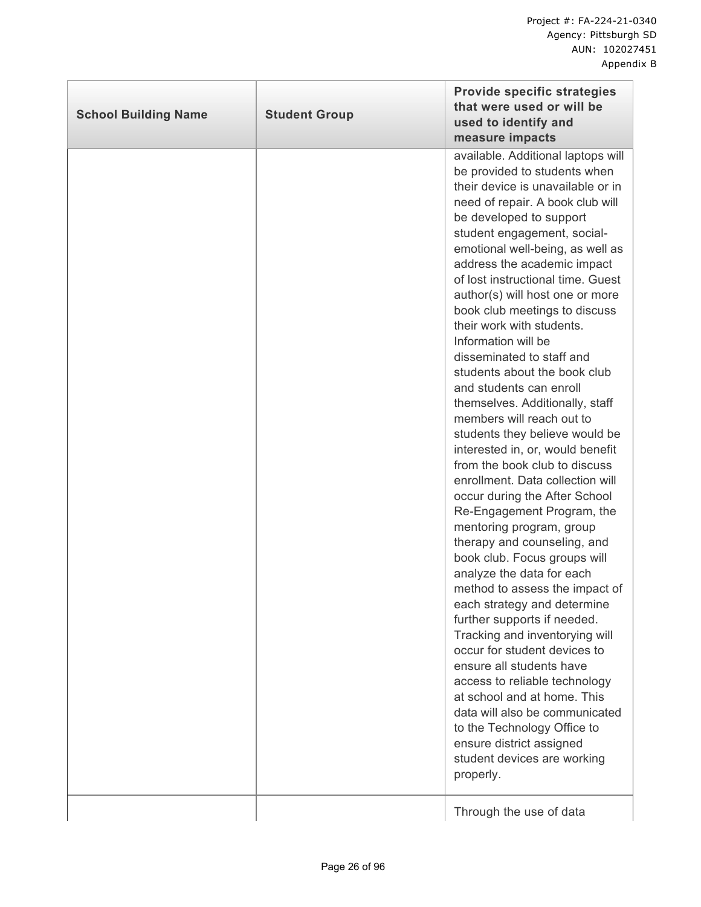| <b>School Building Name</b> | <b>Student Group</b> | <b>Provide specific strategies</b><br>that were used or will be<br>used to identify and<br>measure impacts                                                                                                                                                                                                                                                                                                                                                                                                                                                                                                                                                                                                                                                                                                                                                                                                                                                                                                                                                                                                                                                                                                                                                                                                                             |
|-----------------------------|----------------------|----------------------------------------------------------------------------------------------------------------------------------------------------------------------------------------------------------------------------------------------------------------------------------------------------------------------------------------------------------------------------------------------------------------------------------------------------------------------------------------------------------------------------------------------------------------------------------------------------------------------------------------------------------------------------------------------------------------------------------------------------------------------------------------------------------------------------------------------------------------------------------------------------------------------------------------------------------------------------------------------------------------------------------------------------------------------------------------------------------------------------------------------------------------------------------------------------------------------------------------------------------------------------------------------------------------------------------------|
|                             |                      | available. Additional laptops will<br>be provided to students when<br>their device is unavailable or in<br>need of repair. A book club will<br>be developed to support<br>student engagement, social-<br>emotional well-being, as well as<br>address the academic impact<br>of lost instructional time. Guest<br>author(s) will host one or more<br>book club meetings to discuss<br>their work with students.<br>Information will be<br>disseminated to staff and<br>students about the book club<br>and students can enroll<br>themselves. Additionally, staff<br>members will reach out to<br>students they believe would be<br>interested in, or, would benefit<br>from the book club to discuss<br>enrollment. Data collection will<br>occur during the After School<br>Re-Engagement Program, the<br>mentoring program, group<br>therapy and counseling, and<br>book club. Focus groups will<br>analyze the data for each<br>method to assess the impact of<br>each strategy and determine<br>further supports if needed.<br>Tracking and inventorying will<br>occur for student devices to<br>ensure all students have<br>access to reliable technology<br>at school and at home. This<br>data will also be communicated<br>to the Technology Office to<br>ensure district assigned<br>student devices are working<br>properly. |
|                             |                      | Through the use of data                                                                                                                                                                                                                                                                                                                                                                                                                                                                                                                                                                                                                                                                                                                                                                                                                                                                                                                                                                                                                                                                                                                                                                                                                                                                                                                |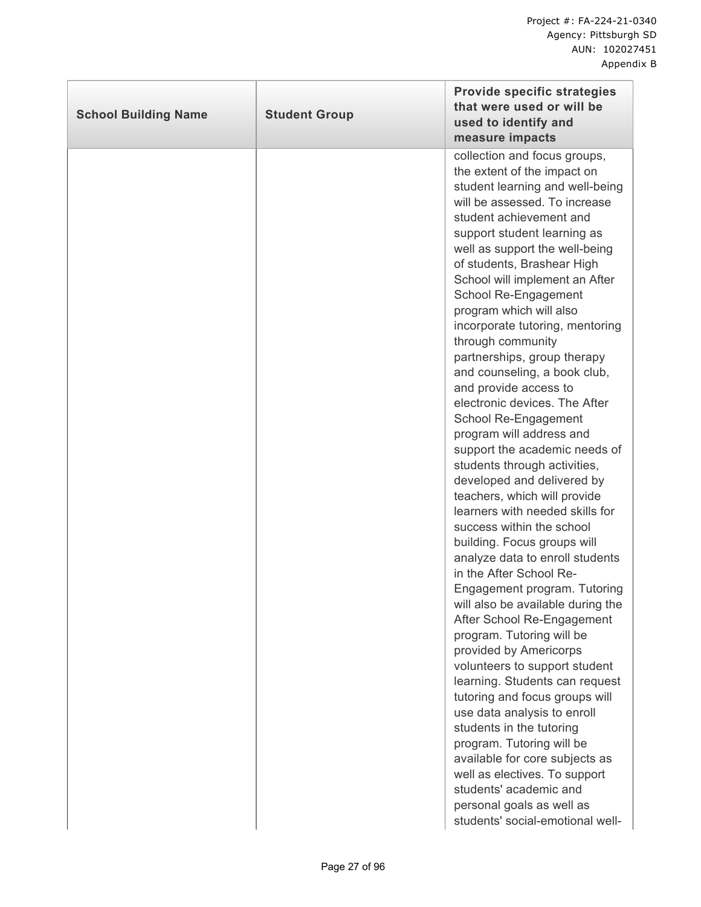| <b>School Building Name</b> | <b>Student Group</b> | <b>Provide specific strategies</b><br>that were used or will be<br>used to identify and<br>measure impacts                                                                                                                                                                                                                                                                                                                                                                                                                                                                                                                                                                                                                                                                                                                                                                                                                                                                                                                                                                                                                                                                                                                                                                                                                                                                                           |
|-----------------------------|----------------------|------------------------------------------------------------------------------------------------------------------------------------------------------------------------------------------------------------------------------------------------------------------------------------------------------------------------------------------------------------------------------------------------------------------------------------------------------------------------------------------------------------------------------------------------------------------------------------------------------------------------------------------------------------------------------------------------------------------------------------------------------------------------------------------------------------------------------------------------------------------------------------------------------------------------------------------------------------------------------------------------------------------------------------------------------------------------------------------------------------------------------------------------------------------------------------------------------------------------------------------------------------------------------------------------------------------------------------------------------------------------------------------------------|
|                             |                      | collection and focus groups,<br>the extent of the impact on<br>student learning and well-being<br>will be assessed. To increase<br>student achievement and<br>support student learning as<br>well as support the well-being<br>of students, Brashear High<br>School will implement an After<br>School Re-Engagement<br>program which will also<br>incorporate tutoring, mentoring<br>through community<br>partnerships, group therapy<br>and counseling, a book club,<br>and provide access to<br>electronic devices. The After<br>School Re-Engagement<br>program will address and<br>support the academic needs of<br>students through activities,<br>developed and delivered by<br>teachers, which will provide<br>learners with needed skills for<br>success within the school<br>building. Focus groups will<br>analyze data to enroll students<br>in the After School Re-<br>Engagement program. Tutoring<br>will also be available during the<br>After School Re-Engagement<br>program. Tutoring will be<br>provided by Americorps<br>volunteers to support student<br>learning. Students can request<br>tutoring and focus groups will<br>use data analysis to enroll<br>students in the tutoring<br>program. Tutoring will be<br>available for core subjects as<br>well as electives. To support<br>students' academic and<br>personal goals as well as<br>students' social-emotional well- |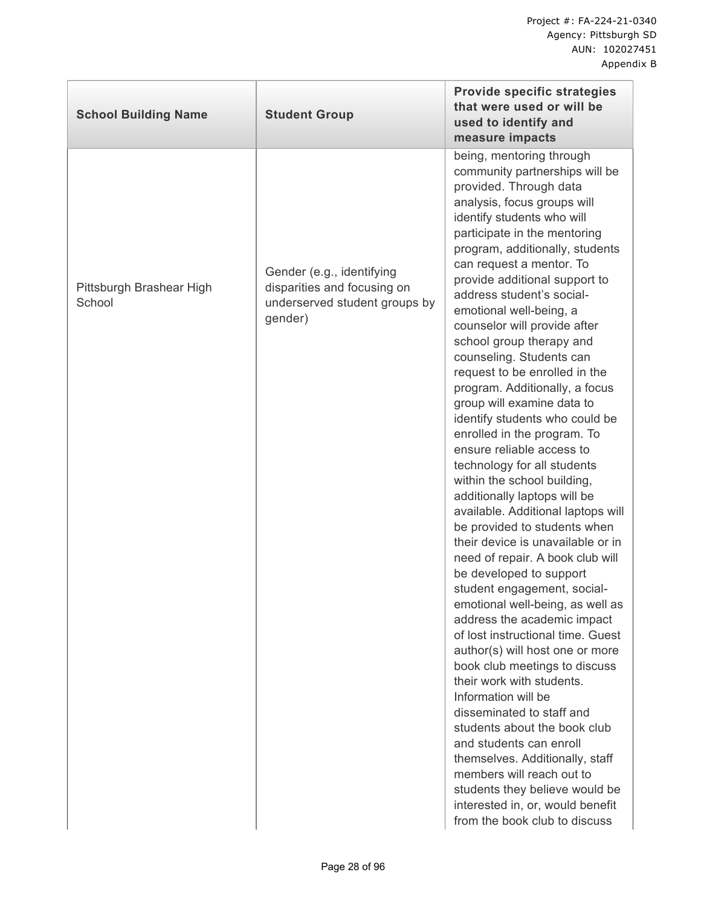| <b>School Building Name</b>        | <b>Student Group</b>                                                                                 | <b>Provide specific strategies</b><br>that were used or will be<br>used to identify and<br>measure impacts                                                                                                                                                                                                                                                                                                                                                                                                                                                                                                                                                                                                                                                                                                                                                                                                                                                                                                                                                                                                                                                                                                                                                                                                                                                                                                                             |
|------------------------------------|------------------------------------------------------------------------------------------------------|----------------------------------------------------------------------------------------------------------------------------------------------------------------------------------------------------------------------------------------------------------------------------------------------------------------------------------------------------------------------------------------------------------------------------------------------------------------------------------------------------------------------------------------------------------------------------------------------------------------------------------------------------------------------------------------------------------------------------------------------------------------------------------------------------------------------------------------------------------------------------------------------------------------------------------------------------------------------------------------------------------------------------------------------------------------------------------------------------------------------------------------------------------------------------------------------------------------------------------------------------------------------------------------------------------------------------------------------------------------------------------------------------------------------------------------|
| Pittsburgh Brashear High<br>School | Gender (e.g., identifying<br>disparities and focusing on<br>underserved student groups by<br>gender) | being, mentoring through<br>community partnerships will be<br>provided. Through data<br>analysis, focus groups will<br>identify students who will<br>participate in the mentoring<br>program, additionally, students<br>can request a mentor. To<br>provide additional support to<br>address student's social-<br>emotional well-being, a<br>counselor will provide after<br>school group therapy and<br>counseling. Students can<br>request to be enrolled in the<br>program. Additionally, a focus<br>group will examine data to<br>identify students who could be<br>enrolled in the program. To<br>ensure reliable access to<br>technology for all students<br>within the school building,<br>additionally laptops will be<br>available. Additional laptops will<br>be provided to students when<br>their device is unavailable or in<br>need of repair. A book club will<br>be developed to support<br>student engagement, social-<br>emotional well-being, as well as<br>address the academic impact<br>of lost instructional time. Guest<br>author(s) will host one or more<br>book club meetings to discuss<br>their work with students.<br>Information will be<br>disseminated to staff and<br>students about the book club<br>and students can enroll<br>themselves. Additionally, staff<br>members will reach out to<br>students they believe would be<br>interested in, or, would benefit<br>from the book club to discuss |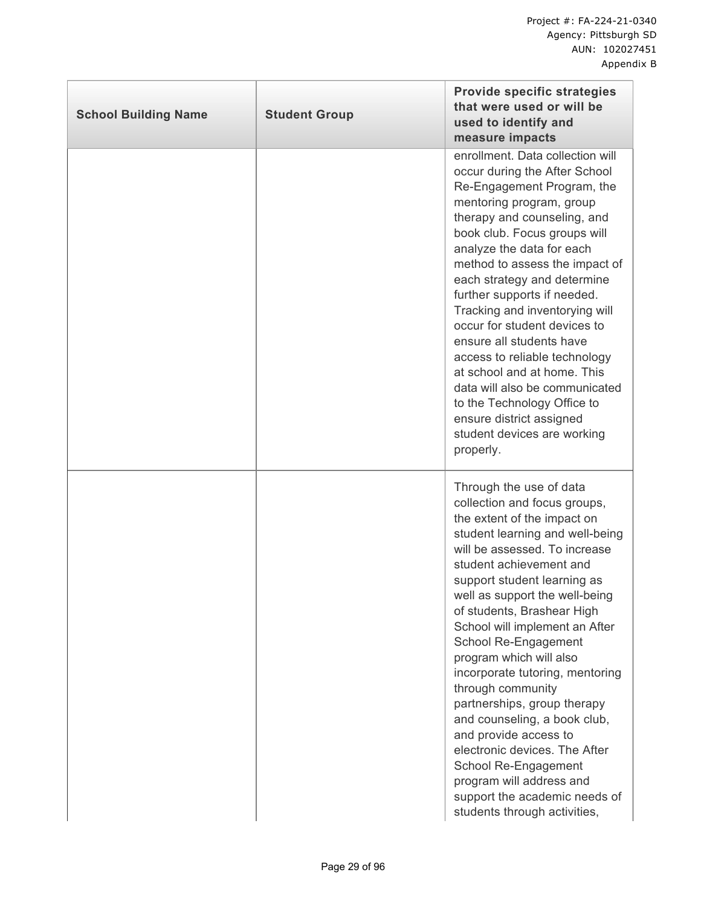| <b>School Building Name</b> | <b>Student Group</b> | <b>Provide specific strategies</b><br>that were used or will be<br>used to identify and<br>measure impacts                                                                                                                                                                                                                                                                                                                                                                                                                                                                                                                                                                      |
|-----------------------------|----------------------|---------------------------------------------------------------------------------------------------------------------------------------------------------------------------------------------------------------------------------------------------------------------------------------------------------------------------------------------------------------------------------------------------------------------------------------------------------------------------------------------------------------------------------------------------------------------------------------------------------------------------------------------------------------------------------|
|                             |                      | enrollment. Data collection will<br>occur during the After School<br>Re-Engagement Program, the<br>mentoring program, group<br>therapy and counseling, and<br>book club. Focus groups will<br>analyze the data for each<br>method to assess the impact of<br>each strategy and determine<br>further supports if needed.<br>Tracking and inventorying will<br>occur for student devices to<br>ensure all students have<br>access to reliable technology<br>at school and at home. This<br>data will also be communicated<br>to the Technology Office to<br>ensure district assigned<br>student devices are working<br>properly.                                                  |
|                             |                      | Through the use of data<br>collection and focus groups,<br>the extent of the impact on<br>student learning and well-being<br>will be assessed. To increase<br>student achievement and<br>support student learning as<br>well as support the well-being<br>of students, Brashear High<br>School will implement an After<br>School Re-Engagement<br>program which will also<br>incorporate tutoring, mentoring<br>through community<br>partnerships, group therapy<br>and counseling, a book club,<br>and provide access to<br>electronic devices. The After<br>School Re-Engagement<br>program will address and<br>support the academic needs of<br>students through activities, |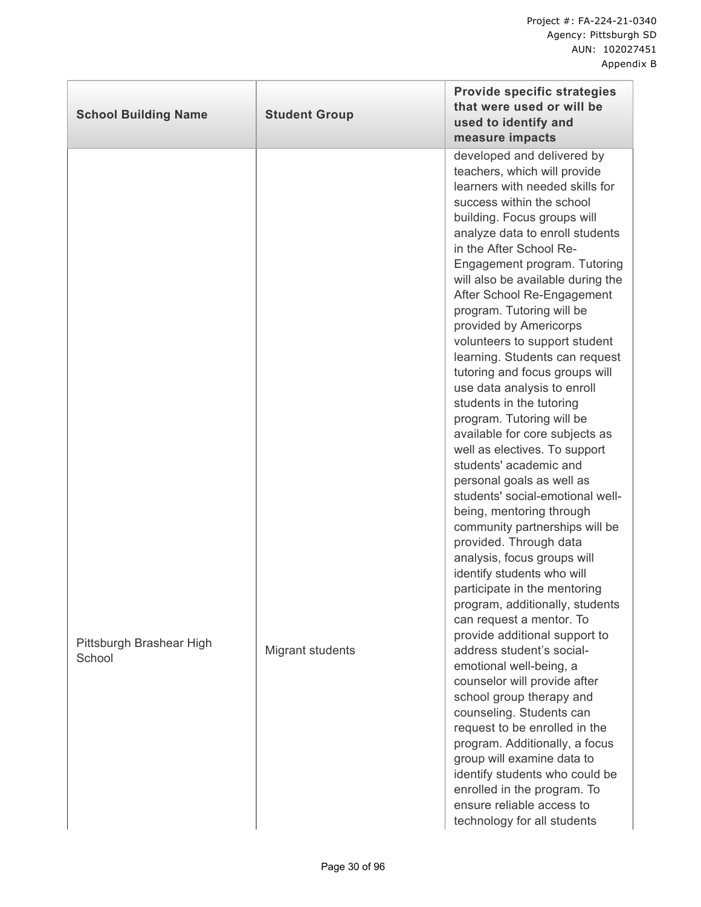| <b>School Building Name</b>        | <b>Student Group</b>    | <b>Provide specific strategies</b><br>that were used or will be<br>used to identify and<br>measure impacts                                                                                                                                                                                                                                                                                                                                                                                                                                                                                                                                                                                                                                                                                                                                                                                                                                                                                                                                                                                                                                                                                                                                                                                                                                                                                                      |
|------------------------------------|-------------------------|-----------------------------------------------------------------------------------------------------------------------------------------------------------------------------------------------------------------------------------------------------------------------------------------------------------------------------------------------------------------------------------------------------------------------------------------------------------------------------------------------------------------------------------------------------------------------------------------------------------------------------------------------------------------------------------------------------------------------------------------------------------------------------------------------------------------------------------------------------------------------------------------------------------------------------------------------------------------------------------------------------------------------------------------------------------------------------------------------------------------------------------------------------------------------------------------------------------------------------------------------------------------------------------------------------------------------------------------------------------------------------------------------------------------|
| Pittsburgh Brashear High<br>School | <b>Migrant students</b> | developed and delivered by<br>teachers, which will provide<br>learners with needed skills for<br>success within the school<br>building. Focus groups will<br>analyze data to enroll students<br>in the After School Re-<br>Engagement program. Tutoring<br>will also be available during the<br>After School Re-Engagement<br>program. Tutoring will be<br>provided by Americorps<br>volunteers to support student<br>learning. Students can request<br>tutoring and focus groups will<br>use data analysis to enroll<br>students in the tutoring<br>program. Tutoring will be<br>available for core subjects as<br>well as electives. To support<br>students' academic and<br>personal goals as well as<br>students' social-emotional well-<br>being, mentoring through<br>community partnerships will be<br>provided. Through data<br>analysis, focus groups will<br>identify students who will<br>participate in the mentoring<br>program, additionally, students<br>can request a mentor. To<br>provide additional support to<br>address student's social-<br>emotional well-being, a<br>counselor will provide after<br>school group therapy and<br>counseling. Students can<br>request to be enrolled in the<br>program. Additionally, a focus<br>group will examine data to<br>identify students who could be<br>enrolled in the program. To<br>ensure reliable access to<br>technology for all students |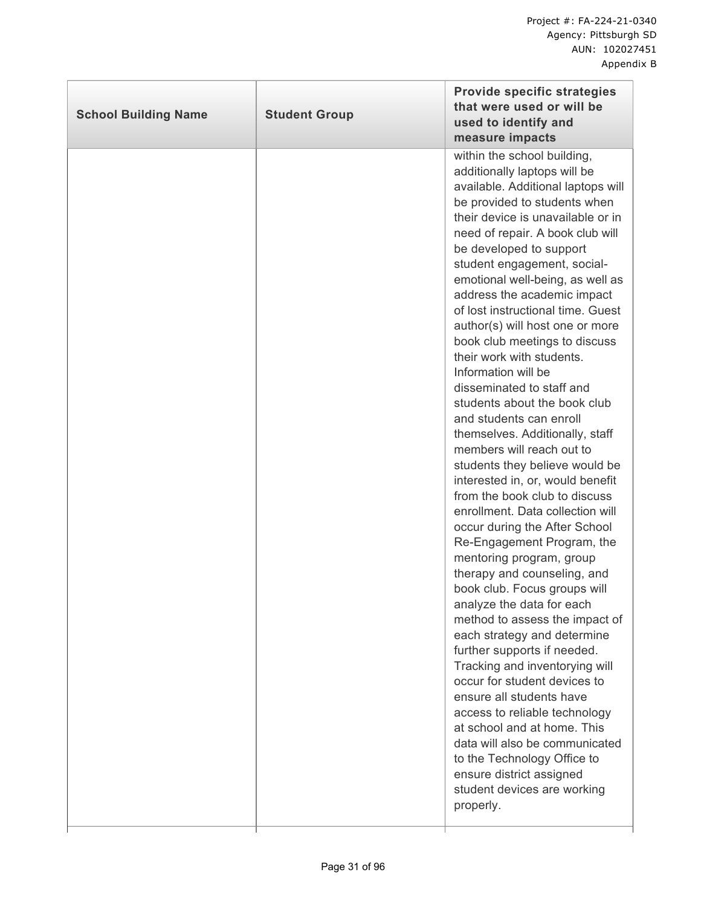| <b>School Building Name</b> | <b>Student Group</b> | <b>Provide specific strategies</b><br>that were used or will be<br>used to identify and<br>measure impacts                                                                                                                                                                                                                                                                                                                                                                                                                                                                                                                                                                                                                                                                                                                                                                                                                                                                                                                                                                                                                                                                                                                                                                                                                                                                                            |
|-----------------------------|----------------------|-------------------------------------------------------------------------------------------------------------------------------------------------------------------------------------------------------------------------------------------------------------------------------------------------------------------------------------------------------------------------------------------------------------------------------------------------------------------------------------------------------------------------------------------------------------------------------------------------------------------------------------------------------------------------------------------------------------------------------------------------------------------------------------------------------------------------------------------------------------------------------------------------------------------------------------------------------------------------------------------------------------------------------------------------------------------------------------------------------------------------------------------------------------------------------------------------------------------------------------------------------------------------------------------------------------------------------------------------------------------------------------------------------|
|                             |                      | within the school building,<br>additionally laptops will be<br>available. Additional laptops will<br>be provided to students when<br>their device is unavailable or in<br>need of repair. A book club will<br>be developed to support<br>student engagement, social-<br>emotional well-being, as well as<br>address the academic impact<br>of lost instructional time. Guest<br>author(s) will host one or more<br>book club meetings to discuss<br>their work with students.<br>Information will be<br>disseminated to staff and<br>students about the book club<br>and students can enroll<br>themselves. Additionally, staff<br>members will reach out to<br>students they believe would be<br>interested in, or, would benefit<br>from the book club to discuss<br>enrollment. Data collection will<br>occur during the After School<br>Re-Engagement Program, the<br>mentoring program, group<br>therapy and counseling, and<br>book club. Focus groups will<br>analyze the data for each<br>method to assess the impact of<br>each strategy and determine<br>further supports if needed.<br>Tracking and inventorying will<br>occur for student devices to<br>ensure all students have<br>access to reliable technology<br>at school and at home. This<br>data will also be communicated<br>to the Technology Office to<br>ensure district assigned<br>student devices are working<br>properly. |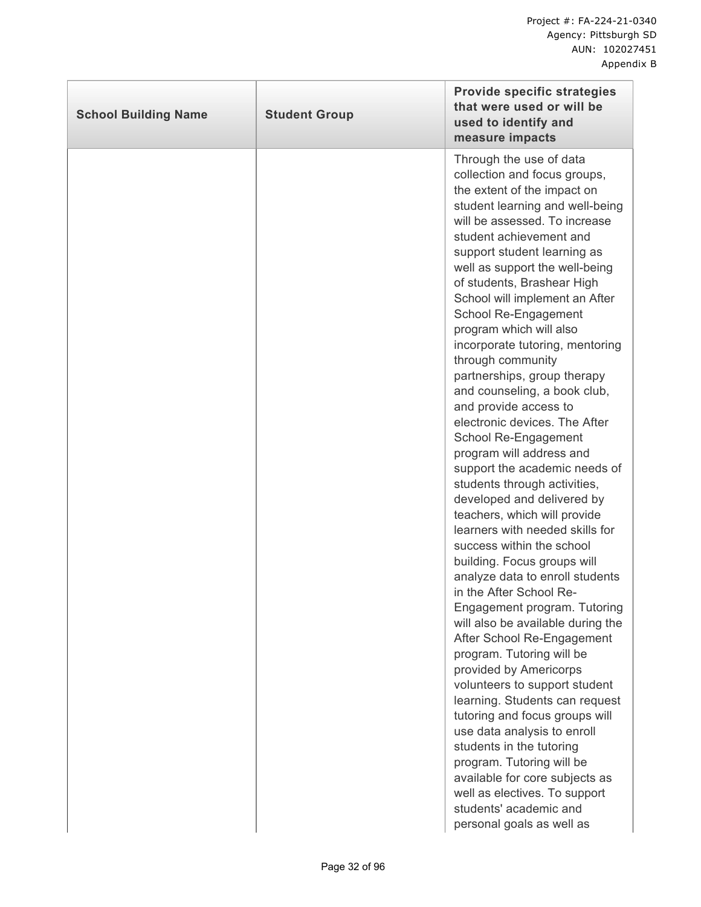| <b>School Building Name</b> | <b>Student Group</b> | <b>Provide specific strategies</b><br>that were used or will be<br>used to identify and<br>measure impacts                                                                                                                                                                                                                                                                                                                                                                                                                                                                                                                                                                                                                                                                                                                                                                                                                                                                                                                                                                                                                                                                                                                                                                                                                                                                                  |
|-----------------------------|----------------------|---------------------------------------------------------------------------------------------------------------------------------------------------------------------------------------------------------------------------------------------------------------------------------------------------------------------------------------------------------------------------------------------------------------------------------------------------------------------------------------------------------------------------------------------------------------------------------------------------------------------------------------------------------------------------------------------------------------------------------------------------------------------------------------------------------------------------------------------------------------------------------------------------------------------------------------------------------------------------------------------------------------------------------------------------------------------------------------------------------------------------------------------------------------------------------------------------------------------------------------------------------------------------------------------------------------------------------------------------------------------------------------------|
|                             |                      | Through the use of data<br>collection and focus groups,<br>the extent of the impact on<br>student learning and well-being<br>will be assessed. To increase<br>student achievement and<br>support student learning as<br>well as support the well-being<br>of students, Brashear High<br>School will implement an After<br>School Re-Engagement<br>program which will also<br>incorporate tutoring, mentoring<br>through community<br>partnerships, group therapy<br>and counseling, a book club,<br>and provide access to<br>electronic devices. The After<br>School Re-Engagement<br>program will address and<br>support the academic needs of<br>students through activities,<br>developed and delivered by<br>teachers, which will provide<br>learners with needed skills for<br>success within the school<br>building. Focus groups will<br>analyze data to enroll students<br>in the After School Re-<br>Engagement program. Tutoring<br>will also be available during the<br>After School Re-Engagement<br>program. Tutoring will be<br>provided by Americorps<br>volunteers to support student<br>learning. Students can request<br>tutoring and focus groups will<br>use data analysis to enroll<br>students in the tutoring<br>program. Tutoring will be<br>available for core subjects as<br>well as electives. To support<br>students' academic and<br>personal goals as well as |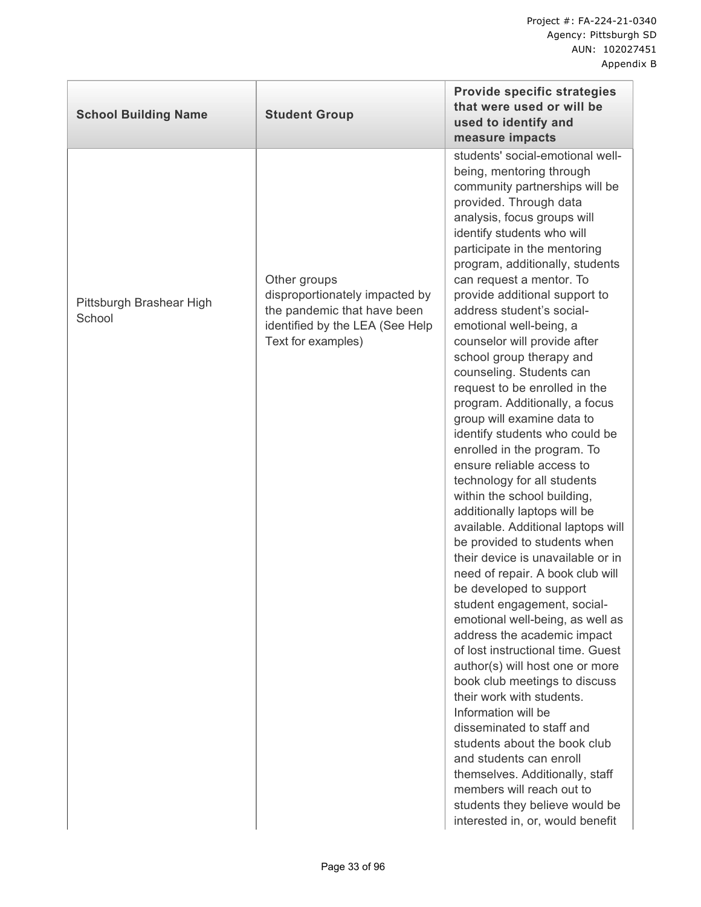| <b>School Building Name</b>        | <b>Student Group</b>                                                                                                                   | <b>Provide specific strategies</b><br>that were used or will be<br>used to identify and<br>measure impacts                                                                                                                                                                                                                                                                                                                                                                                                                                                                                                                                                                                                                                                                                                                                                                                                                                                                                                                                                                                                                                                                                                                                                                                                                                                                                                                                |
|------------------------------------|----------------------------------------------------------------------------------------------------------------------------------------|-------------------------------------------------------------------------------------------------------------------------------------------------------------------------------------------------------------------------------------------------------------------------------------------------------------------------------------------------------------------------------------------------------------------------------------------------------------------------------------------------------------------------------------------------------------------------------------------------------------------------------------------------------------------------------------------------------------------------------------------------------------------------------------------------------------------------------------------------------------------------------------------------------------------------------------------------------------------------------------------------------------------------------------------------------------------------------------------------------------------------------------------------------------------------------------------------------------------------------------------------------------------------------------------------------------------------------------------------------------------------------------------------------------------------------------------|
| Pittsburgh Brashear High<br>School | Other groups<br>disproportionately impacted by<br>the pandemic that have been<br>identified by the LEA (See Help<br>Text for examples) | students' social-emotional well-<br>being, mentoring through<br>community partnerships will be<br>provided. Through data<br>analysis, focus groups will<br>identify students who will<br>participate in the mentoring<br>program, additionally, students<br>can request a mentor. To<br>provide additional support to<br>address student's social-<br>emotional well-being, a<br>counselor will provide after<br>school group therapy and<br>counseling. Students can<br>request to be enrolled in the<br>program. Additionally, a focus<br>group will examine data to<br>identify students who could be<br>enrolled in the program. To<br>ensure reliable access to<br>technology for all students<br>within the school building,<br>additionally laptops will be<br>available. Additional laptops will<br>be provided to students when<br>their device is unavailable or in<br>need of repair. A book club will<br>be developed to support<br>student engagement, social-<br>emotional well-being, as well as<br>address the academic impact<br>of lost instructional time. Guest<br>author(s) will host one or more<br>book club meetings to discuss<br>their work with students.<br>Information will be<br>disseminated to staff and<br>students about the book club<br>and students can enroll<br>themselves. Additionally, staff<br>members will reach out to<br>students they believe would be<br>interested in, or, would benefit |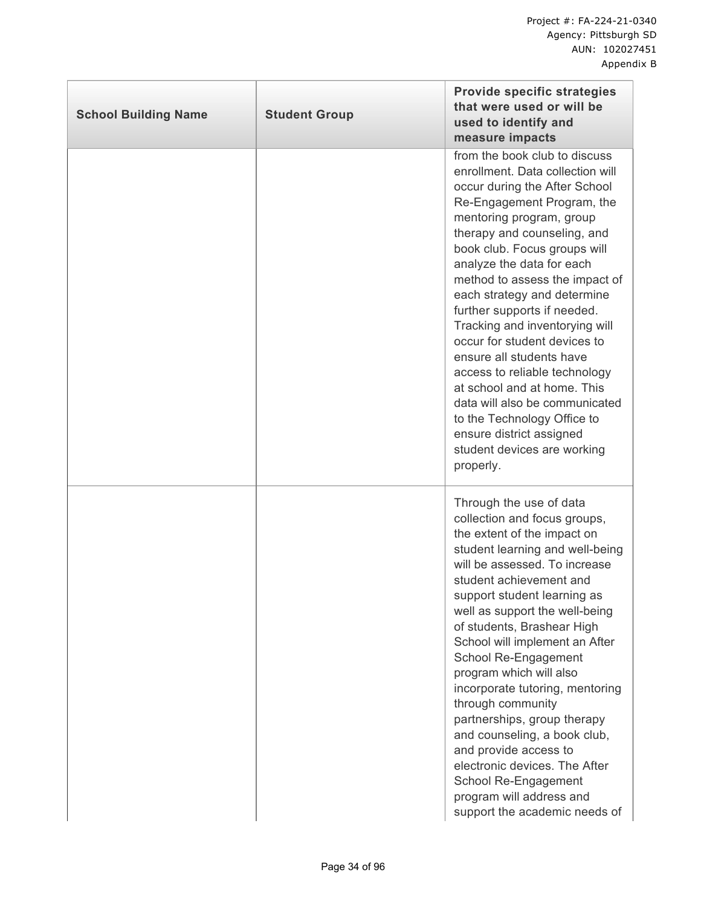| <b>School Building Name</b> | <b>Student Group</b> | <b>Provide specific strategies</b><br>that were used or will be<br>used to identify and<br>measure impacts                                                                                                                                                                                                                                                                                                                                                                                                                                                                                                                                                      |
|-----------------------------|----------------------|-----------------------------------------------------------------------------------------------------------------------------------------------------------------------------------------------------------------------------------------------------------------------------------------------------------------------------------------------------------------------------------------------------------------------------------------------------------------------------------------------------------------------------------------------------------------------------------------------------------------------------------------------------------------|
|                             |                      | from the book club to discuss<br>enrollment. Data collection will<br>occur during the After School<br>Re-Engagement Program, the<br>mentoring program, group<br>therapy and counseling, and<br>book club. Focus groups will<br>analyze the data for each<br>method to assess the impact of<br>each strategy and determine<br>further supports if needed.<br>Tracking and inventorying will<br>occur for student devices to<br>ensure all students have<br>access to reliable technology<br>at school and at home. This<br>data will also be communicated<br>to the Technology Office to<br>ensure district assigned<br>student devices are working<br>properly. |
|                             |                      | Through the use of data<br>collection and focus groups,<br>the extent of the impact on<br>student learning and well-being<br>will be assessed. To increase<br>student achievement and<br>support student learning as<br>well as support the well-being<br>of students, Brashear High<br>School will implement an After<br>School Re-Engagement<br>program which will also<br>incorporate tutoring, mentoring<br>through community<br>partnerships, group therapy<br>and counseling, a book club,<br>and provide access to<br>electronic devices. The After<br>School Re-Engagement<br>program will address and<br>support the academic needs of                 |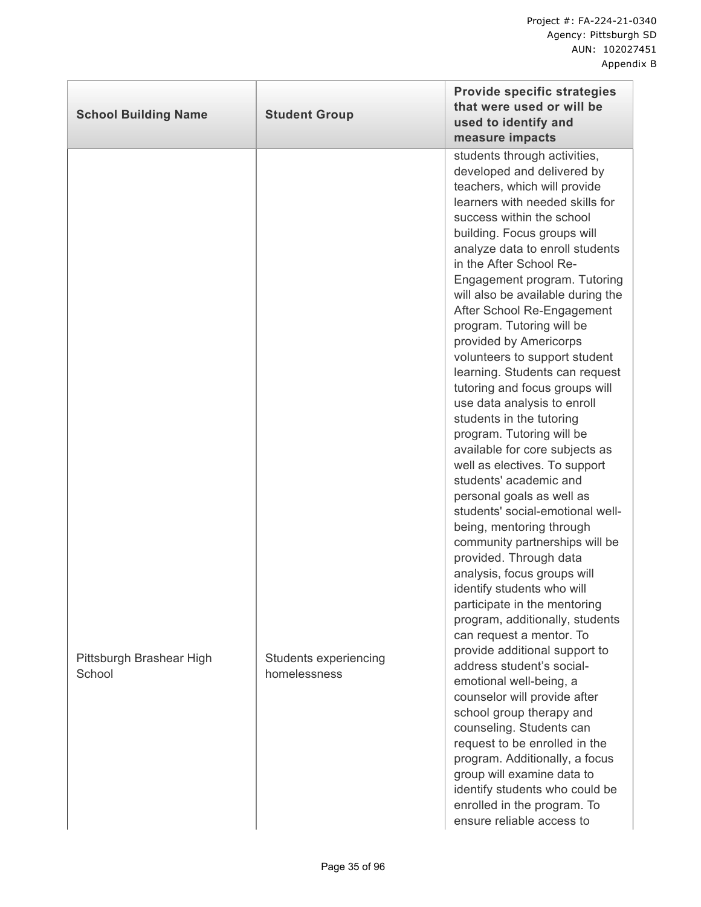| <b>School Building Name</b>        | <b>Student Group</b>                  | <b>Provide specific strategies</b><br>that were used or will be<br>used to identify and<br>measure impacts                                                                                                                                                                                                                                                                                                                                                                                                                                                                                                                                                                                                                                                                                                                                                                                                                                                                                                                                                                                                                                                                                                                                                                                                                                                                                                       |
|------------------------------------|---------------------------------------|------------------------------------------------------------------------------------------------------------------------------------------------------------------------------------------------------------------------------------------------------------------------------------------------------------------------------------------------------------------------------------------------------------------------------------------------------------------------------------------------------------------------------------------------------------------------------------------------------------------------------------------------------------------------------------------------------------------------------------------------------------------------------------------------------------------------------------------------------------------------------------------------------------------------------------------------------------------------------------------------------------------------------------------------------------------------------------------------------------------------------------------------------------------------------------------------------------------------------------------------------------------------------------------------------------------------------------------------------------------------------------------------------------------|
| Pittsburgh Brashear High<br>School | Students experiencing<br>homelessness | students through activities,<br>developed and delivered by<br>teachers, which will provide<br>learners with needed skills for<br>success within the school<br>building. Focus groups will<br>analyze data to enroll students<br>in the After School Re-<br>Engagement program. Tutoring<br>will also be available during the<br>After School Re-Engagement<br>program. Tutoring will be<br>provided by Americorps<br>volunteers to support student<br>learning. Students can request<br>tutoring and focus groups will<br>use data analysis to enroll<br>students in the tutoring<br>program. Tutoring will be<br>available for core subjects as<br>well as electives. To support<br>students' academic and<br>personal goals as well as<br>students' social-emotional well-<br>being, mentoring through<br>community partnerships will be<br>provided. Through data<br>analysis, focus groups will<br>identify students who will<br>participate in the mentoring<br>program, additionally, students<br>can request a mentor. To<br>provide additional support to<br>address student's social-<br>emotional well-being, a<br>counselor will provide after<br>school group therapy and<br>counseling. Students can<br>request to be enrolled in the<br>program. Additionally, a focus<br>group will examine data to<br>identify students who could be<br>enrolled in the program. To<br>ensure reliable access to |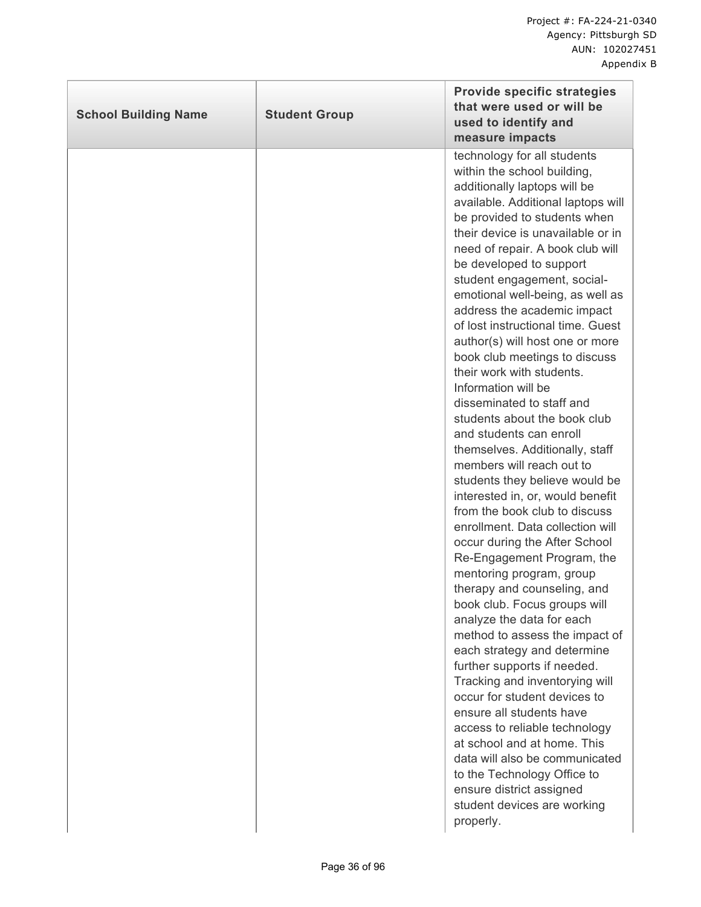| <b>School Building Name</b> | <b>Student Group</b> | <b>Provide specific strategies</b><br>that were used or will be<br>used to identify and<br>measure impacts                                                                                                                                                                                                                                                                                                                                                                                                                                                                                                                                                                                                                                                                                                                                                                                                                                                                                                                                                                                                                                                                                                                                                                                                                                                                                                              |
|-----------------------------|----------------------|-------------------------------------------------------------------------------------------------------------------------------------------------------------------------------------------------------------------------------------------------------------------------------------------------------------------------------------------------------------------------------------------------------------------------------------------------------------------------------------------------------------------------------------------------------------------------------------------------------------------------------------------------------------------------------------------------------------------------------------------------------------------------------------------------------------------------------------------------------------------------------------------------------------------------------------------------------------------------------------------------------------------------------------------------------------------------------------------------------------------------------------------------------------------------------------------------------------------------------------------------------------------------------------------------------------------------------------------------------------------------------------------------------------------------|
|                             |                      | technology for all students<br>within the school building,<br>additionally laptops will be<br>available. Additional laptops will<br>be provided to students when<br>their device is unavailable or in<br>need of repair. A book club will<br>be developed to support<br>student engagement, social-<br>emotional well-being, as well as<br>address the academic impact<br>of lost instructional time. Guest<br>author(s) will host one or more<br>book club meetings to discuss<br>their work with students.<br>Information will be<br>disseminated to staff and<br>students about the book club<br>and students can enroll<br>themselves. Additionally, staff<br>members will reach out to<br>students they believe would be<br>interested in, or, would benefit<br>from the book club to discuss<br>enrollment. Data collection will<br>occur during the After School<br>Re-Engagement Program, the<br>mentoring program, group<br>therapy and counseling, and<br>book club. Focus groups will<br>analyze the data for each<br>method to assess the impact of<br>each strategy and determine<br>further supports if needed.<br>Tracking and inventorying will<br>occur for student devices to<br>ensure all students have<br>access to reliable technology<br>at school and at home. This<br>data will also be communicated<br>to the Technology Office to<br>ensure district assigned<br>student devices are working |
|                             |                      | properly.                                                                                                                                                                                                                                                                                                                                                                                                                                                                                                                                                                                                                                                                                                                                                                                                                                                                                                                                                                                                                                                                                                                                                                                                                                                                                                                                                                                                               |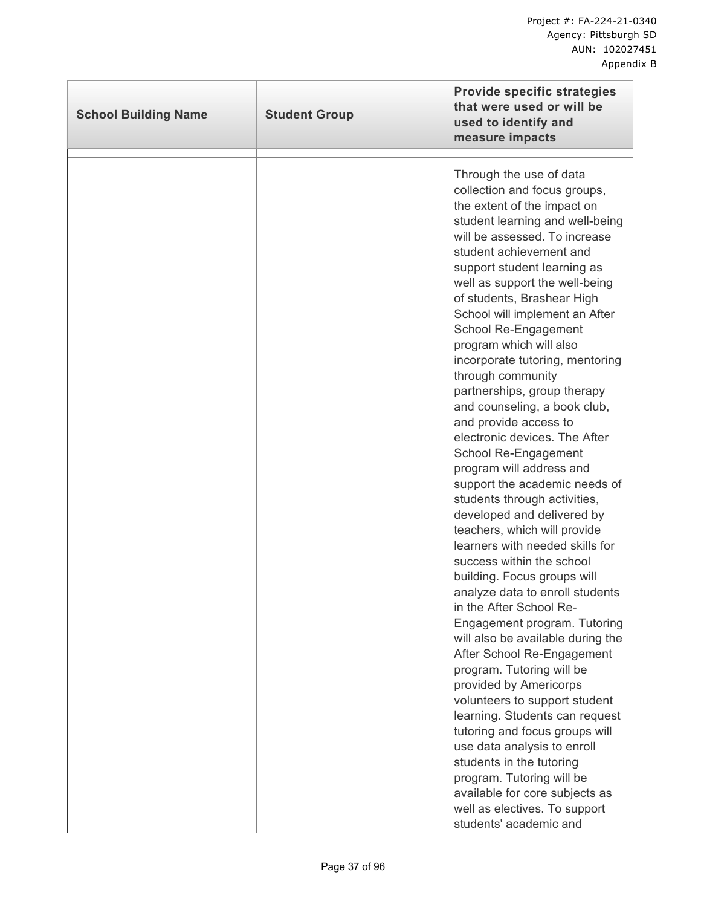| <b>School Building Name</b> | <b>Student Group</b> | <b>Provide specific strategies</b><br>that were used or will be<br>used to identify and<br>measure impacts                                                                                                                                                                                                                                                                                                                                                                                                                                                                                                                                                                                                                                                                                                                                                                                                                                                                                                                                                                                                                                                                                                                                                                                                                                                     |
|-----------------------------|----------------------|----------------------------------------------------------------------------------------------------------------------------------------------------------------------------------------------------------------------------------------------------------------------------------------------------------------------------------------------------------------------------------------------------------------------------------------------------------------------------------------------------------------------------------------------------------------------------------------------------------------------------------------------------------------------------------------------------------------------------------------------------------------------------------------------------------------------------------------------------------------------------------------------------------------------------------------------------------------------------------------------------------------------------------------------------------------------------------------------------------------------------------------------------------------------------------------------------------------------------------------------------------------------------------------------------------------------------------------------------------------|
|                             |                      | Through the use of data<br>collection and focus groups,<br>the extent of the impact on<br>student learning and well-being<br>will be assessed. To increase<br>student achievement and<br>support student learning as<br>well as support the well-being<br>of students, Brashear High<br>School will implement an After<br>School Re-Engagement<br>program which will also<br>incorporate tutoring, mentoring<br>through community<br>partnerships, group therapy<br>and counseling, a book club,<br>and provide access to<br>electronic devices. The After<br>School Re-Engagement<br>program will address and<br>support the academic needs of<br>students through activities,<br>developed and delivered by<br>teachers, which will provide<br>learners with needed skills for<br>success within the school<br>building. Focus groups will<br>analyze data to enroll students<br>in the After School Re-<br>Engagement program. Tutoring<br>will also be available during the<br>After School Re-Engagement<br>program. Tutoring will be<br>provided by Americorps<br>volunteers to support student<br>learning. Students can request<br>tutoring and focus groups will<br>use data analysis to enroll<br>students in the tutoring<br>program. Tutoring will be<br>available for core subjects as<br>well as electives. To support<br>students' academic and |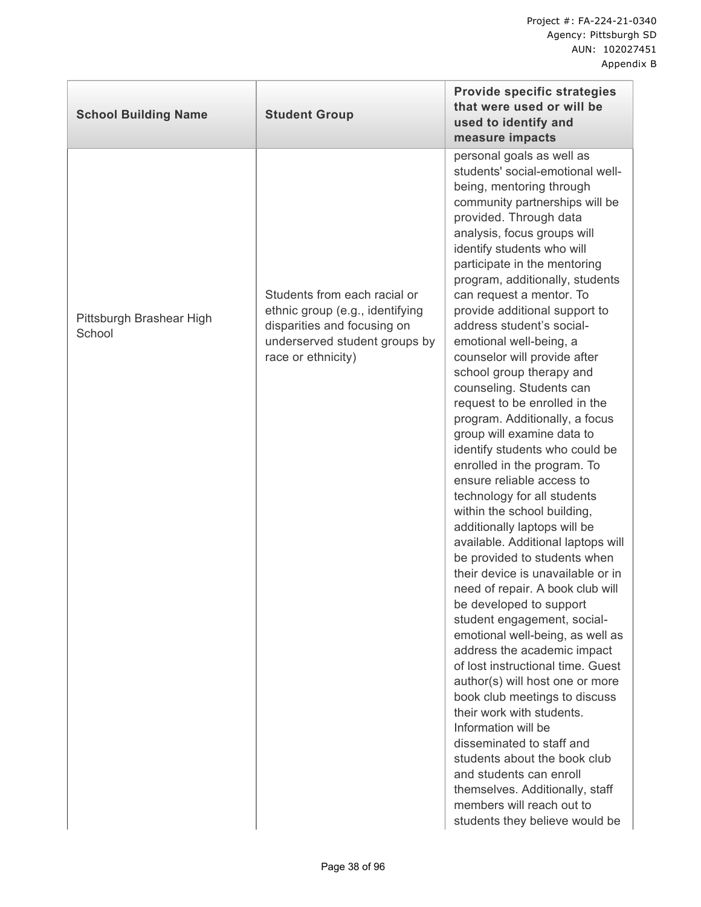| <b>School Building Name</b>        | <b>Student Group</b>                                                                                                                                  | <b>Provide specific strategies</b><br>that were used or will be<br>used to identify and<br>measure impacts                                                                                                                                                                                                                                                                                                                                                                                                                                                                                                                                                                                                                                                                                                                                                                                                                                                                                                                                                                                                                                                                                                                                                                                                                                                                                                                         |
|------------------------------------|-------------------------------------------------------------------------------------------------------------------------------------------------------|------------------------------------------------------------------------------------------------------------------------------------------------------------------------------------------------------------------------------------------------------------------------------------------------------------------------------------------------------------------------------------------------------------------------------------------------------------------------------------------------------------------------------------------------------------------------------------------------------------------------------------------------------------------------------------------------------------------------------------------------------------------------------------------------------------------------------------------------------------------------------------------------------------------------------------------------------------------------------------------------------------------------------------------------------------------------------------------------------------------------------------------------------------------------------------------------------------------------------------------------------------------------------------------------------------------------------------------------------------------------------------------------------------------------------------|
| Pittsburgh Brashear High<br>School | Students from each racial or<br>ethnic group (e.g., identifying<br>disparities and focusing on<br>underserved student groups by<br>race or ethnicity) | personal goals as well as<br>students' social-emotional well-<br>being, mentoring through<br>community partnerships will be<br>provided. Through data<br>analysis, focus groups will<br>identify students who will<br>participate in the mentoring<br>program, additionally, students<br>can request a mentor. To<br>provide additional support to<br>address student's social-<br>emotional well-being, a<br>counselor will provide after<br>school group therapy and<br>counseling. Students can<br>request to be enrolled in the<br>program. Additionally, a focus<br>group will examine data to<br>identify students who could be<br>enrolled in the program. To<br>ensure reliable access to<br>technology for all students<br>within the school building,<br>additionally laptops will be<br>available. Additional laptops will<br>be provided to students when<br>their device is unavailable or in<br>need of repair. A book club will<br>be developed to support<br>student engagement, social-<br>emotional well-being, as well as<br>address the academic impact<br>of lost instructional time. Guest<br>author(s) will host one or more<br>book club meetings to discuss<br>their work with students.<br>Information will be<br>disseminated to staff and<br>students about the book club<br>and students can enroll<br>themselves. Additionally, staff<br>members will reach out to<br>students they believe would be |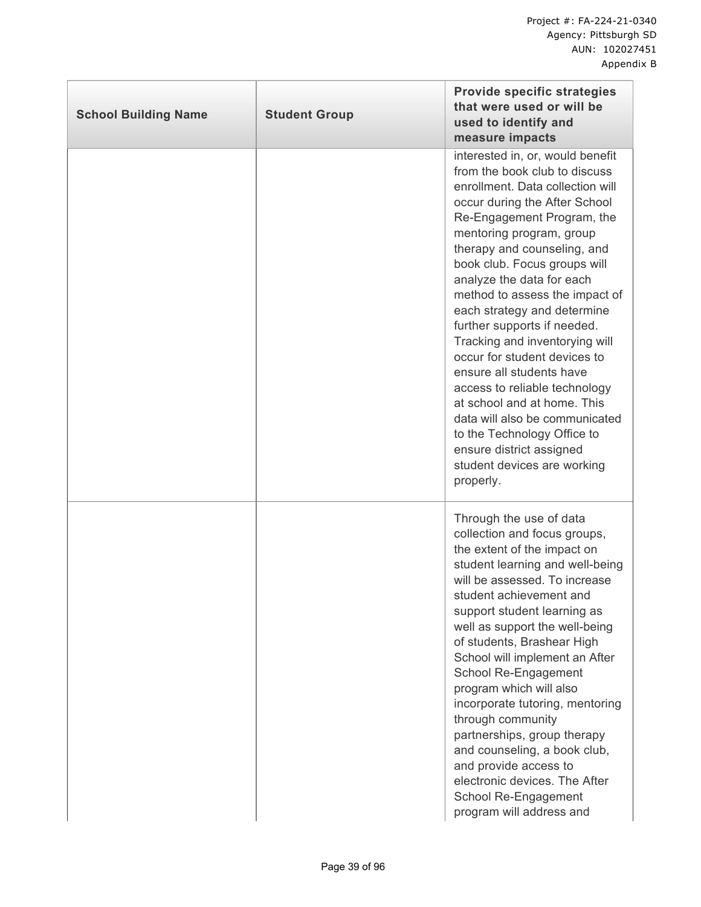| <b>School Building Name</b> | <b>Student Group</b> | <b>Provide specific strategies</b><br>that were used or will be<br>used to identify and<br>measure impacts                                                                                                                                                                                                                                                                                                                                                                                                                                                                                                                                                                                          |
|-----------------------------|----------------------|-----------------------------------------------------------------------------------------------------------------------------------------------------------------------------------------------------------------------------------------------------------------------------------------------------------------------------------------------------------------------------------------------------------------------------------------------------------------------------------------------------------------------------------------------------------------------------------------------------------------------------------------------------------------------------------------------------|
|                             |                      | interested in, or, would benefit<br>from the book club to discuss<br>enrollment. Data collection will<br>occur during the After School<br>Re-Engagement Program, the<br>mentoring program, group<br>therapy and counseling, and<br>book club. Focus groups will<br>analyze the data for each<br>method to assess the impact of<br>each strategy and determine<br>further supports if needed.<br>Tracking and inventorying will<br>occur for student devices to<br>ensure all students have<br>access to reliable technology<br>at school and at home. This<br>data will also be communicated<br>to the Technology Office to<br>ensure district assigned<br>student devices are working<br>properly. |
|                             |                      | Through the use of data<br>collection and focus groups,<br>the extent of the impact on<br>student learning and well-being<br>will be assessed. To increase<br>student achievement and<br>support student learning as<br>well as support the well-being<br>of students, Brashear High<br>School will implement an After<br>School Re-Engagement<br>program which will also<br>incorporate tutoring, mentoring<br>through community<br>partnerships, group therapy<br>and counseling, a book club,<br>and provide access to<br>electronic devices. The After<br>School Re-Engagement<br>program will address and                                                                                      |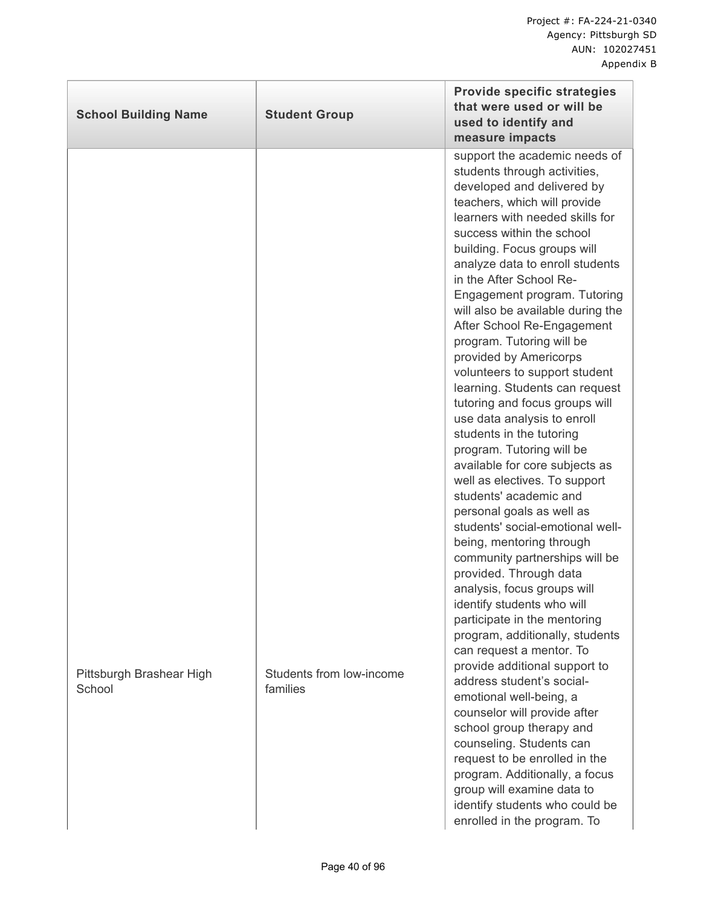| <b>School Building Name</b>        | <b>Student Group</b>                 | <b>Provide specific strategies</b><br>that were used or will be<br>used to identify and<br>measure impacts                                                                                                                                                                                                                                                                                                                                                                                                                                                                                                                                                                                                                                                                                                                                                                                                                                                                                                                                                                                                                                                                                                                                         |
|------------------------------------|--------------------------------------|----------------------------------------------------------------------------------------------------------------------------------------------------------------------------------------------------------------------------------------------------------------------------------------------------------------------------------------------------------------------------------------------------------------------------------------------------------------------------------------------------------------------------------------------------------------------------------------------------------------------------------------------------------------------------------------------------------------------------------------------------------------------------------------------------------------------------------------------------------------------------------------------------------------------------------------------------------------------------------------------------------------------------------------------------------------------------------------------------------------------------------------------------------------------------------------------------------------------------------------------------|
| Pittsburgh Brashear High<br>School | Students from low-income<br>families | support the academic needs of<br>students through activities,<br>developed and delivered by<br>teachers, which will provide<br>learners with needed skills for<br>success within the school<br>building. Focus groups will<br>analyze data to enroll students<br>in the After School Re-<br>Engagement program. Tutoring<br>will also be available during the<br>After School Re-Engagement<br>program. Tutoring will be<br>provided by Americorps<br>volunteers to support student<br>learning. Students can request<br>tutoring and focus groups will<br>use data analysis to enroll<br>students in the tutoring<br>program. Tutoring will be<br>available for core subjects as<br>well as electives. To support<br>students' academic and<br>personal goals as well as<br>students' social-emotional well-<br>being, mentoring through<br>community partnerships will be<br>provided. Through data<br>analysis, focus groups will<br>identify students who will<br>participate in the mentoring<br>program, additionally, students<br>can request a mentor. To<br>provide additional support to<br>address student's social-<br>emotional well-being, a<br>counselor will provide after<br>school group therapy and<br>counseling. Students can |
|                                    |                                      | request to be enrolled in the<br>program. Additionally, a focus<br>group will examine data to<br>identify students who could be<br>enrolled in the program. To                                                                                                                                                                                                                                                                                                                                                                                                                                                                                                                                                                                                                                                                                                                                                                                                                                                                                                                                                                                                                                                                                     |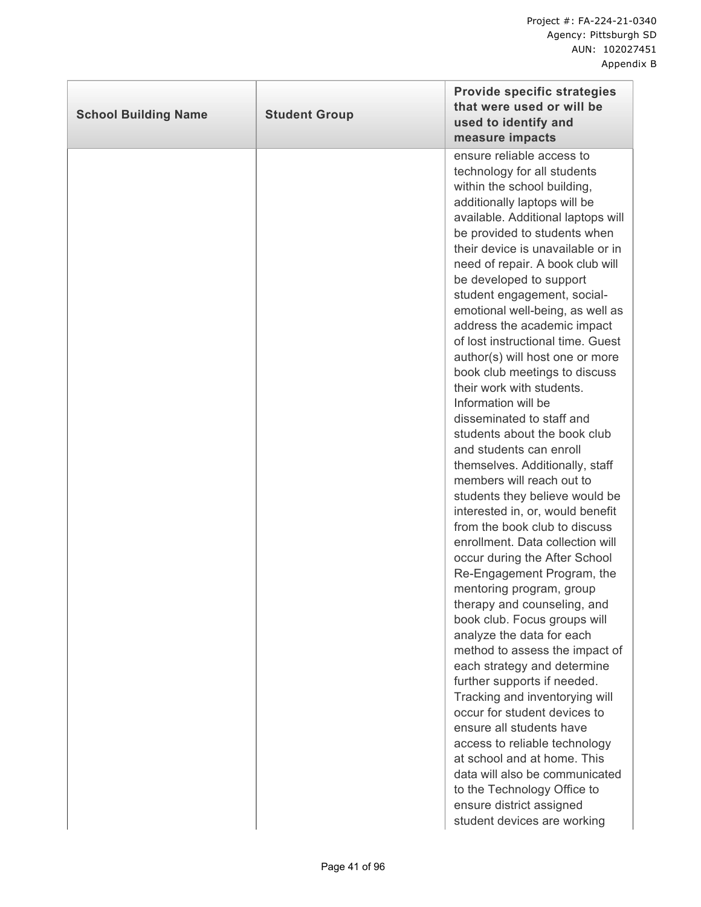| technology for all students<br>within the school building,<br>additionally laptops will be<br>be developed to support<br>student engagement, social-<br>their work with students.<br>Information will be<br>disseminated to staff and<br>students about the book club<br>and students can enroll<br>members will reach out to<br>occur during the After School<br>mentoring program, group<br>therapy and counseling, and<br>book club. Focus groups will<br>analyze the data for each | <b>School Building Name</b> | <b>Student Group</b> | <b>Provide specific strategies</b><br>that were used or will be<br>used to identify and<br>measure impacts                                                                                                                                                                                                                                                                                                                                                                                                                                                                                                                                                          |
|----------------------------------------------------------------------------------------------------------------------------------------------------------------------------------------------------------------------------------------------------------------------------------------------------------------------------------------------------------------------------------------------------------------------------------------------------------------------------------------|-----------------------------|----------------------|---------------------------------------------------------------------------------------------------------------------------------------------------------------------------------------------------------------------------------------------------------------------------------------------------------------------------------------------------------------------------------------------------------------------------------------------------------------------------------------------------------------------------------------------------------------------------------------------------------------------------------------------------------------------|
| further supports if needed.<br>Tracking and inventorying will<br>occur for student devices to<br>ensure all students have<br>access to reliable technology<br>at school and at home. This<br>to the Technology Office to<br>ensure district assigned<br>student devices are working                                                                                                                                                                                                    |                             |                      | ensure reliable access to<br>available. Additional laptops will<br>be provided to students when<br>their device is unavailable or in<br>need of repair. A book club will<br>emotional well-being, as well as<br>address the academic impact<br>of lost instructional time. Guest<br>author(s) will host one or more<br>book club meetings to discuss<br>themselves. Additionally, staff<br>students they believe would be<br>interested in, or, would benefit<br>from the book club to discuss<br>enrollment. Data collection will<br>Re-Engagement Program, the<br>method to assess the impact of<br>each strategy and determine<br>data will also be communicated |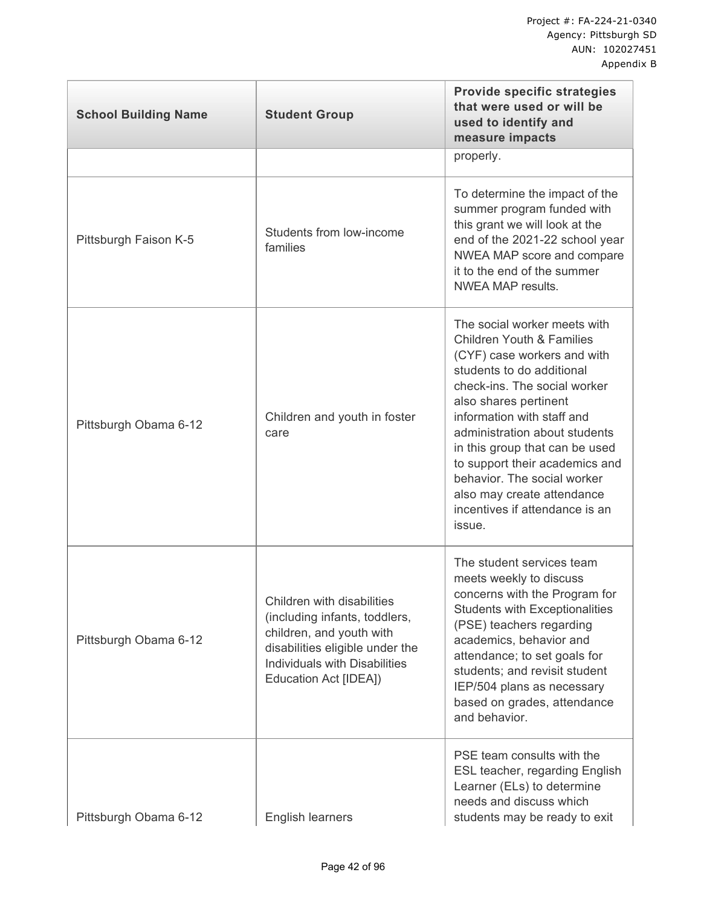| <b>School Building Name</b> | <b>Student Group</b>                                                                                                                                                                 | <b>Provide specific strategies</b><br>that were used or will be<br>used to identify and<br>measure impacts                                                                                                                                                                                                                                                                                                                            |
|-----------------------------|--------------------------------------------------------------------------------------------------------------------------------------------------------------------------------------|---------------------------------------------------------------------------------------------------------------------------------------------------------------------------------------------------------------------------------------------------------------------------------------------------------------------------------------------------------------------------------------------------------------------------------------|
|                             |                                                                                                                                                                                      | properly.                                                                                                                                                                                                                                                                                                                                                                                                                             |
| Pittsburgh Faison K-5       | Students from low-income<br>families                                                                                                                                                 | To determine the impact of the<br>summer program funded with<br>this grant we will look at the<br>end of the 2021-22 school year<br>NWEA MAP score and compare<br>it to the end of the summer<br><b>NWEA MAP results.</b>                                                                                                                                                                                                             |
| Pittsburgh Obama 6-12       | Children and youth in foster<br>care                                                                                                                                                 | The social worker meets with<br><b>Children Youth &amp; Families</b><br>(CYF) case workers and with<br>students to do additional<br>check-ins. The social worker<br>also shares pertinent<br>information with staff and<br>administration about students<br>in this group that can be used<br>to support their academics and<br>behavior. The social worker<br>also may create attendance<br>incentives if attendance is an<br>issue. |
| Pittsburgh Obama 6-12       | Children with disabilities<br>(including infants, toddlers,<br>children, and youth with<br>disabilities eligible under the<br>Individuals with Disabilities<br>Education Act [IDEA]) | The student services team<br>meets weekly to discuss<br>concerns with the Program for<br><b>Students with Exceptionalities</b><br>(PSE) teachers regarding<br>academics, behavior and<br>attendance; to set goals for<br>students; and revisit student<br>IEP/504 plans as necessary<br>based on grades, attendance<br>and behavior.                                                                                                  |
| Pittsburgh Obama 6-12       | English learners                                                                                                                                                                     | PSE team consults with the<br>ESL teacher, regarding English<br>Learner (ELs) to determine<br>needs and discuss which<br>students may be ready to exit                                                                                                                                                                                                                                                                                |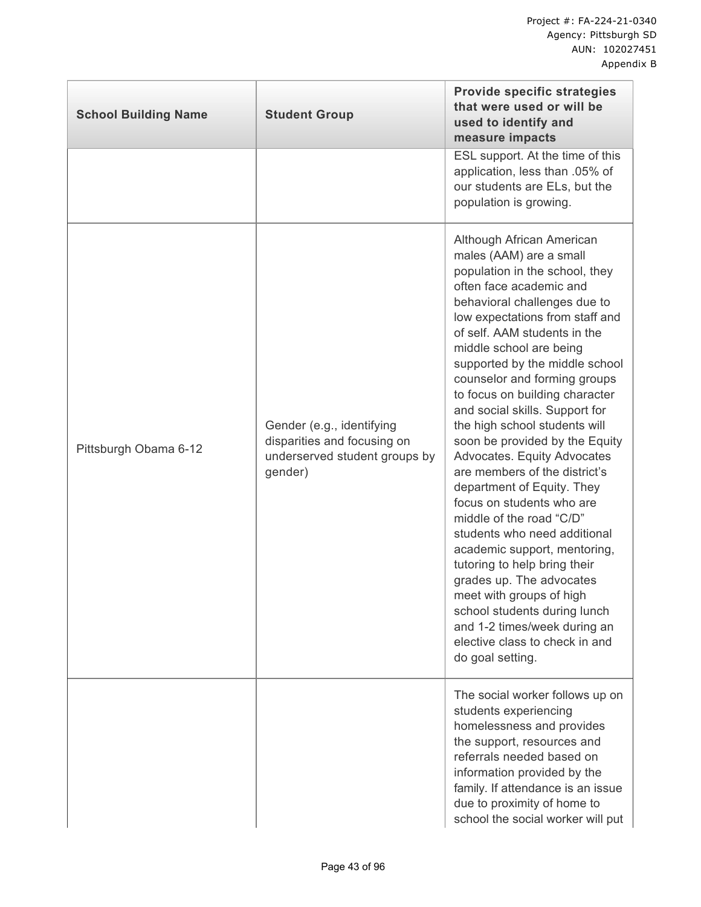| <b>School Building Name</b> | <b>Student Group</b>                                                                                 | <b>Provide specific strategies</b><br>that were used or will be<br>used to identify and<br>measure impacts<br>ESL support. At the time of this                                                                                                                                                                                                                                                                                                                                                                                                                                                                                                                                                                                                                                                                                                                                                |
|-----------------------------|------------------------------------------------------------------------------------------------------|-----------------------------------------------------------------------------------------------------------------------------------------------------------------------------------------------------------------------------------------------------------------------------------------------------------------------------------------------------------------------------------------------------------------------------------------------------------------------------------------------------------------------------------------------------------------------------------------------------------------------------------------------------------------------------------------------------------------------------------------------------------------------------------------------------------------------------------------------------------------------------------------------|
|                             |                                                                                                      | application, less than .05% of<br>our students are ELs, but the<br>population is growing.                                                                                                                                                                                                                                                                                                                                                                                                                                                                                                                                                                                                                                                                                                                                                                                                     |
| Pittsburgh Obama 6-12       | Gender (e.g., identifying<br>disparities and focusing on<br>underserved student groups by<br>gender) | Although African American<br>males (AAM) are a small<br>population in the school, they<br>often face academic and<br>behavioral challenges due to<br>low expectations from staff and<br>of self. AAM students in the<br>middle school are being<br>supported by the middle school<br>counselor and forming groups<br>to focus on building character<br>and social skills. Support for<br>the high school students will<br>soon be provided by the Equity<br>Advocates. Equity Advocates<br>are members of the district's<br>department of Equity. They<br>focus on students who are<br>middle of the road "C/D"<br>students who need additional<br>academic support, mentoring,<br>tutoring to help bring their<br>grades up. The advocates<br>meet with groups of high<br>school students during lunch<br>and 1-2 times/week during an<br>elective class to check in and<br>do goal setting. |
|                             |                                                                                                      | The social worker follows up on<br>students experiencing<br>homelessness and provides<br>the support, resources and<br>referrals needed based on<br>information provided by the<br>family. If attendance is an issue<br>due to proximity of home to<br>school the social worker will put                                                                                                                                                                                                                                                                                                                                                                                                                                                                                                                                                                                                      |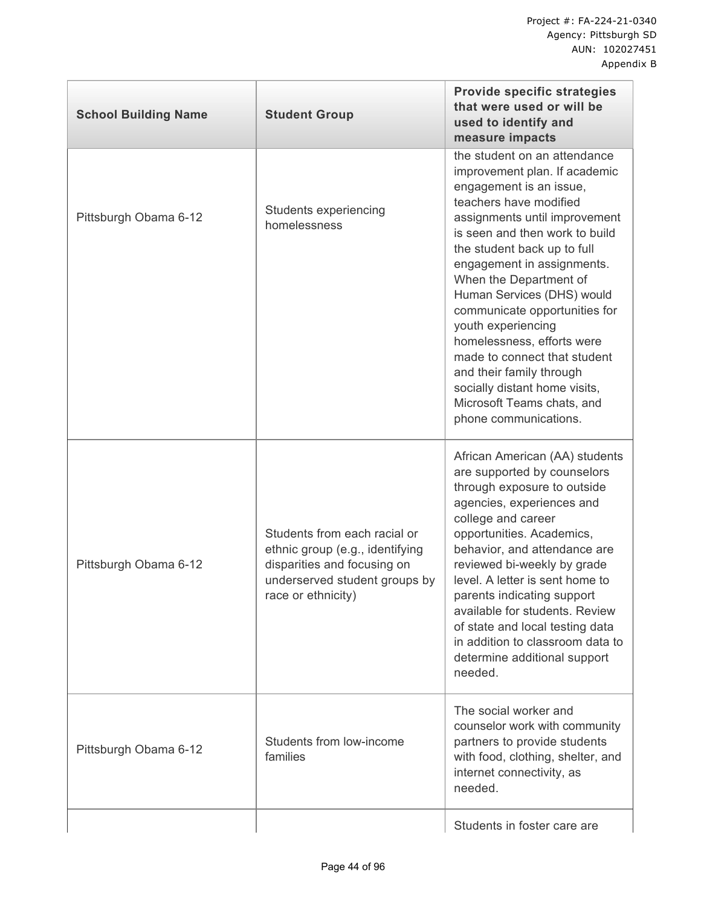| <b>School Building Name</b> | <b>Student Group</b>                                                                                                                                  | <b>Provide specific strategies</b><br>that were used or will be<br>used to identify and<br>measure impacts                                                                                                                                                                                                                                                                                                                                                                                                                                          |
|-----------------------------|-------------------------------------------------------------------------------------------------------------------------------------------------------|-----------------------------------------------------------------------------------------------------------------------------------------------------------------------------------------------------------------------------------------------------------------------------------------------------------------------------------------------------------------------------------------------------------------------------------------------------------------------------------------------------------------------------------------------------|
| Pittsburgh Obama 6-12       | Students experiencing<br>homelessness                                                                                                                 | the student on an attendance<br>improvement plan. If academic<br>engagement is an issue,<br>teachers have modified<br>assignments until improvement<br>is seen and then work to build<br>the student back up to full<br>engagement in assignments.<br>When the Department of<br>Human Services (DHS) would<br>communicate opportunities for<br>youth experiencing<br>homelessness, efforts were<br>made to connect that student<br>and their family through<br>socially distant home visits,<br>Microsoft Teams chats, and<br>phone communications. |
| Pittsburgh Obama 6-12       | Students from each racial or<br>ethnic group (e.g., identifying<br>disparities and focusing on<br>underserved student groups by<br>race or ethnicity) | African American (AA) students<br>are supported by counselors<br>through exposure to outside<br>agencies, experiences and<br>college and career<br>opportunities. Academics,<br>behavior, and attendance are<br>reviewed bi-weekly by grade<br>level. A letter is sent home to<br>parents indicating support<br>available for students. Review<br>of state and local testing data<br>in addition to classroom data to<br>determine additional support<br>needed.                                                                                    |
| Pittsburgh Obama 6-12       | Students from low-income<br>families                                                                                                                  | The social worker and<br>counselor work with community<br>partners to provide students<br>with food, clothing, shelter, and<br>internet connectivity, as<br>needed.                                                                                                                                                                                                                                                                                                                                                                                 |
|                             |                                                                                                                                                       | Students in foster care are                                                                                                                                                                                                                                                                                                                                                                                                                                                                                                                         |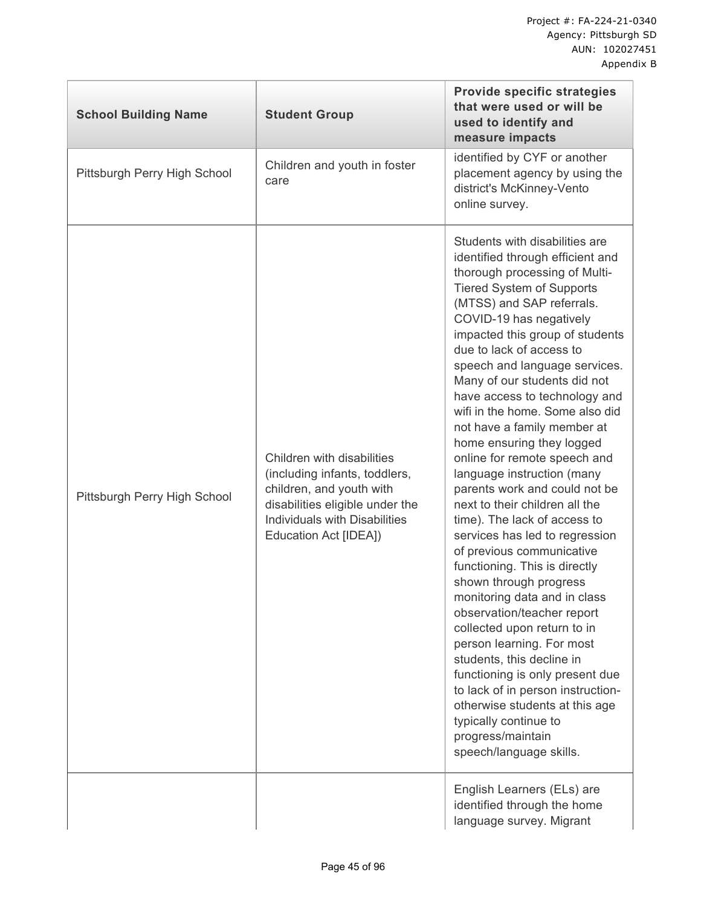| <b>School Building Name</b>  | <b>Student Group</b>                                                                                                                                                                 | <b>Provide specific strategies</b><br>that were used or will be<br>used to identify and<br>measure impacts                                                                                                                                                                                                                                                                                                                                                                                                                                                                                                                                                                                                                                                                                                                                                                                                                                                                                                                                                                                           |
|------------------------------|--------------------------------------------------------------------------------------------------------------------------------------------------------------------------------------|------------------------------------------------------------------------------------------------------------------------------------------------------------------------------------------------------------------------------------------------------------------------------------------------------------------------------------------------------------------------------------------------------------------------------------------------------------------------------------------------------------------------------------------------------------------------------------------------------------------------------------------------------------------------------------------------------------------------------------------------------------------------------------------------------------------------------------------------------------------------------------------------------------------------------------------------------------------------------------------------------------------------------------------------------------------------------------------------------|
| Pittsburgh Perry High School | Children and youth in foster<br>care                                                                                                                                                 | identified by CYF or another<br>placement agency by using the<br>district's McKinney-Vento<br>online survey.                                                                                                                                                                                                                                                                                                                                                                                                                                                                                                                                                                                                                                                                                                                                                                                                                                                                                                                                                                                         |
| Pittsburgh Perry High School | Children with disabilities<br>(including infants, toddlers,<br>children, and youth with<br>disabilities eligible under the<br>Individuals with Disabilities<br>Education Act [IDEA]) | Students with disabilities are<br>identified through efficient and<br>thorough processing of Multi-<br><b>Tiered System of Supports</b><br>(MTSS) and SAP referrals.<br>COVID-19 has negatively<br>impacted this group of students<br>due to lack of access to<br>speech and language services.<br>Many of our students did not<br>have access to technology and<br>wifi in the home. Some also did<br>not have a family member at<br>home ensuring they logged<br>online for remote speech and<br>language instruction (many<br>parents work and could not be<br>next to their children all the<br>time). The lack of access to<br>services has led to regression<br>of previous communicative<br>functioning. This is directly<br>shown through progress<br>monitoring data and in class<br>observation/teacher report<br>collected upon return to in<br>person learning. For most<br>students, this decline in<br>functioning is only present due<br>to lack of in person instruction-<br>otherwise students at this age<br>typically continue to<br>progress/maintain<br>speech/language skills. |
|                              |                                                                                                                                                                                      | English Learners (ELs) are<br>identified through the home<br>language survey. Migrant                                                                                                                                                                                                                                                                                                                                                                                                                                                                                                                                                                                                                                                                                                                                                                                                                                                                                                                                                                                                                |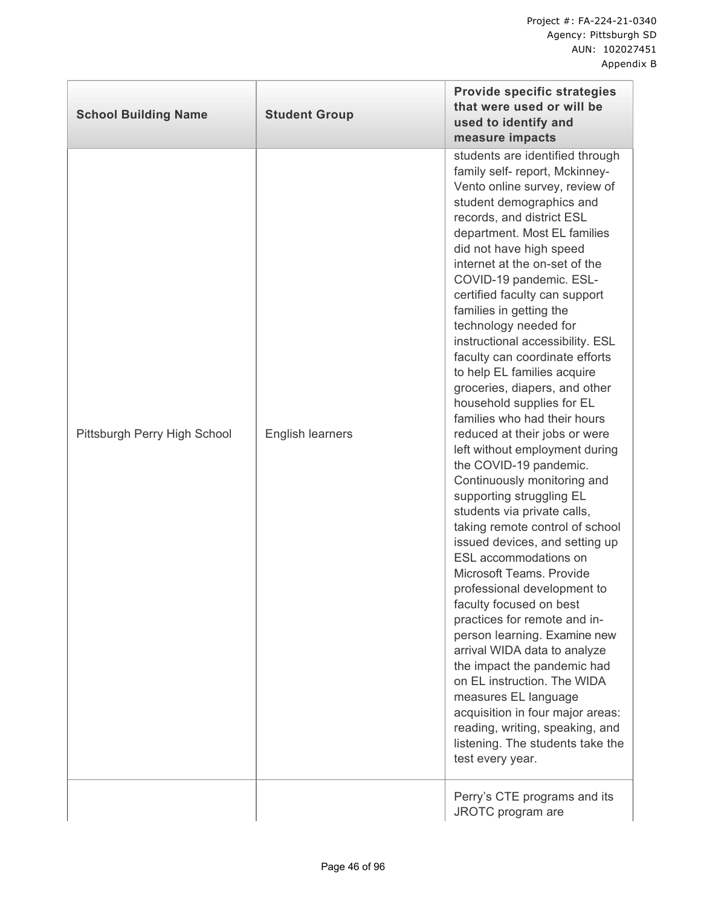| <b>School Building Name</b>  | <b>Student Group</b> | <b>Provide specific strategies</b><br>that were used or will be<br>used to identify and<br>measure impacts                                                                                                                                                                                                                                                                                                                                                                                                                                                                                                                                                                                                                                                                                                                                                                                                                                                                                                                                                                                                                                                                                                                                                                  |
|------------------------------|----------------------|-----------------------------------------------------------------------------------------------------------------------------------------------------------------------------------------------------------------------------------------------------------------------------------------------------------------------------------------------------------------------------------------------------------------------------------------------------------------------------------------------------------------------------------------------------------------------------------------------------------------------------------------------------------------------------------------------------------------------------------------------------------------------------------------------------------------------------------------------------------------------------------------------------------------------------------------------------------------------------------------------------------------------------------------------------------------------------------------------------------------------------------------------------------------------------------------------------------------------------------------------------------------------------|
| Pittsburgh Perry High School | English learners     | students are identified through<br>family self- report, Mckinney-<br>Vento online survey, review of<br>student demographics and<br>records, and district ESL<br>department. Most EL families<br>did not have high speed<br>internet at the on-set of the<br>COVID-19 pandemic. ESL-<br>certified faculty can support<br>families in getting the<br>technology needed for<br>instructional accessibility. ESL<br>faculty can coordinate efforts<br>to help EL families acquire<br>groceries, diapers, and other<br>household supplies for EL<br>families who had their hours<br>reduced at their jobs or were<br>left without employment during<br>the COVID-19 pandemic.<br>Continuously monitoring and<br>supporting struggling EL<br>students via private calls,<br>taking remote control of school<br>issued devices, and setting up<br>ESL accommodations on<br>Microsoft Teams. Provide<br>professional development to<br>faculty focused on best<br>practices for remote and in-<br>person learning. Examine new<br>arrival WIDA data to analyze<br>the impact the pandemic had<br>on EL instruction. The WIDA<br>measures EL language<br>acquisition in four major areas:<br>reading, writing, speaking, and<br>listening. The students take the<br>test every year. |
|                              |                      | Perry's CTE programs and its<br>JROTC program are                                                                                                                                                                                                                                                                                                                                                                                                                                                                                                                                                                                                                                                                                                                                                                                                                                                                                                                                                                                                                                                                                                                                                                                                                           |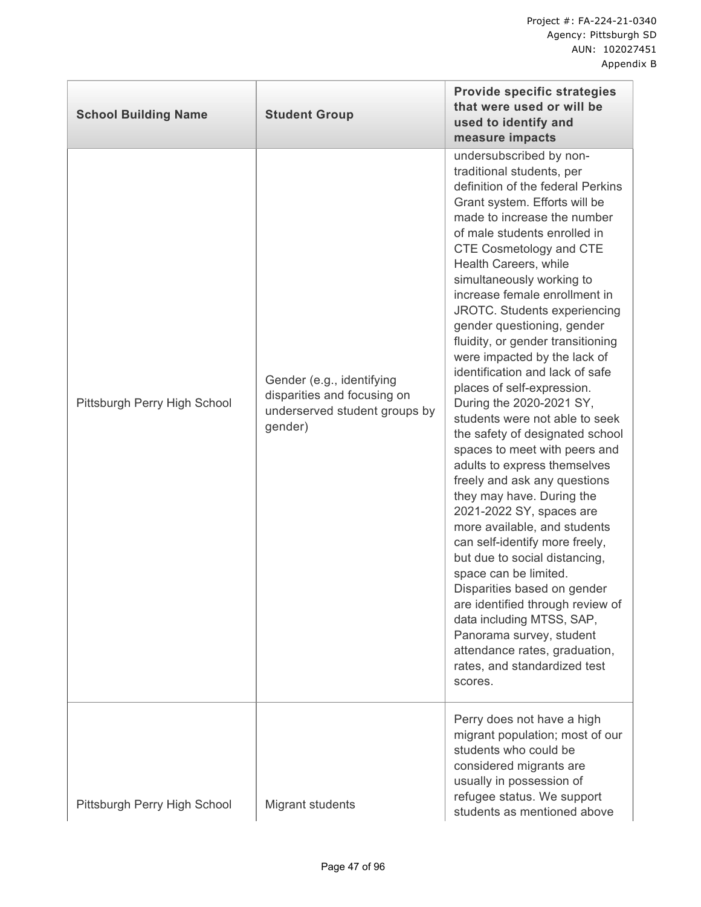| <b>School Building Name</b>  | <b>Student Group</b>                                                                                 | <b>Provide specific strategies</b><br>that were used or will be<br>used to identify and<br>measure impacts                                                                                                                                                                                                                                                                                                                                                                                                                                                                                                                                                                                                                                                                                                                                                                                                                                                                                                                                                                                                     |
|------------------------------|------------------------------------------------------------------------------------------------------|----------------------------------------------------------------------------------------------------------------------------------------------------------------------------------------------------------------------------------------------------------------------------------------------------------------------------------------------------------------------------------------------------------------------------------------------------------------------------------------------------------------------------------------------------------------------------------------------------------------------------------------------------------------------------------------------------------------------------------------------------------------------------------------------------------------------------------------------------------------------------------------------------------------------------------------------------------------------------------------------------------------------------------------------------------------------------------------------------------------|
| Pittsburgh Perry High School | Gender (e.g., identifying<br>disparities and focusing on<br>underserved student groups by<br>gender) | undersubscribed by non-<br>traditional students, per<br>definition of the federal Perkins<br>Grant system. Efforts will be<br>made to increase the number<br>of male students enrolled in<br>CTE Cosmetology and CTE<br>Health Careers, while<br>simultaneously working to<br>increase female enrollment in<br>JROTC. Students experiencing<br>gender questioning, gender<br>fluidity, or gender transitioning<br>were impacted by the lack of<br>identification and lack of safe<br>places of self-expression.<br>During the 2020-2021 SY,<br>students were not able to seek<br>the safety of designated school<br>spaces to meet with peers and<br>adults to express themselves<br>freely and ask any questions<br>they may have. During the<br>2021-2022 SY, spaces are<br>more available, and students<br>can self-identify more freely,<br>but due to social distancing,<br>space can be limited.<br>Disparities based on gender<br>are identified through review of<br>data including MTSS, SAP,<br>Panorama survey, student<br>attendance rates, graduation,<br>rates, and standardized test<br>scores. |
| Pittsburgh Perry High School | Migrant students                                                                                     | Perry does not have a high<br>migrant population; most of our<br>students who could be<br>considered migrants are<br>usually in possession of<br>refugee status. We support                                                                                                                                                                                                                                                                                                                                                                                                                                                                                                                                                                                                                                                                                                                                                                                                                                                                                                                                    |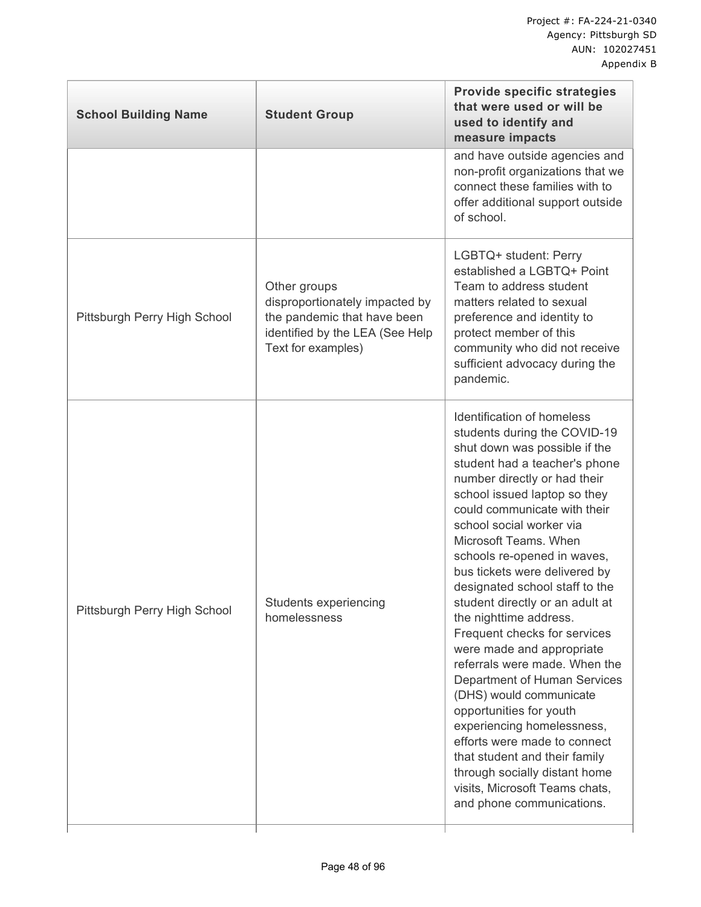| <b>School Building Name</b>  | <b>Student Group</b>                                                                                                                   | <b>Provide specific strategies</b><br>that were used or will be<br>used to identify and<br>measure impacts                                                                                                                                                                                                                                                                                                                                                                                                                                                                                                                                                                                                                                                                                                                          |
|------------------------------|----------------------------------------------------------------------------------------------------------------------------------------|-------------------------------------------------------------------------------------------------------------------------------------------------------------------------------------------------------------------------------------------------------------------------------------------------------------------------------------------------------------------------------------------------------------------------------------------------------------------------------------------------------------------------------------------------------------------------------------------------------------------------------------------------------------------------------------------------------------------------------------------------------------------------------------------------------------------------------------|
|                              |                                                                                                                                        | and have outside agencies and<br>non-profit organizations that we<br>connect these families with to<br>offer additional support outside<br>of school.                                                                                                                                                                                                                                                                                                                                                                                                                                                                                                                                                                                                                                                                               |
| Pittsburgh Perry High School | Other groups<br>disproportionately impacted by<br>the pandemic that have been<br>identified by the LEA (See Help<br>Text for examples) | LGBTQ+ student: Perry<br>established a LGBTQ+ Point<br>Team to address student<br>matters related to sexual<br>preference and identity to<br>protect member of this<br>community who did not receive<br>sufficient advocacy during the<br>pandemic.                                                                                                                                                                                                                                                                                                                                                                                                                                                                                                                                                                                 |
| Pittsburgh Perry High School | Students experiencing<br>homelessness                                                                                                  | Identification of homeless<br>students during the COVID-19<br>shut down was possible if the<br>student had a teacher's phone<br>number directly or had their<br>school issued laptop so they<br>could communicate with their<br>school social worker via<br>Microsoft Teams. When<br>schools re-opened in waves,<br>bus tickets were delivered by<br>designated school staff to the<br>student directly or an adult at<br>the nighttime address.<br>Frequent checks for services<br>were made and appropriate<br>referrals were made. When the<br>Department of Human Services<br>(DHS) would communicate<br>opportunities for youth<br>experiencing homelessness,<br>efforts were made to connect<br>that student and their family<br>through socially distant home<br>visits, Microsoft Teams chats,<br>and phone communications. |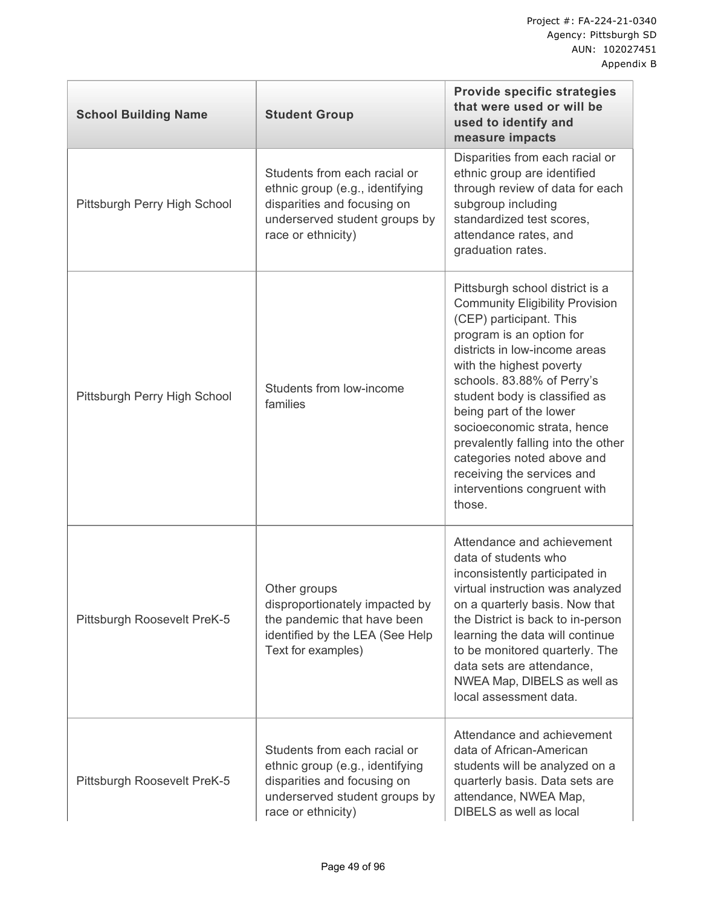| <b>School Building Name</b>  | <b>Student Group</b>                                                                                                                                  | <b>Provide specific strategies</b><br>that were used or will be<br>used to identify and<br>measure impacts                                                                                                                                                                                                                                                                                                                                                         |
|------------------------------|-------------------------------------------------------------------------------------------------------------------------------------------------------|--------------------------------------------------------------------------------------------------------------------------------------------------------------------------------------------------------------------------------------------------------------------------------------------------------------------------------------------------------------------------------------------------------------------------------------------------------------------|
| Pittsburgh Perry High School | Students from each racial or<br>ethnic group (e.g., identifying<br>disparities and focusing on<br>underserved student groups by<br>race or ethnicity) | Disparities from each racial or<br>ethnic group are identified<br>through review of data for each<br>subgroup including<br>standardized test scores,<br>attendance rates, and<br>graduation rates.                                                                                                                                                                                                                                                                 |
| Pittsburgh Perry High School | Students from low-income<br>families                                                                                                                  | Pittsburgh school district is a<br><b>Community Eligibility Provision</b><br>(CEP) participant. This<br>program is an option for<br>districts in low-income areas<br>with the highest poverty<br>schools. 83.88% of Perry's<br>student body is classified as<br>being part of the lower<br>socioeconomic strata, hence<br>prevalently falling into the other<br>categories noted above and<br>receiving the services and<br>interventions congruent with<br>those. |
| Pittsburgh Roosevelt PreK-5  | Other groups<br>disproportionately impacted by<br>the pandemic that have been<br>identified by the LEA (See Help<br>Text for examples)                | Attendance and achievement<br>data of students who<br>inconsistently participated in<br>virtual instruction was analyzed<br>on a quarterly basis. Now that<br>the District is back to in-person<br>learning the data will continue<br>to be monitored quarterly. The<br>data sets are attendance,<br>NWEA Map, DIBELS as well as<br>local assessment data.                                                                                                         |
| Pittsburgh Roosevelt PreK-5  | Students from each racial or<br>ethnic group (e.g., identifying<br>disparities and focusing on<br>underserved student groups by<br>race or ethnicity) | Attendance and achievement<br>data of African-American<br>students will be analyzed on a<br>quarterly basis. Data sets are<br>attendance, NWEA Map,<br>DIBELS as well as local                                                                                                                                                                                                                                                                                     |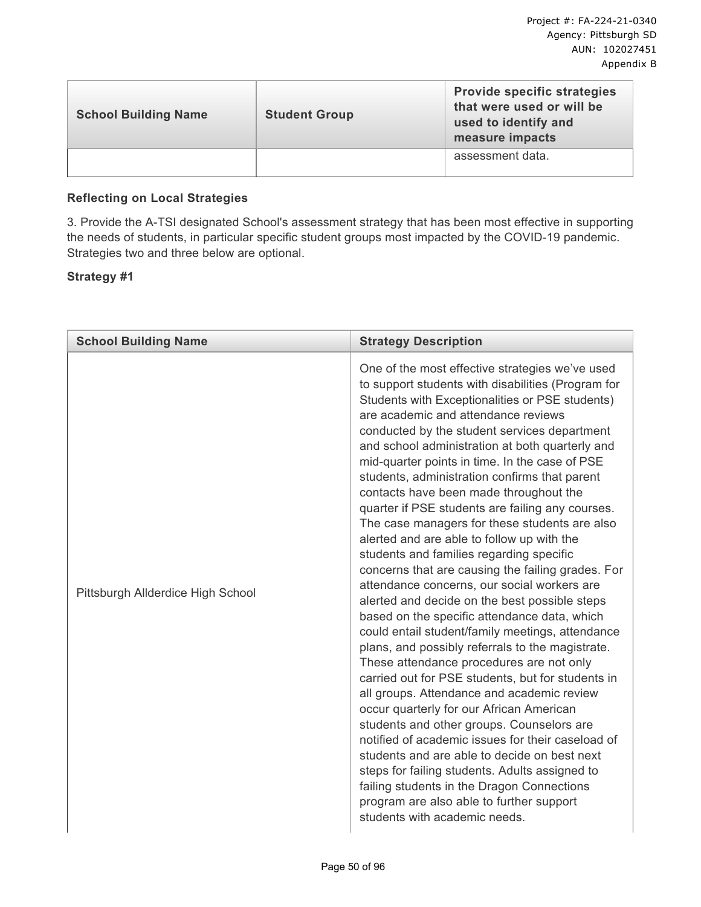| <b>School Building Name</b> | <b>Student Group</b> | <b>Provide specific strategies</b><br>that were used or will be<br>used to identify and<br>measure impacts |
|-----------------------------|----------------------|------------------------------------------------------------------------------------------------------------|
|                             |                      | assessment data.                                                                                           |

## **Reflecting on Local Strategies**

3. Provide the A-TSI designated School's assessment strategy that has been most effective in supporting the needs of students, in particular specific student groups most impacted by the COVID-19 pandemic. Strategies two and three below are optional.

#### **Strategy #1**

| <b>School Building Name</b>       | <b>Strategy Description</b>                                                                                                                                                                                                                                                                                                                                                                                                                                                                                                                                                                                                                                                                                                                                                                                                                                                                                                                                                                                                                                                                                                                                                                                                                                                                                                                                                                                                                                                           |
|-----------------------------------|---------------------------------------------------------------------------------------------------------------------------------------------------------------------------------------------------------------------------------------------------------------------------------------------------------------------------------------------------------------------------------------------------------------------------------------------------------------------------------------------------------------------------------------------------------------------------------------------------------------------------------------------------------------------------------------------------------------------------------------------------------------------------------------------------------------------------------------------------------------------------------------------------------------------------------------------------------------------------------------------------------------------------------------------------------------------------------------------------------------------------------------------------------------------------------------------------------------------------------------------------------------------------------------------------------------------------------------------------------------------------------------------------------------------------------------------------------------------------------------|
| Pittsburgh Allderdice High School | One of the most effective strategies we've used<br>to support students with disabilities (Program for<br>Students with Exceptionalities or PSE students)<br>are academic and attendance reviews<br>conducted by the student services department<br>and school administration at both quarterly and<br>mid-quarter points in time. In the case of PSE<br>students, administration confirms that parent<br>contacts have been made throughout the<br>quarter if PSE students are failing any courses.<br>The case managers for these students are also<br>alerted and are able to follow up with the<br>students and families regarding specific<br>concerns that are causing the failing grades. For<br>attendance concerns, our social workers are<br>alerted and decide on the best possible steps<br>based on the specific attendance data, which<br>could entail student/family meetings, attendance<br>plans, and possibly referrals to the magistrate.<br>These attendance procedures are not only<br>carried out for PSE students, but for students in<br>all groups. Attendance and academic review<br>occur quarterly for our African American<br>students and other groups. Counselors are<br>notified of academic issues for their caseload of<br>students and are able to decide on best next<br>steps for failing students. Adults assigned to<br>failing students in the Dragon Connections<br>program are also able to further support<br>students with academic needs. |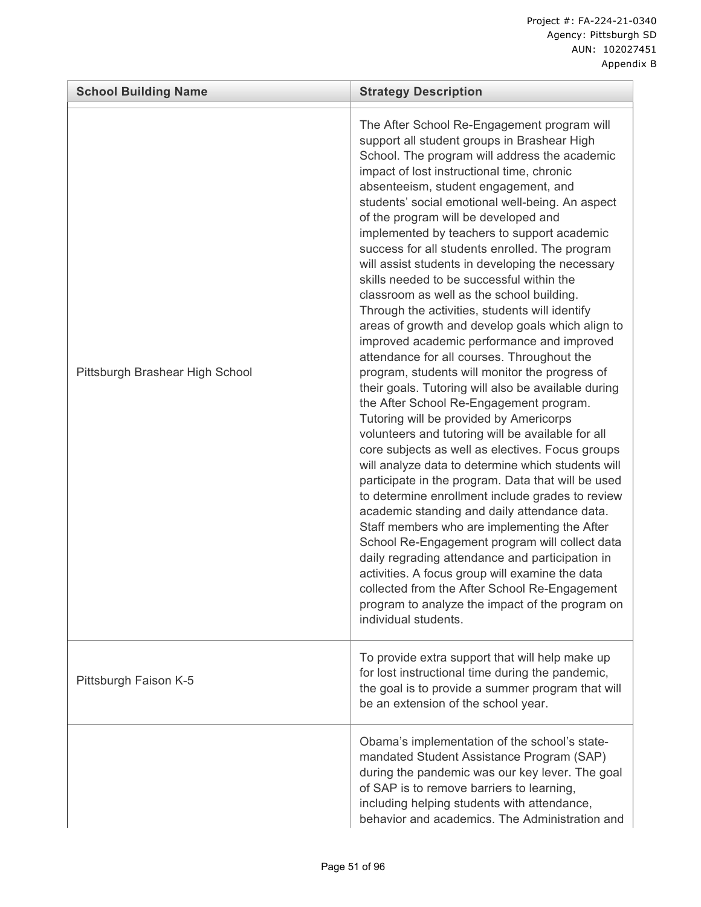| <b>School Building Name</b>     | <b>Strategy Description</b>                                                                                                                                                                                                                                                                                                                                                                                                                                                                                                                                                                                                                                                                                                                                                                                                                                                                                                                                                                                                                                                                                                                                                                                                                                                                                                                                                                                                                                                                                                                                                                                                                |
|---------------------------------|--------------------------------------------------------------------------------------------------------------------------------------------------------------------------------------------------------------------------------------------------------------------------------------------------------------------------------------------------------------------------------------------------------------------------------------------------------------------------------------------------------------------------------------------------------------------------------------------------------------------------------------------------------------------------------------------------------------------------------------------------------------------------------------------------------------------------------------------------------------------------------------------------------------------------------------------------------------------------------------------------------------------------------------------------------------------------------------------------------------------------------------------------------------------------------------------------------------------------------------------------------------------------------------------------------------------------------------------------------------------------------------------------------------------------------------------------------------------------------------------------------------------------------------------------------------------------------------------------------------------------------------------|
| Pittsburgh Brashear High School | The After School Re-Engagement program will<br>support all student groups in Brashear High<br>School. The program will address the academic<br>impact of lost instructional time, chronic<br>absenteeism, student engagement, and<br>students' social emotional well-being. An aspect<br>of the program will be developed and<br>implemented by teachers to support academic<br>success for all students enrolled. The program<br>will assist students in developing the necessary<br>skills needed to be successful within the<br>classroom as well as the school building.<br>Through the activities, students will identify<br>areas of growth and develop goals which align to<br>improved academic performance and improved<br>attendance for all courses. Throughout the<br>program, students will monitor the progress of<br>their goals. Tutoring will also be available during<br>the After School Re-Engagement program.<br>Tutoring will be provided by Americorps<br>volunteers and tutoring will be available for all<br>core subjects as well as electives. Focus groups<br>will analyze data to determine which students will<br>participate in the program. Data that will be used<br>to determine enrollment include grades to review<br>academic standing and daily attendance data.<br>Staff members who are implementing the After<br>School Re-Engagement program will collect data<br>daily regrading attendance and participation in<br>activities. A focus group will examine the data<br>collected from the After School Re-Engagement<br>program to analyze the impact of the program on<br>individual students. |
| Pittsburgh Faison K-5           | To provide extra support that will help make up<br>for lost instructional time during the pandemic,<br>the goal is to provide a summer program that will<br>be an extension of the school year.                                                                                                                                                                                                                                                                                                                                                                                                                                                                                                                                                                                                                                                                                                                                                                                                                                                                                                                                                                                                                                                                                                                                                                                                                                                                                                                                                                                                                                            |
|                                 | Obama's implementation of the school's state-<br>mandated Student Assistance Program (SAP)<br>during the pandemic was our key lever. The goal<br>of SAP is to remove barriers to learning,<br>including helping students with attendance,<br>behavior and academics. The Administration and                                                                                                                                                                                                                                                                                                                                                                                                                                                                                                                                                                                                                                                                                                                                                                                                                                                                                                                                                                                                                                                                                                                                                                                                                                                                                                                                                |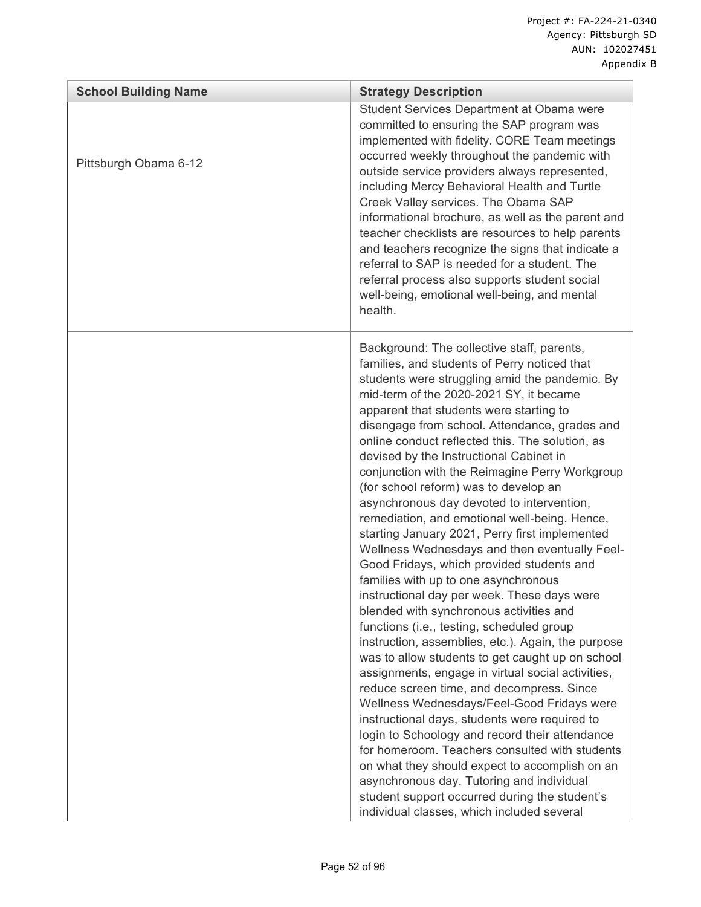| <b>School Building Name</b> | <b>Strategy Description</b>                                                                                                                                                                                                                                                                                                                                                                                                                                                                                                                                                                                                                                                                                                                                                                                                                                                                                                                                                                                                                                                                                                                                                                                                                                                                                                                                                                                                                                                                                            |
|-----------------------------|------------------------------------------------------------------------------------------------------------------------------------------------------------------------------------------------------------------------------------------------------------------------------------------------------------------------------------------------------------------------------------------------------------------------------------------------------------------------------------------------------------------------------------------------------------------------------------------------------------------------------------------------------------------------------------------------------------------------------------------------------------------------------------------------------------------------------------------------------------------------------------------------------------------------------------------------------------------------------------------------------------------------------------------------------------------------------------------------------------------------------------------------------------------------------------------------------------------------------------------------------------------------------------------------------------------------------------------------------------------------------------------------------------------------------------------------------------------------------------------------------------------------|
| Pittsburgh Obama 6-12       | Student Services Department at Obama were<br>committed to ensuring the SAP program was<br>implemented with fidelity. CORE Team meetings<br>occurred weekly throughout the pandemic with<br>outside service providers always represented,<br>including Mercy Behavioral Health and Turtle<br>Creek Valley services. The Obama SAP<br>informational brochure, as well as the parent and<br>teacher checklists are resources to help parents<br>and teachers recognize the signs that indicate a<br>referral to SAP is needed for a student. The<br>referral process also supports student social<br>well-being, emotional well-being, and mental<br>health.                                                                                                                                                                                                                                                                                                                                                                                                                                                                                                                                                                                                                                                                                                                                                                                                                                                              |
|                             | Background: The collective staff, parents,<br>families, and students of Perry noticed that<br>students were struggling amid the pandemic. By<br>mid-term of the 2020-2021 SY, it became<br>apparent that students were starting to<br>disengage from school. Attendance, grades and<br>online conduct reflected this. The solution, as<br>devised by the Instructional Cabinet in<br>conjunction with the Reimagine Perry Workgroup<br>(for school reform) was to develop an<br>asynchronous day devoted to intervention,<br>remediation, and emotional well-being. Hence,<br>starting January 2021, Perry first implemented<br>Wellness Wednesdays and then eventually Feel-<br>Good Fridays, which provided students and<br>families with up to one asynchronous<br>instructional day per week. These days were<br>blended with synchronous activities and<br>functions (i.e., testing, scheduled group<br>instruction, assemblies, etc.). Again, the purpose<br>was to allow students to get caught up on school<br>assignments, engage in virtual social activities,<br>reduce screen time, and decompress. Since<br>Wellness Wednesdays/Feel-Good Fridays were<br>instructional days, students were required to<br>login to Schoology and record their attendance<br>for homeroom. Teachers consulted with students<br>on what they should expect to accomplish on an<br>asynchronous day. Tutoring and individual<br>student support occurred during the student's<br>individual classes, which included several |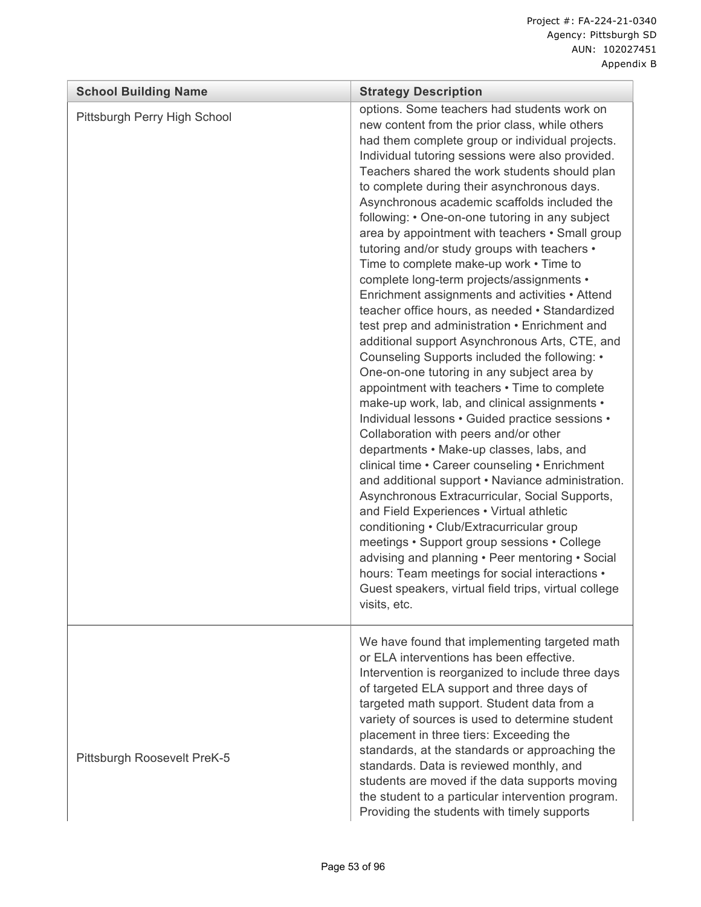| <b>School Building Name</b>  | <b>Strategy Description</b>                                                                                                                                                                                                                                                                                                                                                                                                                                                                                                                                                                                                                                                                                                                                                                                                                                                                                                                                                                                                                                                                                                                                                                                                                                                                                                                                                                                                                                                                                                                                                                                                     |  |  |  |
|------------------------------|---------------------------------------------------------------------------------------------------------------------------------------------------------------------------------------------------------------------------------------------------------------------------------------------------------------------------------------------------------------------------------------------------------------------------------------------------------------------------------------------------------------------------------------------------------------------------------------------------------------------------------------------------------------------------------------------------------------------------------------------------------------------------------------------------------------------------------------------------------------------------------------------------------------------------------------------------------------------------------------------------------------------------------------------------------------------------------------------------------------------------------------------------------------------------------------------------------------------------------------------------------------------------------------------------------------------------------------------------------------------------------------------------------------------------------------------------------------------------------------------------------------------------------------------------------------------------------------------------------------------------------|--|--|--|
| Pittsburgh Perry High School | options. Some teachers had students work on<br>new content from the prior class, while others<br>had them complete group or individual projects.<br>Individual tutoring sessions were also provided.<br>Teachers shared the work students should plan<br>to complete during their asynchronous days.<br>Asynchronous academic scaffolds included the<br>following: • One-on-one tutoring in any subject<br>area by appointment with teachers • Small group<br>tutoring and/or study groups with teachers •<br>Time to complete make-up work • Time to<br>complete long-term projects/assignments •<br>Enrichment assignments and activities • Attend<br>teacher office hours, as needed • Standardized<br>test prep and administration • Enrichment and<br>additional support Asynchronous Arts, CTE, and<br>Counseling Supports included the following: •<br>One-on-one tutoring in any subject area by<br>appointment with teachers • Time to complete<br>make-up work, lab, and clinical assignments •<br>Individual lessons • Guided practice sessions •<br>Collaboration with peers and/or other<br>departments • Make-up classes, labs, and<br>clinical time • Career counseling • Enrichment<br>and additional support • Naviance administration.<br>Asynchronous Extracurricular, Social Supports,<br>and Field Experiences • Virtual athletic<br>conditioning • Club/Extracurricular group<br>meetings • Support group sessions • College<br>advising and planning . Peer mentoring . Social<br>hours: Team meetings for social interactions •<br>Guest speakers, virtual field trips, virtual college<br>visits, etc. |  |  |  |
| Pittsburgh Roosevelt PreK-5  | We have found that implementing targeted math<br>or ELA interventions has been effective.<br>Intervention is reorganized to include three days<br>of targeted ELA support and three days of<br>targeted math support. Student data from a<br>variety of sources is used to determine student<br>placement in three tiers: Exceeding the<br>standards, at the standards or approaching the<br>standards. Data is reviewed monthly, and<br>students are moved if the data supports moving<br>the student to a particular intervention program.<br>Providing the students with timely supports                                                                                                                                                                                                                                                                                                                                                                                                                                                                                                                                                                                                                                                                                                                                                                                                                                                                                                                                                                                                                                     |  |  |  |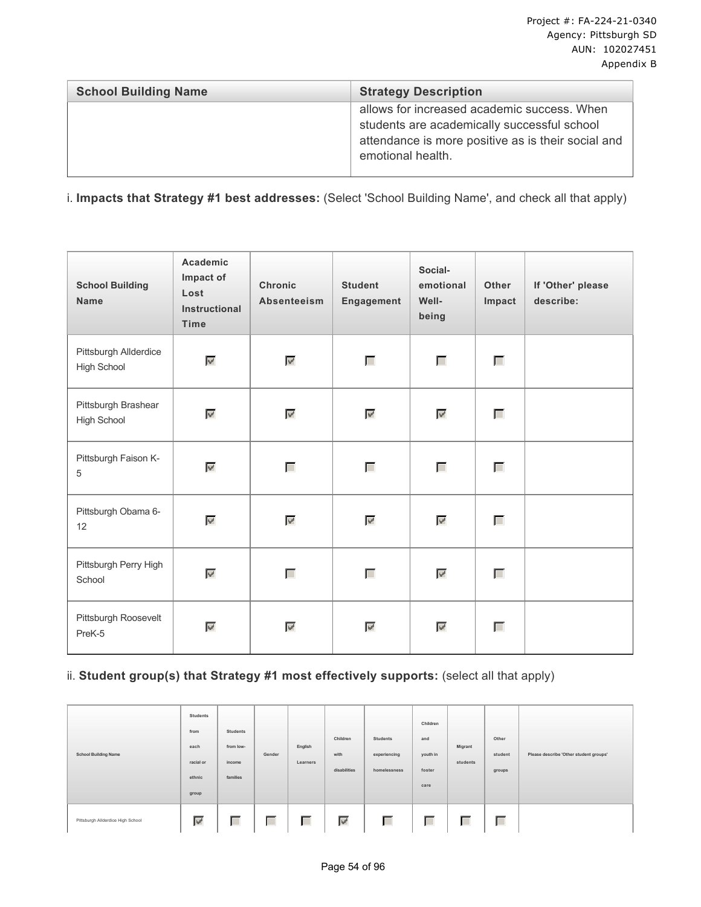| <b>School Building Name</b> | <b>Strategy Description</b>                                                                                                                                           |
|-----------------------------|-----------------------------------------------------------------------------------------------------------------------------------------------------------------------|
|                             | allows for increased academic success. When<br>students are academically successful school<br>attendance is more positive as is their social and<br>emotional health. |

i. **Impacts that Strategy #1 best addresses:** (Select 'School Building Name', and check all that apply)

| <b>School Building</b><br><b>Name</b>     | Academic<br>Impact of<br>Lost<br><b>Instructional</b><br>Time | <b>Chronic</b><br><b>Absenteeism</b> | <b>Student</b><br>Engagement | Social-<br>emotional<br>Well-<br>being | Other<br>Impact | If 'Other' please<br>describe: |
|-------------------------------------------|---------------------------------------------------------------|--------------------------------------|------------------------------|----------------------------------------|-----------------|--------------------------------|
| Pittsburgh Allderdice<br>High School      | $\mathbf{w}^{\prime}$                                         | $\overline{\mathscr{L}}$             | Г                            | Г                                      | П               |                                |
| Pittsburgh Brashear<br><b>High School</b> | $\mathbf{w}^{\prime}$                                         | $\overline{\mathscr{L}}$             | $\overline{\mathscr{C}}$     | ₹                                      | Г               |                                |
| Pittsburgh Faison K-<br>$\sqrt{5}$        | $\mathbf{w}^{\prime}$                                         | Г                                    | Г                            | Г                                      | Г               |                                |
| Pittsburgh Obama 6-<br>12                 | $\mathbf{w}^{\prime}$                                         | $\overline{\mathscr{L}}$             | $\mathcal{A}$                | $\overline{\mathscr{L}}$               | П               |                                |
| Pittsburgh Perry High<br>School           | $\omega^{\rho}$                                               | П                                    | Г                            | $\overline{\mathscr{C}}$               | П               |                                |
| Pittsburgh Roosevelt<br>PreK-5            | $\mathbf{w}^{\prime}$                                         | $\mathbb{V}^{\prime}$                | $\overline{\mathscr{C}}$     | $\mathbb{V}^{\prime}$                  | П               |                                |

## ii. Student group(s) that Strategy #1 most effectively supports: (select all that apply)

| <b>School Building Name</b>       | Students<br>from<br>each<br>racial or<br>ethnic<br>group | Students<br>from low-<br>income<br>families | Gender | English<br>Learners | Children<br>with<br>disabilities | Students<br>experiencing<br>homelessness | Children<br>and<br>youth in<br>foster<br>care | Migrant<br>students | Other<br>student<br>groups | Please describe 'Other student groups' |
|-----------------------------------|----------------------------------------------------------|---------------------------------------------|--------|---------------------|----------------------------------|------------------------------------------|-----------------------------------------------|---------------------|----------------------------|----------------------------------------|
| Pittsburgh Allderdice High School | ₹                                                        | Г                                           | Г      | Г                   | $\mathbb{W}^{\mathbb{P}}$        | Г                                        | Г                                             | Г                   | Г                          |                                        |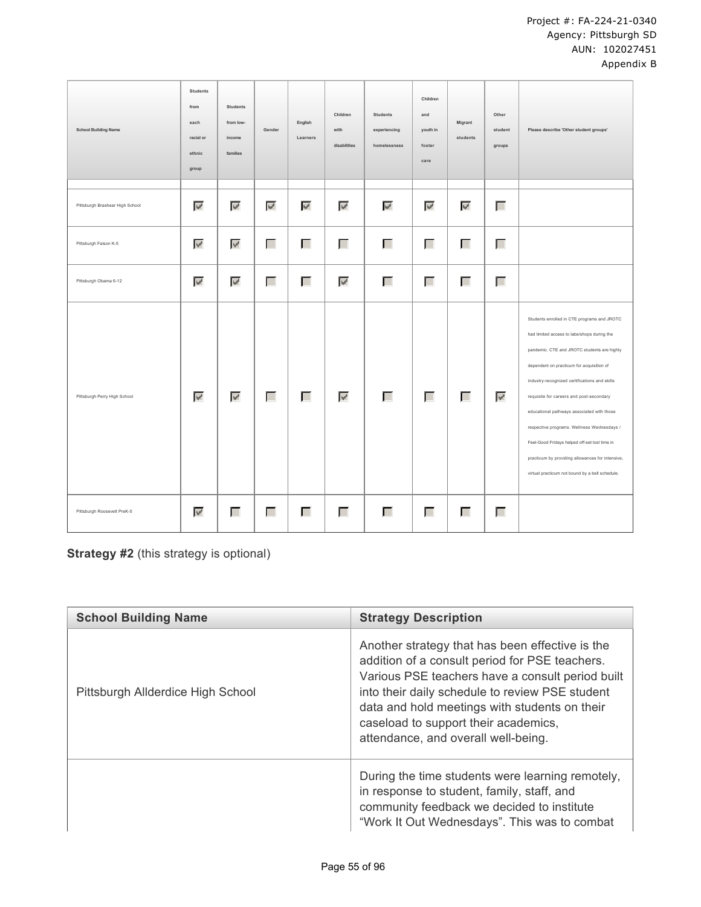| <b>School Building Name</b>     | Students<br>from<br>each<br>racial or<br>ethnic<br>group | Students<br>from low-<br>income<br>families | Gender                   | English<br>Learners      | Children<br>with<br>disabilities | <b>Students</b><br>experiencing<br>homelessness | Children<br>and<br>youth in<br>foster<br>care | Migrant<br>students       | Other<br>student<br>groups | Please describe 'Other student groups'                                                                                                                                                                                                                                                                                                                                                                                                                                                                                                  |
|---------------------------------|----------------------------------------------------------|---------------------------------------------|--------------------------|--------------------------|----------------------------------|-------------------------------------------------|-----------------------------------------------|---------------------------|----------------------------|-----------------------------------------------------------------------------------------------------------------------------------------------------------------------------------------------------------------------------------------------------------------------------------------------------------------------------------------------------------------------------------------------------------------------------------------------------------------------------------------------------------------------------------------|
|                                 |                                                          |                                             |                          |                          |                                  |                                                 |                                               |                           |                            |                                                                                                                                                                                                                                                                                                                                                                                                                                                                                                                                         |
| Pittsburgh Brashear High School | $\mathbf{w}^{\mathbf{r}}$                                | $\mathbf{w}^{\mathbf{d}}$                   | $\overline{\mathcal{L}}$ | $\overline{\mathscr{S}}$ | $\overline{\mathcal{L}}$         | $\overline{\mathscr{C}}$                        | $\overline{\mathbf{v}^{\prime}}$              | $\mathbf{w}^{\mathbf{d}}$ | Г                          |                                                                                                                                                                                                                                                                                                                                                                                                                                                                                                                                         |
| Pittsburgh Faison K-5           | $\overline{\mathscr{S}}$                                 | $\overline{\mathscr{C}}$                    | Г                        | Г                        | Г                                | Г                                               | Г                                             | Г                         | Г                          |                                                                                                                                                                                                                                                                                                                                                                                                                                                                                                                                         |
| Pittsburgh Obama 6-12           | $\mathcal{L}$                                            | $\mathcal{L}_{\mathcal{P}}$                 | Г                        | Г                        | $\overline{\mathscr{C}}$         | Г                                               | Г                                             | Г                         | П                          |                                                                                                                                                                                                                                                                                                                                                                                                                                                                                                                                         |
| Pittsburgh Perry High School    | $\overline{\mathscr{S}}$                                 | $\mathcal{L}$                               | Г                        | Г                        | $\overline{\mathscr{L}}$         | Г                                               | Г                                             | Г                         | $\overline{\mathscr{L}}$   | Students enrolled in CTE programs and JROTC<br>had limited access to labs/shops during the<br>pandemic. CTE and JROTC students are highly<br>dependent on practicum for acquisition of<br>industry-recognized certifications and skills<br>requisite for careers and post-secondary<br>educational pathways associated with those<br>respective programs. Wellness Wednesdays /<br>Feel-Good Fridays helped off-set lost time in<br>practicum by providing allowances for intensive,<br>virtual practicum not bound by a bell schedule. |
| Pittsburgh Roosevelt PreK-5     | $\mathbf{w}^{\prime}$                                    | Г                                           | Г                        | П                        | $\Box$                           | Г                                               | Г                                             | П                         | Г                          |                                                                                                                                                                                                                                                                                                                                                                                                                                                                                                                                         |

**Strategy #2** (this strategy is optional)

| <b>School Building Name</b>       | <b>Strategy Description</b>                                                                                                                                                                                                                                                                                                              |
|-----------------------------------|------------------------------------------------------------------------------------------------------------------------------------------------------------------------------------------------------------------------------------------------------------------------------------------------------------------------------------------|
| Pittsburgh Allderdice High School | Another strategy that has been effective is the<br>addition of a consult period for PSE teachers.<br>Various PSE teachers have a consult period built<br>into their daily schedule to review PSE student<br>data and hold meetings with students on their<br>caseload to support their academics,<br>attendance, and overall well-being. |
|                                   | During the time students were learning remotely,<br>in response to student, family, staff, and<br>community feedback we decided to institute<br>"Work It Out Wednesdays". This was to combat                                                                                                                                             |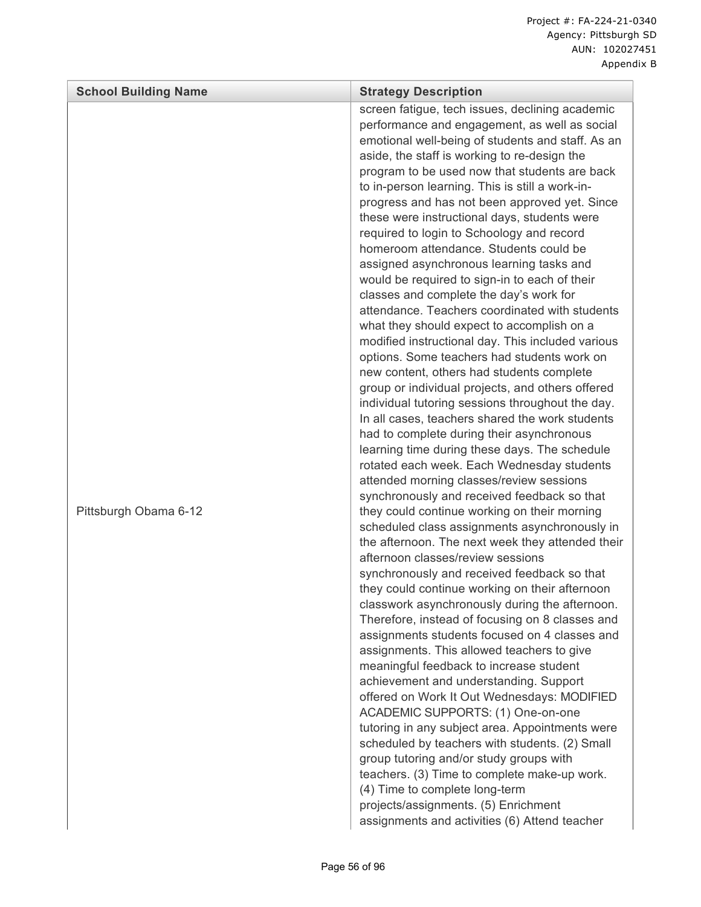| <b>School Building Name</b> | <b>Strategy Description</b>                                                                                                                                                                                                                                                                                                                                                                                                                                                                                                                                                                                                                                                                                                                                                                                                                                                                                                                                                                                                                                                                                                                                                                                                                                                                                                                  |
|-----------------------------|----------------------------------------------------------------------------------------------------------------------------------------------------------------------------------------------------------------------------------------------------------------------------------------------------------------------------------------------------------------------------------------------------------------------------------------------------------------------------------------------------------------------------------------------------------------------------------------------------------------------------------------------------------------------------------------------------------------------------------------------------------------------------------------------------------------------------------------------------------------------------------------------------------------------------------------------------------------------------------------------------------------------------------------------------------------------------------------------------------------------------------------------------------------------------------------------------------------------------------------------------------------------------------------------------------------------------------------------|
| Pittsburgh Obama 6-12       | screen fatigue, tech issues, declining academic<br>performance and engagement, as well as social<br>emotional well-being of students and staff. As an<br>aside, the staff is working to re-design the<br>program to be used now that students are back<br>to in-person learning. This is still a work-in-<br>progress and has not been approved yet. Since<br>these were instructional days, students were<br>required to login to Schoology and record<br>homeroom attendance. Students could be<br>assigned asynchronous learning tasks and<br>would be required to sign-in to each of their<br>classes and complete the day's work for<br>attendance. Teachers coordinated with students<br>what they should expect to accomplish on a<br>modified instructional day. This included various<br>options. Some teachers had students work on<br>new content, others had students complete<br>group or individual projects, and others offered<br>individual tutoring sessions throughout the day.<br>In all cases, teachers shared the work students<br>had to complete during their asynchronous<br>learning time during these days. The schedule<br>rotated each week. Each Wednesday students<br>attended morning classes/review sessions<br>synchronously and received feedback so that<br>they could continue working on their morning |
|                             | scheduled class assignments asynchronously in<br>the afternoon. The next week they attended their<br>afternoon classes/review sessions<br>synchronously and received feedback so that<br>they could continue working on their afternoon<br>classwork asynchronously during the afternoon.<br>Therefore, instead of focusing on 8 classes and<br>assignments students focused on 4 classes and<br>assignments. This allowed teachers to give<br>meaningful feedback to increase student<br>achievement and understanding. Support<br>offered on Work It Out Wednesdays: MODIFIED<br>ACADEMIC SUPPORTS: (1) One-on-one<br>tutoring in any subject area. Appointments were<br>scheduled by teachers with students. (2) Small<br>group tutoring and/or study groups with<br>teachers. (3) Time to complete make-up work.<br>(4) Time to complete long-term<br>projects/assignments. (5) Enrichment<br>assignments and activities (6) Attend teacher                                                                                                                                                                                                                                                                                                                                                                                              |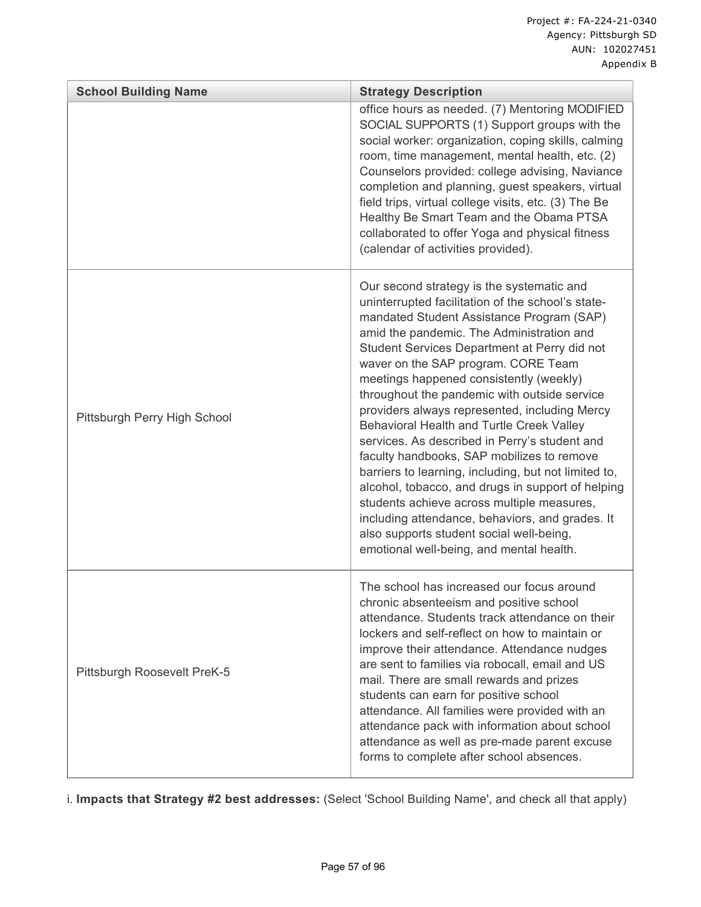| <b>School Building Name</b>  | <b>Strategy Description</b>                                                                                                                                                                                                                                                                                                                                                                                                                                                                                                                                                                                                                                                                                                                                                                                                                                                   |
|------------------------------|-------------------------------------------------------------------------------------------------------------------------------------------------------------------------------------------------------------------------------------------------------------------------------------------------------------------------------------------------------------------------------------------------------------------------------------------------------------------------------------------------------------------------------------------------------------------------------------------------------------------------------------------------------------------------------------------------------------------------------------------------------------------------------------------------------------------------------------------------------------------------------|
|                              | office hours as needed. (7) Mentoring MODIFIED<br>SOCIAL SUPPORTS (1) Support groups with the<br>social worker: organization, coping skills, calming<br>room, time management, mental health, etc. (2)<br>Counselors provided: college advising, Naviance<br>completion and planning, guest speakers, virtual<br>field trips, virtual college visits, etc. (3) The Be<br>Healthy Be Smart Team and the Obama PTSA<br>collaborated to offer Yoga and physical fitness<br>(calendar of activities provided).                                                                                                                                                                                                                                                                                                                                                                    |
| Pittsburgh Perry High School | Our second strategy is the systematic and<br>uninterrupted facilitation of the school's state-<br>mandated Student Assistance Program (SAP)<br>amid the pandemic. The Administration and<br>Student Services Department at Perry did not<br>waver on the SAP program. CORE Team<br>meetings happened consistently (weekly)<br>throughout the pandemic with outside service<br>providers always represented, including Mercy<br>Behavioral Health and Turtle Creek Valley<br>services. As described in Perry's student and<br>faculty handbooks, SAP mobilizes to remove<br>barriers to learning, including, but not limited to,<br>alcohol, tobacco, and drugs in support of helping<br>students achieve across multiple measures,<br>including attendance, behaviors, and grades. It<br>also supports student social well-being,<br>emotional well-being, and mental health. |
| Pittsburgh Roosevelt PreK-5  | The school has increased our focus around<br>chronic absenteeism and positive school<br>attendance. Students track attendance on their<br>lockers and self-reflect on how to maintain or<br>improve their attendance. Attendance nudges<br>are sent to families via robocall, email and US<br>mail. There are small rewards and prizes<br>students can earn for positive school<br>attendance. All families were provided with an<br>attendance pack with information about school<br>attendance as well as pre-made parent excuse<br>forms to complete after school absences.                                                                                                                                                                                                                                                                                                |

i. **Impacts that Strategy #2 best addresses:** (Select 'School Building Name', and check all that apply)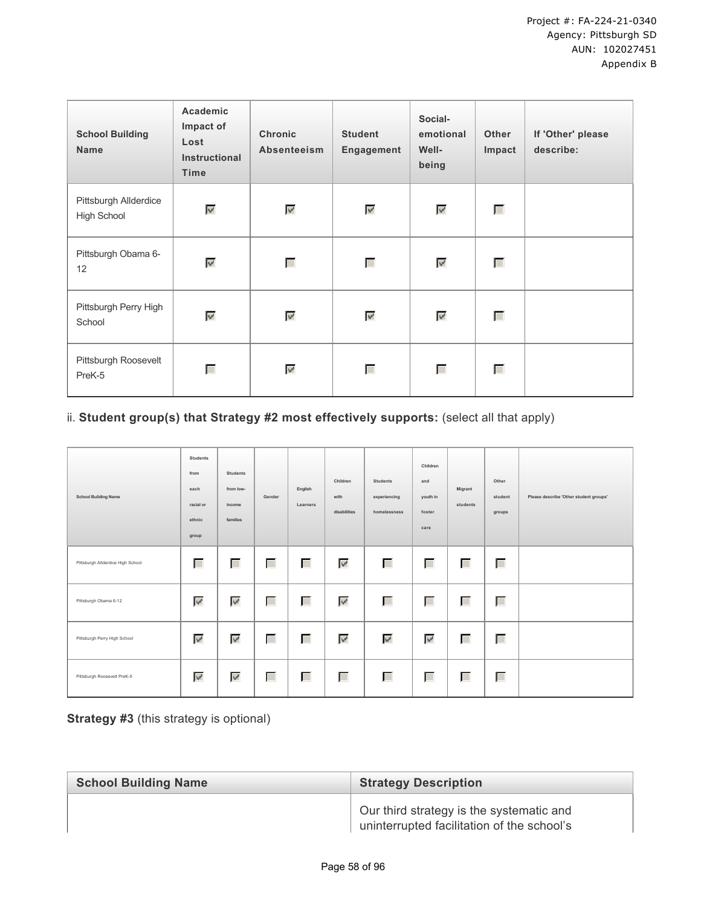| <b>School Building</b><br><b>Name</b>       | Academic<br>Impact of<br>Lost<br><b>Instructional</b><br><b>Time</b> | <b>Chronic</b><br><b>Absenteeism</b> | <b>Student</b><br>Engagement | Social-<br>emotional<br>Well-<br>being | <b>Other</b><br>Impact | If 'Other' please<br>describe: |
|---------------------------------------------|----------------------------------------------------------------------|--------------------------------------|------------------------------|----------------------------------------|------------------------|--------------------------------|
| Pittsburgh Allderdice<br><b>High School</b> | ₹                                                                    | ₹                                    | $\mathcal{P}$                | $\mathcal{P}_0$                        | $\Box$                 |                                |
| Pittsburgh Obama 6-<br>12                   | $\overline{\mathscr{A}}$                                             | Г                                    | Г                            | $\mathbf{w}^{\prime}$                  | Г                      |                                |
| Pittsburgh Perry High<br>School             | $\overline{\mathscr{A}}$                                             | <b>V</b>                             | $\overline{\mathscr{C}}$     | $\mathbf{w}^{\prime}$                  | Г                      |                                |
| Pittsburgh Roosevelt<br>PreK-5              | Г                                                                    | $\overline{\mathbf{v}^{\prime}}$     | Г                            | Г                                      | Г                      |                                |

# ii. Student group(s) that Strategy #2 most effectively supports: (select all that apply)

| <b>School Building Name</b>       | Students<br>from<br>each<br>racial or<br>ethnic<br>group | <b>Students</b><br>from low-<br>income<br>families | Gender | English<br>Learners | Children<br>with<br>disabilities | <b>Students</b><br>experiencing<br>homelessness | Children<br>and<br>youth in<br>foster<br>care | Migrant<br>students | Other<br>student<br>groups | Please describe 'Other student groups' |
|-----------------------------------|----------------------------------------------------------|----------------------------------------------------|--------|---------------------|----------------------------------|-------------------------------------------------|-----------------------------------------------|---------------------|----------------------------|----------------------------------------|
| Pittsburgh Allderdice High School | Г                                                        | Г                                                  | $\Box$ | Г                   | $\mathbb{W}^l$                   | П                                               | Г                                             | Г                   | Г                          |                                        |
| Pittsburgh Obama 6-12             | ₹                                                        | $\mathcal{A}$                                      | Г      | Г                   | $\omega^{\prime}$                | Г                                               | Г                                             | Г                   | Г                          |                                        |
| Pittsburgh Perry High School      | ₹                                                        | $\overline{\mathscr{C}}$                           | Г      | Г                   | $\overline{\mathbf{v}^{\prime}}$ | $\overline{\mathbf{v}^{\prime}}$                | $\overline{\mathscr{A}}$                      | Г                   | Г                          |                                        |
| Pittsburgh Roosevelt PreK-5       | $\overline{\mathscr{S}}$                                 | $\mathcal{A}$                                      | Г      | Г                   | П                                | П                                               | $\Box$                                        | Г                   | Г                          |                                        |

**Strategy #3** (this strategy is optional)

| <b>School Building Name</b> | <b>Strategy Description</b>                                                            |
|-----------------------------|----------------------------------------------------------------------------------------|
|                             | Our third strategy is the systematic and<br>uninterrupted facilitation of the school's |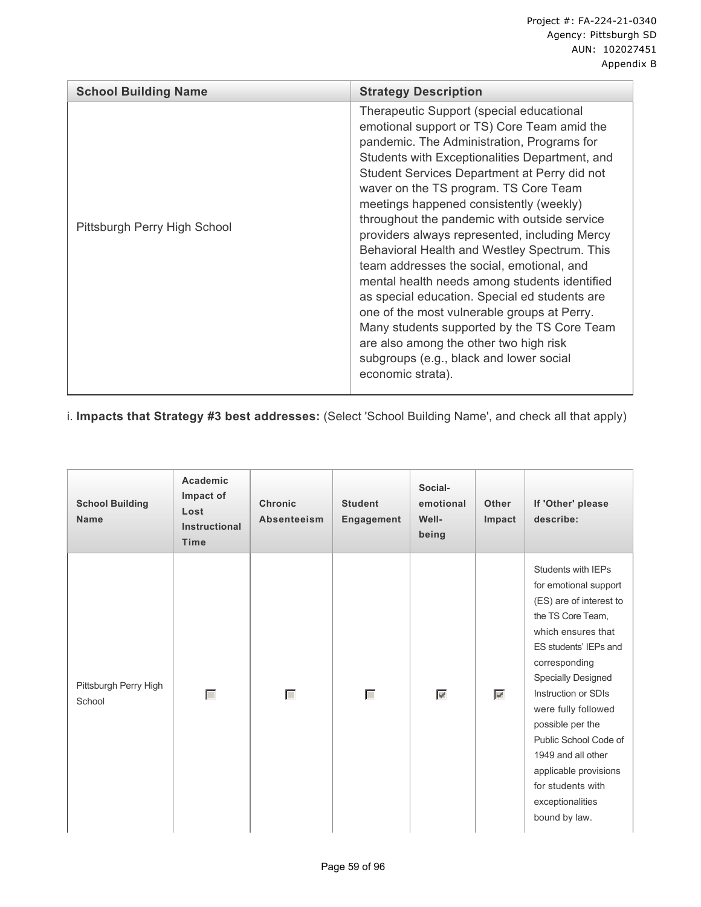| <b>School Building Name</b>  | <b>Strategy Description</b>                                                                                                                                                                                                                                                                                                                                                                                                                                                                                                                                                                                                                                                                                                                                                                                                         |
|------------------------------|-------------------------------------------------------------------------------------------------------------------------------------------------------------------------------------------------------------------------------------------------------------------------------------------------------------------------------------------------------------------------------------------------------------------------------------------------------------------------------------------------------------------------------------------------------------------------------------------------------------------------------------------------------------------------------------------------------------------------------------------------------------------------------------------------------------------------------------|
| Pittsburgh Perry High School | Therapeutic Support (special educational<br>emotional support or TS) Core Team amid the<br>pandemic. The Administration, Programs for<br>Students with Exceptionalities Department, and<br>Student Services Department at Perry did not<br>waver on the TS program. TS Core Team<br>meetings happened consistently (weekly)<br>throughout the pandemic with outside service<br>providers always represented, including Mercy<br>Behavioral Health and Westley Spectrum. This<br>team addresses the social, emotional, and<br>mental health needs among students identified<br>as special education. Special ed students are<br>one of the most vulnerable groups at Perry.<br>Many students supported by the TS Core Team<br>are also among the other two high risk<br>subgroups (e.g., black and lower social<br>economic strata). |

i. **Impacts that Strategy #3 best addresses:** (Select 'School Building Name', and check all that apply)

| <b>School Building</b><br><b>Name</b> | Academic<br>Impact of<br>Lost<br><b>Instructional</b><br><b>Time</b> | <b>Chronic</b><br><b>Absenteeism</b> | <b>Student</b><br>Engagement | Social-<br>emotional<br>Well-<br>being | <b>Other</b><br>Impact   | If 'Other' please<br>describe:                                                                                                                                                                                                                                                                                                                                                               |
|---------------------------------------|----------------------------------------------------------------------|--------------------------------------|------------------------------|----------------------------------------|--------------------------|----------------------------------------------------------------------------------------------------------------------------------------------------------------------------------------------------------------------------------------------------------------------------------------------------------------------------------------------------------------------------------------------|
| Pittsburgh Perry High<br>School       | Г                                                                    | Г                                    | Г                            | $\overline{\mathscr{S}}$               | $\overline{\mathscr{S}}$ | Students with IEPs<br>for emotional support<br>(ES) are of interest to<br>the TS Core Team,<br>which ensures that<br>ES students' IEPs and<br>corresponding<br><b>Specially Designed</b><br>Instruction or SDIs<br>were fully followed<br>possible per the<br>Public School Code of<br>1949 and all other<br>applicable provisions<br>for students with<br>exceptionalities<br>bound by law. |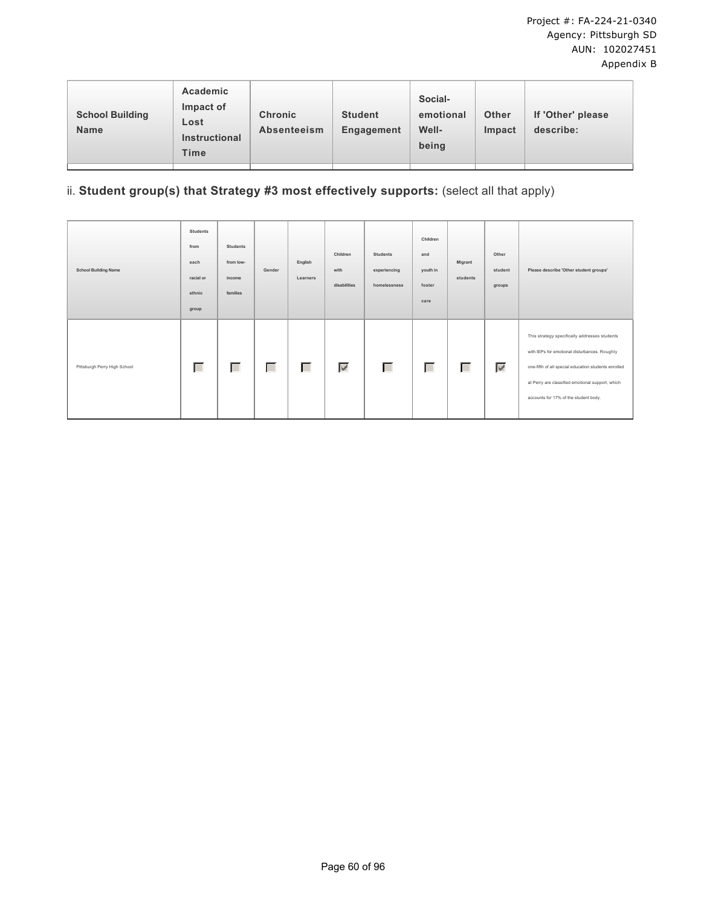| Academic<br>Impact of<br><b>School Building</b><br>Lost<br><b>Name</b><br><b>Instructional</b><br><b>Time</b> | <b>Chronic</b><br><b>Absenteeism</b> | <b>Student</b><br>Engagement | Social-<br>emotional<br>Well-<br>being | <b>Other</b><br>Impact | If 'Other' please<br>describe: |  |
|---------------------------------------------------------------------------------------------------------------|--------------------------------------|------------------------------|----------------------------------------|------------------------|--------------------------------|--|
|---------------------------------------------------------------------------------------------------------------|--------------------------------------|------------------------------|----------------------------------------|------------------------|--------------------------------|--|

# ii. **Student group(s) that Strategy #3 most effectively supports:** (select all that apply)

| <b>School Building Name</b>  | <b>Students</b><br>from<br>each<br>racial or<br>ethnic<br>group | <b>Students</b><br>from low-<br>income<br>families | Gender | English<br>Learners | Children<br>with<br>disabilities | <b>Students</b><br>experiencing<br>homelessness | Children<br>and<br>youth in<br>foster<br>care | Migrant<br>students | Other<br>student<br>groups | Please describe 'Other student groups'                                                                                                                                                                                                              |
|------------------------------|-----------------------------------------------------------------|----------------------------------------------------|--------|---------------------|----------------------------------|-------------------------------------------------|-----------------------------------------------|---------------------|----------------------------|-----------------------------------------------------------------------------------------------------------------------------------------------------------------------------------------------------------------------------------------------------|
| Pittsburgh Perry High School | Г                                                               | Г                                                  | Г      | Г                   | $\blacktriangledown$             | Г                                               | Г                                             | Г                   | $\overline{\mathscr{C}}$   | This strategy specifically addresses students<br>with IEPs for emotional disturbances. Roughly<br>one-fifth of all special education students enrolled<br>at Perry are classified emotional support, which<br>accounts for 17% of the student body. |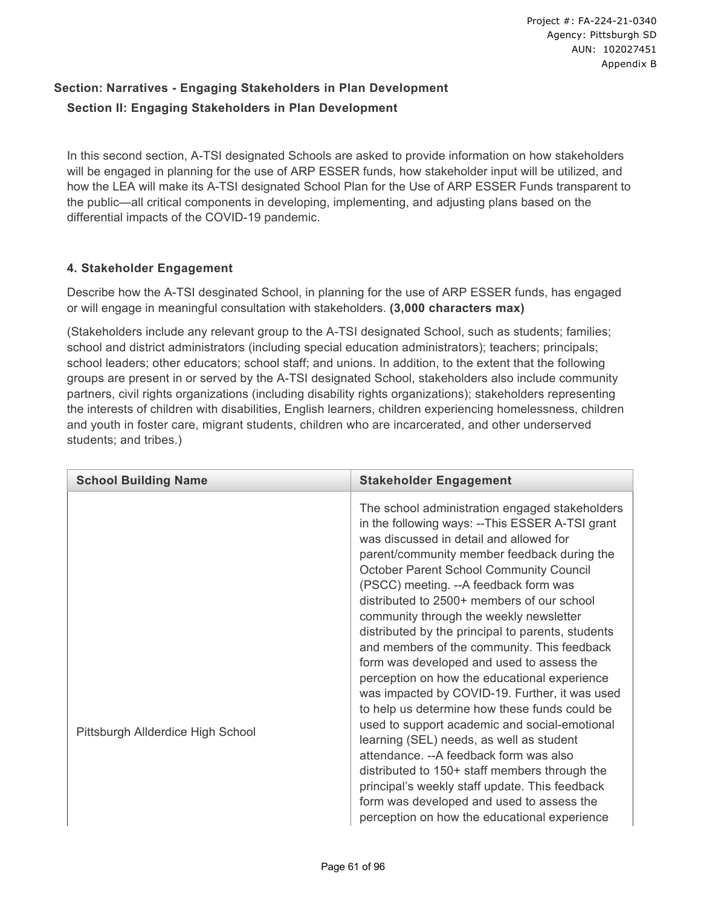# **Section: Narratives - Engaging Stakeholders in Plan Development Section II: Engaging Stakeholders in Plan Development**

In this second section, A-TSI designated Schools are asked to provide information on how stakeholders will be engaged in planning for the use of ARP ESSER funds, how stakeholder input will be utilized, and how the LEA will make its A-TSI designated School Plan for the Use of ARP ESSER Funds transparent to the public—all critical components in developing, implementing, and adjusting plans based on the differential impacts of the COVID-19 pandemic.

## **4. Stakeholder Engagement**

Describe how the A-TSI desginated School, in planning for the use of ARP ESSER funds, has engaged or will engage in meaningful consultation with stakeholders. **(3,000 characters max)**

(Stakeholders include any relevant group to the A-TSI designated School, such as students; families; school and district administrators (including special education administrators); teachers; principals; school leaders; other educators; school staff; and unions. In addition, to the extent that the following groups are present in or served by the A-TSI designated School, stakeholders also include community partners, civil rights organizations (including disability rights organizations); stakeholders representing the interests of children with disabilities, English learners, children experiencing homelessness, children and youth in foster care, migrant students, children who are incarcerated, and other underserved students; and tribes.)

| <b>School Building Name</b>       | <b>Stakeholder Engagement</b>                                                                                                                                                                                                                                                                                                                                                                                                                                                                                                                                                                                                                                                                                                                                                                                         |
|-----------------------------------|-----------------------------------------------------------------------------------------------------------------------------------------------------------------------------------------------------------------------------------------------------------------------------------------------------------------------------------------------------------------------------------------------------------------------------------------------------------------------------------------------------------------------------------------------------------------------------------------------------------------------------------------------------------------------------------------------------------------------------------------------------------------------------------------------------------------------|
| Pittsburgh Allderdice High School | The school administration engaged stakeholders<br>in the following ways: --This ESSER A-TSI grant<br>was discussed in detail and allowed for<br>parent/community member feedback during the<br>October Parent School Community Council<br>(PSCC) meeting. -- A feedback form was<br>distributed to 2500+ members of our school<br>community through the weekly newsletter<br>distributed by the principal to parents, students<br>and members of the community. This feedback<br>form was developed and used to assess the<br>perception on how the educational experience<br>was impacted by COVID-19. Further, it was used<br>to help us determine how these funds could be<br>used to support academic and social-emotional<br>learning (SEL) needs, as well as student<br>attendance. -- A feedback form was also |
|                                   | distributed to 150+ staff members through the<br>principal's weekly staff update. This feedback<br>form was developed and used to assess the<br>perception on how the educational experience                                                                                                                                                                                                                                                                                                                                                                                                                                                                                                                                                                                                                          |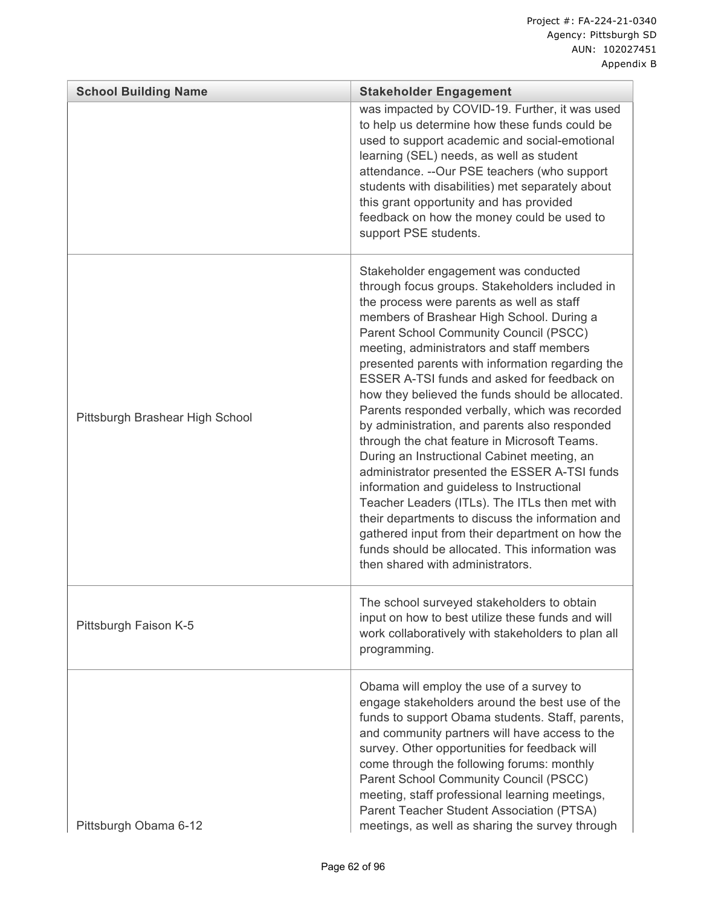| <b>School Building Name</b>     | <b>Stakeholder Engagement</b>                                                                                                                                                                                                                                                                                                                                                                                                                                                                                                                                                                                                                                                                                                                                                                                                                                                                                                                                                   |
|---------------------------------|---------------------------------------------------------------------------------------------------------------------------------------------------------------------------------------------------------------------------------------------------------------------------------------------------------------------------------------------------------------------------------------------------------------------------------------------------------------------------------------------------------------------------------------------------------------------------------------------------------------------------------------------------------------------------------------------------------------------------------------------------------------------------------------------------------------------------------------------------------------------------------------------------------------------------------------------------------------------------------|
|                                 | was impacted by COVID-19. Further, it was used<br>to help us determine how these funds could be<br>used to support academic and social-emotional<br>learning (SEL) needs, as well as student<br>attendance. -- Our PSE teachers (who support<br>students with disabilities) met separately about<br>this grant opportunity and has provided<br>feedback on how the money could be used to<br>support PSE students.                                                                                                                                                                                                                                                                                                                                                                                                                                                                                                                                                              |
| Pittsburgh Brashear High School | Stakeholder engagement was conducted<br>through focus groups. Stakeholders included in<br>the process were parents as well as staff<br>members of Brashear High School. During a<br>Parent School Community Council (PSCC)<br>meeting, administrators and staff members<br>presented parents with information regarding the<br>ESSER A-TSI funds and asked for feedback on<br>how they believed the funds should be allocated.<br>Parents responded verbally, which was recorded<br>by administration, and parents also responded<br>through the chat feature in Microsoft Teams.<br>During an Instructional Cabinet meeting, an<br>administrator presented the ESSER A-TSI funds<br>information and guideless to Instructional<br>Teacher Leaders (ITLs). The ITLs then met with<br>their departments to discuss the information and<br>gathered input from their department on how the<br>funds should be allocated. This information was<br>then shared with administrators. |
| Pittsburgh Faison K-5           | The school surveyed stakeholders to obtain<br>input on how to best utilize these funds and will<br>work collaboratively with stakeholders to plan all<br>programming.                                                                                                                                                                                                                                                                                                                                                                                                                                                                                                                                                                                                                                                                                                                                                                                                           |
| Pittsburgh Obama 6-12           | Obama will employ the use of a survey to<br>engage stakeholders around the best use of the<br>funds to support Obama students. Staff, parents,<br>and community partners will have access to the<br>survey. Other opportunities for feedback will<br>come through the following forums: monthly<br>Parent School Community Council (PSCC)<br>meeting, staff professional learning meetings,<br>Parent Teacher Student Association (PTSA)<br>meetings, as well as sharing the survey through                                                                                                                                                                                                                                                                                                                                                                                                                                                                                     |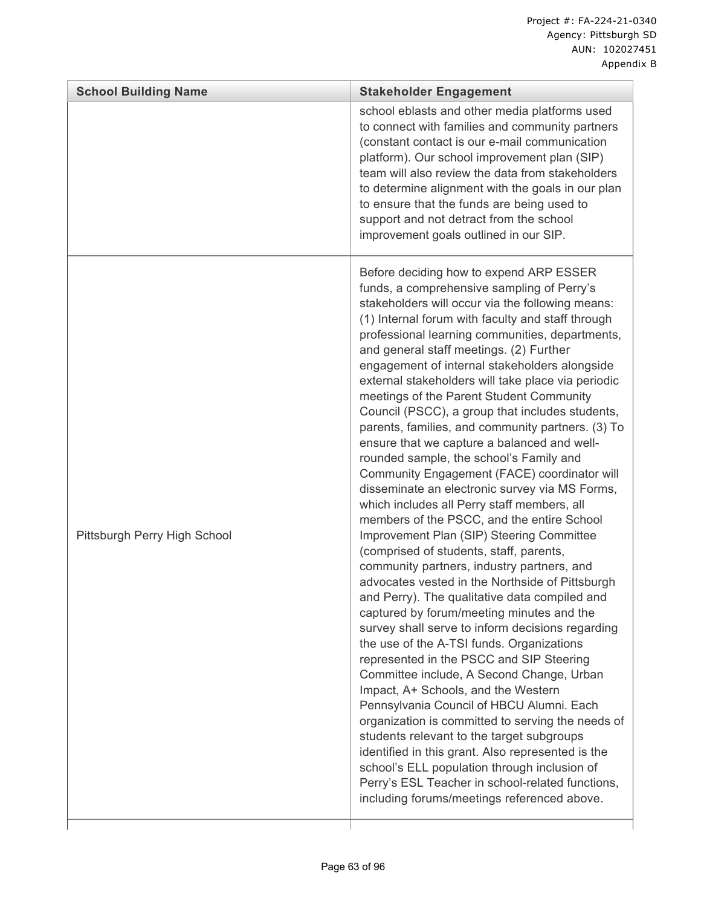|                              | school eblasts and other media platforms used<br>to connect with families and community partners<br>(constant contact is our e-mail communication<br>platform). Our school improvement plan (SIP)<br>team will also review the data from stakeholders<br>to determine alignment with the goals in our plan<br>to ensure that the funds are being used to<br>support and not detract from the school                                                                                                                                                                                                                                                                                                                                                                                                                                                                                                                                                                                                                                                                                                                                                                                                                                                                                                                                                                                                                                                                                                                                                                                                                                                                                                                             |
|------------------------------|---------------------------------------------------------------------------------------------------------------------------------------------------------------------------------------------------------------------------------------------------------------------------------------------------------------------------------------------------------------------------------------------------------------------------------------------------------------------------------------------------------------------------------------------------------------------------------------------------------------------------------------------------------------------------------------------------------------------------------------------------------------------------------------------------------------------------------------------------------------------------------------------------------------------------------------------------------------------------------------------------------------------------------------------------------------------------------------------------------------------------------------------------------------------------------------------------------------------------------------------------------------------------------------------------------------------------------------------------------------------------------------------------------------------------------------------------------------------------------------------------------------------------------------------------------------------------------------------------------------------------------------------------------------------------------------------------------------------------------|
|                              | improvement goals outlined in our SIP.                                                                                                                                                                                                                                                                                                                                                                                                                                                                                                                                                                                                                                                                                                                                                                                                                                                                                                                                                                                                                                                                                                                                                                                                                                                                                                                                                                                                                                                                                                                                                                                                                                                                                          |
| Pittsburgh Perry High School | Before deciding how to expend ARP ESSER<br>funds, a comprehensive sampling of Perry's<br>stakeholders will occur via the following means:<br>(1) Internal forum with faculty and staff through<br>professional learning communities, departments,<br>and general staff meetings. (2) Further<br>engagement of internal stakeholders alongside<br>external stakeholders will take place via periodic<br>meetings of the Parent Student Community<br>Council (PSCC), a group that includes students,<br>parents, families, and community partners. (3) To<br>ensure that we capture a balanced and well-<br>rounded sample, the school's Family and<br>Community Engagement (FACE) coordinator will<br>disseminate an electronic survey via MS Forms,<br>which includes all Perry staff members, all<br>members of the PSCC, and the entire School<br>Improvement Plan (SIP) Steering Committee<br>(comprised of students, staff, parents,<br>community partners, industry partners, and<br>advocates vested in the Northside of Pittsburgh<br>and Perry). The qualitative data compiled and<br>captured by forum/meeting minutes and the<br>survey shall serve to inform decisions regarding<br>the use of the A-TSI funds. Organizations<br>represented in the PSCC and SIP Steering<br>Committee include, A Second Change, Urban<br>Impact, A+ Schools, and the Western<br>Pennsylvania Council of HBCU Alumni. Each<br>organization is committed to serving the needs of<br>students relevant to the target subgroups<br>identified in this grant. Also represented is the<br>school's ELL population through inclusion of<br>Perry's ESL Teacher in school-related functions,<br>including forums/meetings referenced above. |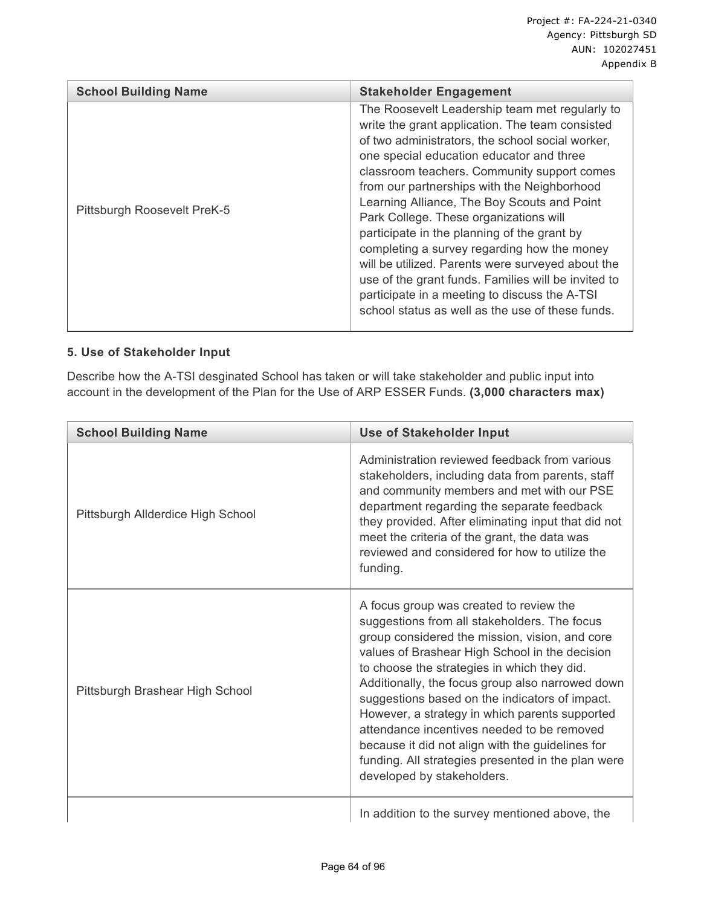| <b>School Building Name</b> | <b>Stakeholder Engagement</b>                                                                                                                                                                                                                                                                                                                                                                                                                                                                                                                                                                                                                                                                           |
|-----------------------------|---------------------------------------------------------------------------------------------------------------------------------------------------------------------------------------------------------------------------------------------------------------------------------------------------------------------------------------------------------------------------------------------------------------------------------------------------------------------------------------------------------------------------------------------------------------------------------------------------------------------------------------------------------------------------------------------------------|
| Pittsburgh Roosevelt PreK-5 | The Roosevelt Leadership team met regularly to<br>write the grant application. The team consisted<br>of two administrators, the school social worker,<br>one special education educator and three<br>classroom teachers. Community support comes<br>from our partnerships with the Neighborhood<br>Learning Alliance, The Boy Scouts and Point<br>Park College. These organizations will<br>participate in the planning of the grant by<br>completing a survey regarding how the money<br>will be utilized. Parents were surveyed about the<br>use of the grant funds. Families will be invited to<br>participate in a meeting to discuss the A-TSI<br>school status as well as the use of these funds. |

## **5. Use of Stakeholder Input**

Describe how the A-TSI desginated School has taken or will take stakeholder and public input into account in the development of the Plan for the Use of ARP ESSER Funds. **(3,000 characters max)**

| <b>School Building Name</b>       | <b>Use of Stakeholder Input</b>                                                                                                                                                                                                                                                                                                                                                                                                                                                                                                                                                          |
|-----------------------------------|------------------------------------------------------------------------------------------------------------------------------------------------------------------------------------------------------------------------------------------------------------------------------------------------------------------------------------------------------------------------------------------------------------------------------------------------------------------------------------------------------------------------------------------------------------------------------------------|
| Pittsburgh Allderdice High School | Administration reviewed feedback from various<br>stakeholders, including data from parents, staff<br>and community members and met with our PSE<br>department regarding the separate feedback<br>they provided. After eliminating input that did not<br>meet the criteria of the grant, the data was<br>reviewed and considered for how to utilize the<br>funding.                                                                                                                                                                                                                       |
| Pittsburgh Brashear High School   | A focus group was created to review the<br>suggestions from all stakeholders. The focus<br>group considered the mission, vision, and core<br>values of Brashear High School in the decision<br>to choose the strategies in which they did.<br>Additionally, the focus group also narrowed down<br>suggestions based on the indicators of impact.<br>However, a strategy in which parents supported<br>attendance incentives needed to be removed<br>because it did not align with the guidelines for<br>funding. All strategies presented in the plan were<br>developed by stakeholders. |
|                                   | In addition to the survey mentioned above, the                                                                                                                                                                                                                                                                                                                                                                                                                                                                                                                                           |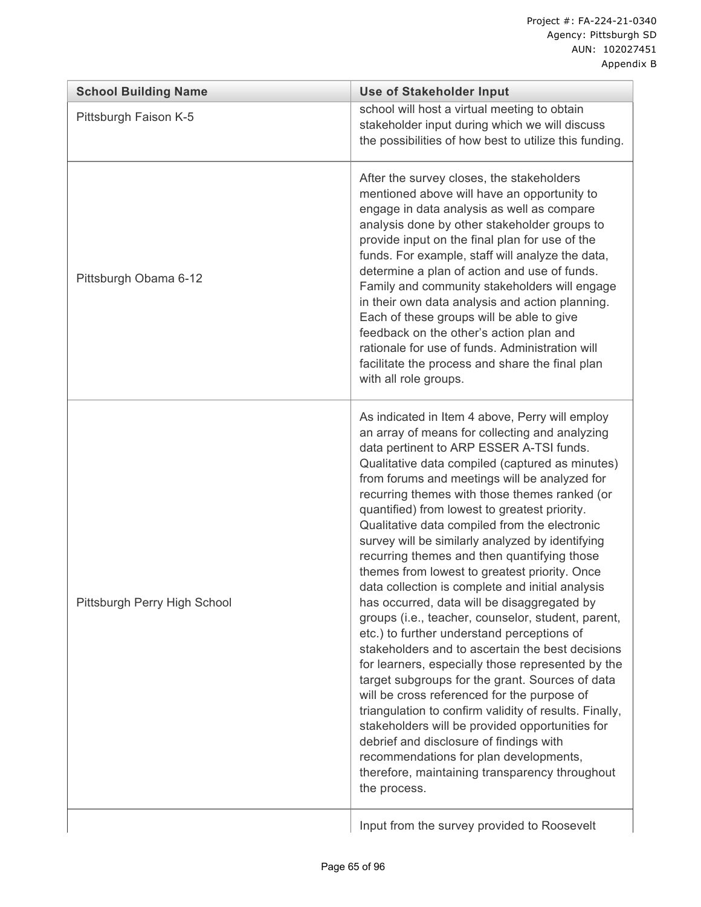| <b>School Building Name</b>  | <b>Use of Stakeholder Input</b>                                                                                                                                                                                                                                                                                                                                                                                                                                                                                                                                                                                                                                                                                                                                                                                                                                                                                                                                                                                                                                                                                                                                                                                                                |
|------------------------------|------------------------------------------------------------------------------------------------------------------------------------------------------------------------------------------------------------------------------------------------------------------------------------------------------------------------------------------------------------------------------------------------------------------------------------------------------------------------------------------------------------------------------------------------------------------------------------------------------------------------------------------------------------------------------------------------------------------------------------------------------------------------------------------------------------------------------------------------------------------------------------------------------------------------------------------------------------------------------------------------------------------------------------------------------------------------------------------------------------------------------------------------------------------------------------------------------------------------------------------------|
| Pittsburgh Faison K-5        | school will host a virtual meeting to obtain<br>stakeholder input during which we will discuss<br>the possibilities of how best to utilize this funding.                                                                                                                                                                                                                                                                                                                                                                                                                                                                                                                                                                                                                                                                                                                                                                                                                                                                                                                                                                                                                                                                                       |
| Pittsburgh Obama 6-12        | After the survey closes, the stakeholders<br>mentioned above will have an opportunity to<br>engage in data analysis as well as compare<br>analysis done by other stakeholder groups to<br>provide input on the final plan for use of the<br>funds. For example, staff will analyze the data,<br>determine a plan of action and use of funds.<br>Family and community stakeholders will engage<br>in their own data analysis and action planning.<br>Each of these groups will be able to give<br>feedback on the other's action plan and<br>rationale for use of funds. Administration will<br>facilitate the process and share the final plan<br>with all role groups.                                                                                                                                                                                                                                                                                                                                                                                                                                                                                                                                                                        |
| Pittsburgh Perry High School | As indicated in Item 4 above, Perry will employ<br>an array of means for collecting and analyzing<br>data pertinent to ARP ESSER A-TSI funds.<br>Qualitative data compiled (captured as minutes)<br>from forums and meetings will be analyzed for<br>recurring themes with those themes ranked (or<br>quantified) from lowest to greatest priority.<br>Qualitative data compiled from the electronic<br>survey will be similarly analyzed by identifying<br>recurring themes and then quantifying those<br>themes from lowest to greatest priority. Once<br>data collection is complete and initial analysis<br>has occurred, data will be disaggregated by<br>groups (i.e., teacher, counselor, student, parent,<br>etc.) to further understand perceptions of<br>stakeholders and to ascertain the best decisions<br>for learners, especially those represented by the<br>target subgroups for the grant. Sources of data<br>will be cross referenced for the purpose of<br>triangulation to confirm validity of results. Finally,<br>stakeholders will be provided opportunities for<br>debrief and disclosure of findings with<br>recommendations for plan developments,<br>therefore, maintaining transparency throughout<br>the process. |
|                              | Input from the survey provided to Roosevelt                                                                                                                                                                                                                                                                                                                                                                                                                                                                                                                                                                                                                                                                                                                                                                                                                                                                                                                                                                                                                                                                                                                                                                                                    |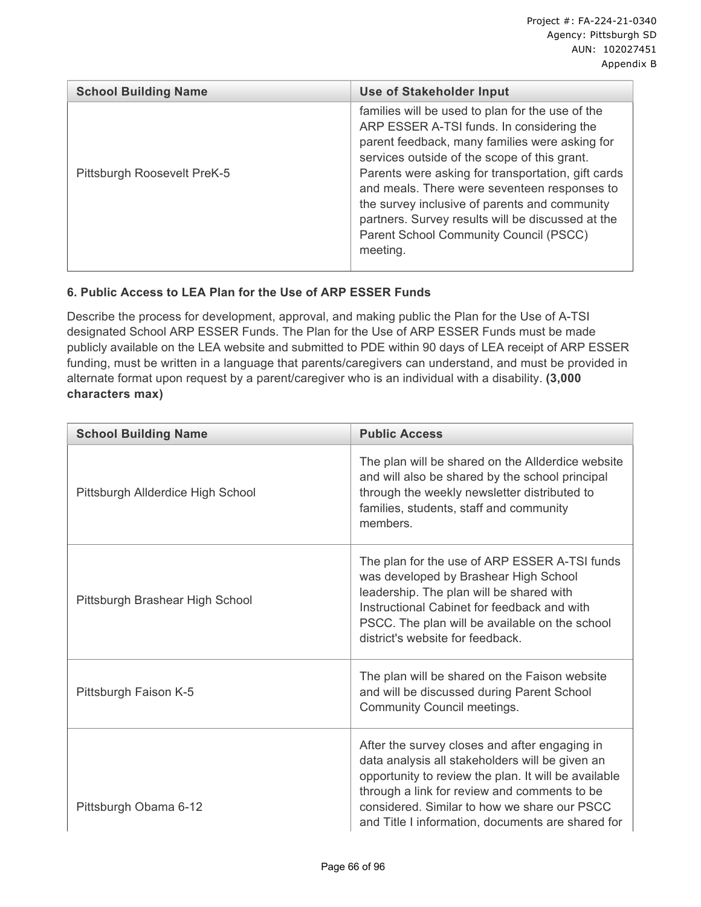| <b>School Building Name</b> | <b>Use of Stakeholder Input</b>                                                                                                                                                                                                                                                                                                                                                                                                                                   |
|-----------------------------|-------------------------------------------------------------------------------------------------------------------------------------------------------------------------------------------------------------------------------------------------------------------------------------------------------------------------------------------------------------------------------------------------------------------------------------------------------------------|
| Pittsburgh Roosevelt PreK-5 | families will be used to plan for the use of the<br>ARP ESSER A-TSI funds. In considering the<br>parent feedback, many families were asking for<br>services outside of the scope of this grant.<br>Parents were asking for transportation, gift cards<br>and meals. There were seventeen responses to<br>the survey inclusive of parents and community<br>partners. Survey results will be discussed at the<br>Parent School Community Council (PSCC)<br>meeting. |

## **6. Public Access to LEA Plan for the Use of ARP ESSER Funds**

Describe the process for development, approval, and making public the Plan for the Use of A-TSI designated School ARP ESSER Funds. The Plan for the Use of ARP ESSER Funds must be made publicly available on the LEA website and submitted to PDE within 90 days of LEA receipt of ARP ESSER funding, must be written in a language that parents/caregivers can understand, and must be provided in alternate format upon request by a parent/caregiver who is an individual with a disability. **(3,000 characters max)**

| <b>School Building Name</b>       | <b>Public Access</b>                                                                                                                                                                                                                                                                                          |
|-----------------------------------|---------------------------------------------------------------------------------------------------------------------------------------------------------------------------------------------------------------------------------------------------------------------------------------------------------------|
| Pittsburgh Allderdice High School | The plan will be shared on the Allderdice website<br>and will also be shared by the school principal<br>through the weekly newsletter distributed to<br>families, students, staff and community<br>members.                                                                                                   |
| Pittsburgh Brashear High School   | The plan for the use of ARP ESSER A-TSI funds<br>was developed by Brashear High School<br>leadership. The plan will be shared with<br>Instructional Cabinet for feedback and with<br>PSCC. The plan will be available on the school<br>district's website for feedback.                                       |
| Pittsburgh Faison K-5             | The plan will be shared on the Faison website<br>and will be discussed during Parent School<br>Community Council meetings.                                                                                                                                                                                    |
| Pittsburgh Obama 6-12             | After the survey closes and after engaging in<br>data analysis all stakeholders will be given an<br>opportunity to review the plan. It will be available<br>through a link for review and comments to be<br>considered. Similar to how we share our PSCC<br>and Title I information, documents are shared for |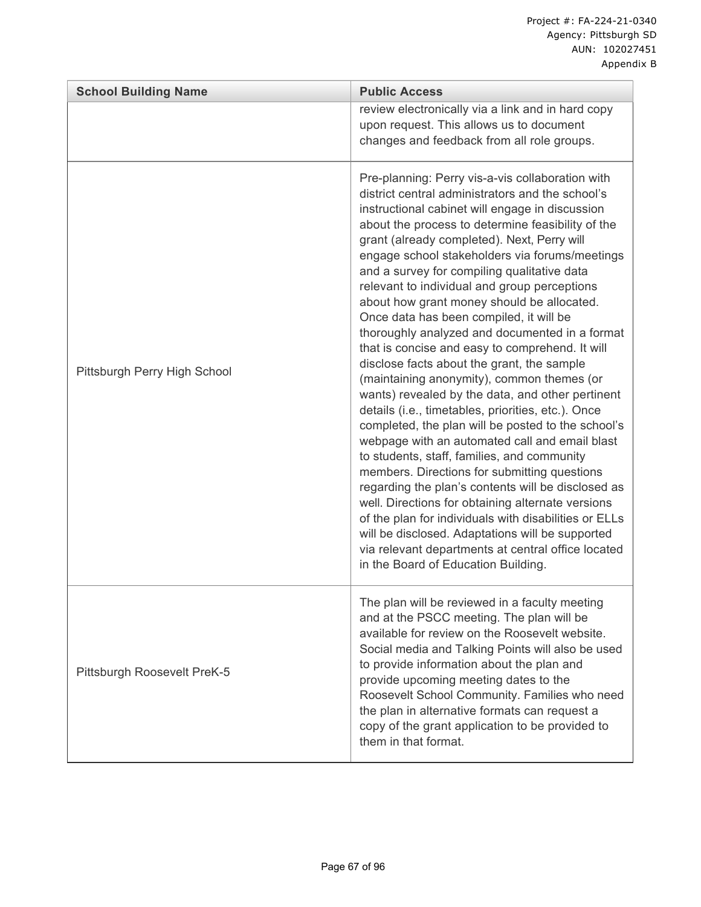| <b>School Building Name</b><br><b>Public Access</b> |                                                                                                                                                                                                                                                                                                                                                                                                                                                                                                                                                                                                                                                                                                                                                                                                                                                                                                                                                                                                                                                                                                                                                                                                                                                                                                                                              |
|-----------------------------------------------------|----------------------------------------------------------------------------------------------------------------------------------------------------------------------------------------------------------------------------------------------------------------------------------------------------------------------------------------------------------------------------------------------------------------------------------------------------------------------------------------------------------------------------------------------------------------------------------------------------------------------------------------------------------------------------------------------------------------------------------------------------------------------------------------------------------------------------------------------------------------------------------------------------------------------------------------------------------------------------------------------------------------------------------------------------------------------------------------------------------------------------------------------------------------------------------------------------------------------------------------------------------------------------------------------------------------------------------------------|
|                                                     | review electronically via a link and in hard copy<br>upon request. This allows us to document<br>changes and feedback from all role groups.                                                                                                                                                                                                                                                                                                                                                                                                                                                                                                                                                                                                                                                                                                                                                                                                                                                                                                                                                                                                                                                                                                                                                                                                  |
| Pittsburgh Perry High School                        | Pre-planning: Perry vis-a-vis collaboration with<br>district central administrators and the school's<br>instructional cabinet will engage in discussion<br>about the process to determine feasibility of the<br>grant (already completed). Next, Perry will<br>engage school stakeholders via forums/meetings<br>and a survey for compiling qualitative data<br>relevant to individual and group perceptions<br>about how grant money should be allocated.<br>Once data has been compiled, it will be<br>thoroughly analyzed and documented in a format<br>that is concise and easy to comprehend. It will<br>disclose facts about the grant, the sample<br>(maintaining anonymity), common themes (or<br>wants) revealed by the data, and other pertinent<br>details (i.e., timetables, priorities, etc.). Once<br>completed, the plan will be posted to the school's<br>webpage with an automated call and email blast<br>to students, staff, families, and community<br>members. Directions for submitting questions<br>regarding the plan's contents will be disclosed as<br>well. Directions for obtaining alternate versions<br>of the plan for individuals with disabilities or ELLs<br>will be disclosed. Adaptations will be supported<br>via relevant departments at central office located<br>in the Board of Education Building. |
| Pittsburgh Roosevelt PreK-5                         | The plan will be reviewed in a faculty meeting<br>and at the PSCC meeting. The plan will be<br>available for review on the Roosevelt website.<br>Social media and Talking Points will also be used<br>to provide information about the plan and<br>provide upcoming meeting dates to the<br>Roosevelt School Community. Families who need<br>the plan in alternative formats can request a<br>copy of the grant application to be provided to<br>them in that format.                                                                                                                                                                                                                                                                                                                                                                                                                                                                                                                                                                                                                                                                                                                                                                                                                                                                        |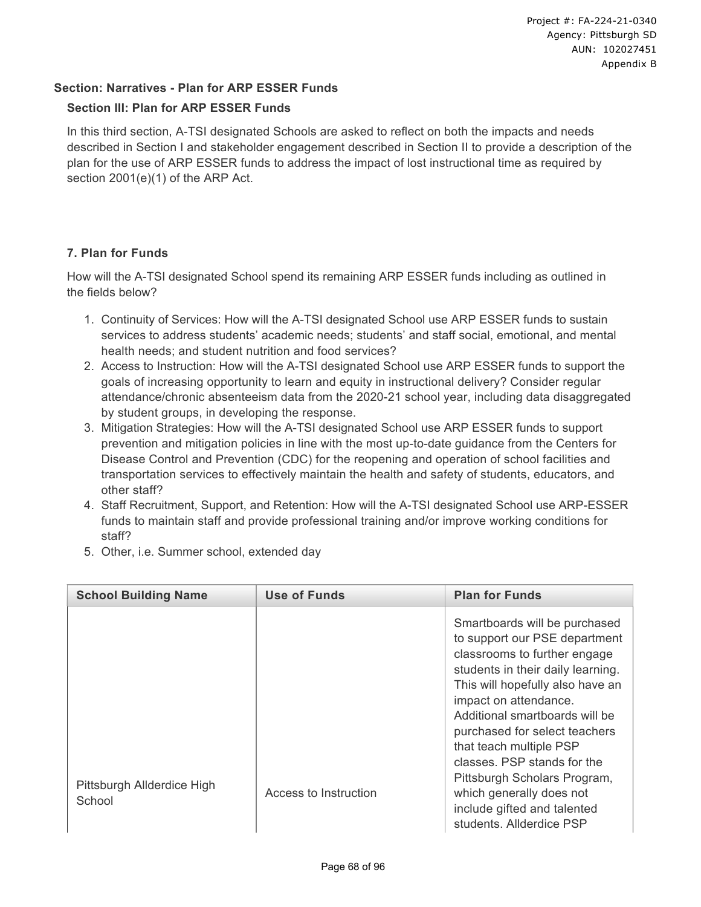## **Section: Narratives - Plan for ARP ESSER Funds**

### **Section III: Plan for ARP ESSER Funds**

In this third section, A-TSI designated Schools are asked to reflect on both the impacts and needs described in Section I and stakeholder engagement described in Section II to provide a description of the plan for the use of ARP ESSER funds to address the impact of lost instructional time as required by section 2001(e)(1) of the ARP Act.

## **7. Plan for Funds**

How will the A-TSI designated School spend its remaining ARP ESSER funds including as outlined in the fields below?

- 1. Continuity of Services: How will the A-TSI designated School use ARP ESSER funds to sustain services to address students' academic needs; students' and staff social, emotional, and mental health needs; and student nutrition and food services?
- 2. Access to Instruction: How will the A-TSI designated School use ARP ESSER funds to support the goals of increasing opportunity to learn and equity in instructional delivery? Consider regular attendance/chronic absenteeism data from the 2020-21 school year, including data disaggregated by student groups, in developing the response.
- 3. Mitigation Strategies: How will the A-TSI designated School use ARP ESSER funds to support prevention and mitigation policies in line with the most up-to-date guidance from the Centers for Disease Control and Prevention (CDC) for the reopening and operation of school facilities and transportation services to effectively maintain the health and safety of students, educators, and other staff?
- 4. Staff Recruitment, Support, and Retention: How will the A-TSI designated School use ARP-ESSER funds to maintain staff and provide professional training and/or improve working conditions for staff?
- 5. Other, i.e. Summer school, extended day

| <b>School Building Name</b> | <b>Use of Funds</b>   | <b>Plan for Funds</b>                                                                                                                                                                                                                                                                                                                                                                     |
|-----------------------------|-----------------------|-------------------------------------------------------------------------------------------------------------------------------------------------------------------------------------------------------------------------------------------------------------------------------------------------------------------------------------------------------------------------------------------|
| Pittsburgh Allderdice High  | Access to Instruction | Smartboards will be purchased<br>to support our PSE department<br>classrooms to further engage<br>students in their daily learning.<br>This will hopefully also have an<br>impact on attendance.<br>Additional smartboards will be<br>purchased for select teachers<br>that teach multiple PSP<br>classes. PSP stands for the<br>Pittsburgh Scholars Program,<br>which generally does not |
| School                      |                       | include gifted and talented<br>students. Allderdice PSP                                                                                                                                                                                                                                                                                                                                   |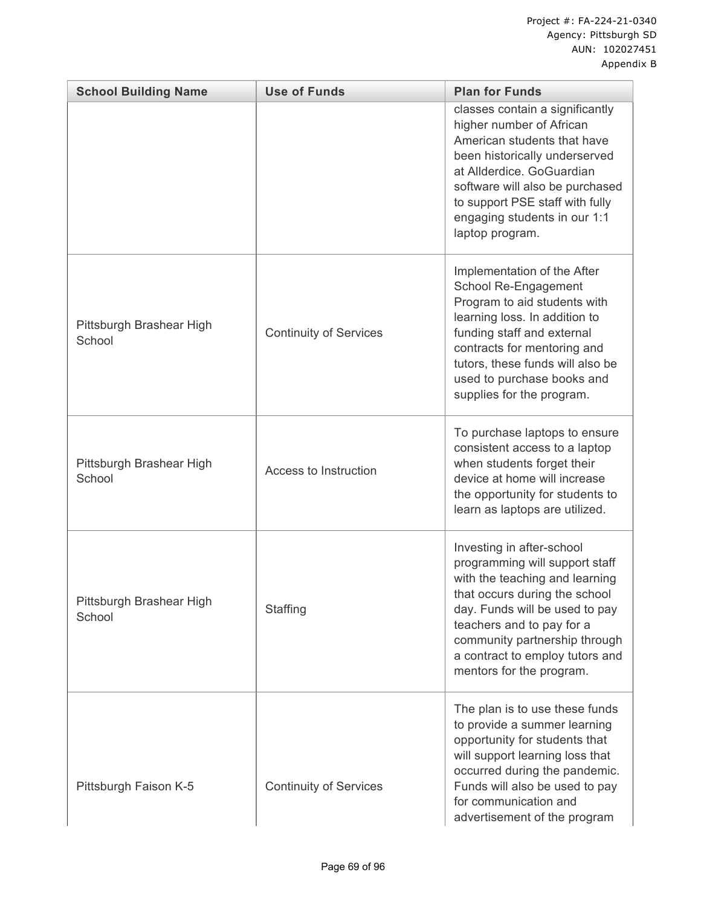| <b>School Building Name</b>        | <b>Use of Funds</b>           | <b>Plan for Funds</b>                                                                                                                                                                                                                                                                         |
|------------------------------------|-------------------------------|-----------------------------------------------------------------------------------------------------------------------------------------------------------------------------------------------------------------------------------------------------------------------------------------------|
|                                    |                               | classes contain a significantly<br>higher number of African<br>American students that have<br>been historically underserved<br>at Allderdice. GoGuardian<br>software will also be purchased<br>to support PSE staff with fully<br>engaging students in our 1:1<br>laptop program.             |
| Pittsburgh Brashear High<br>School | <b>Continuity of Services</b> | Implementation of the After<br>School Re-Engagement<br>Program to aid students with<br>learning loss. In addition to<br>funding staff and external<br>contracts for mentoring and<br>tutors, these funds will also be<br>used to purchase books and<br>supplies for the program.              |
| Pittsburgh Brashear High<br>School | Access to Instruction         | To purchase laptops to ensure<br>consistent access to a laptop<br>when students forget their<br>device at home will increase<br>the opportunity for students to<br>learn as laptops are utilized.                                                                                             |
| Pittsburgh Brashear High<br>School | Staffing                      | Investing in after-school<br>programming will support staff<br>with the teaching and learning<br>that occurs during the school<br>day. Funds will be used to pay<br>teachers and to pay for a<br>community partnership through<br>a contract to employ tutors and<br>mentors for the program. |
| Pittsburgh Faison K-5              | <b>Continuity of Services</b> | The plan is to use these funds<br>to provide a summer learning<br>opportunity for students that<br>will support learning loss that<br>occurred during the pandemic.<br>Funds will also be used to pay<br>for communication and<br>advertisement of the program                                |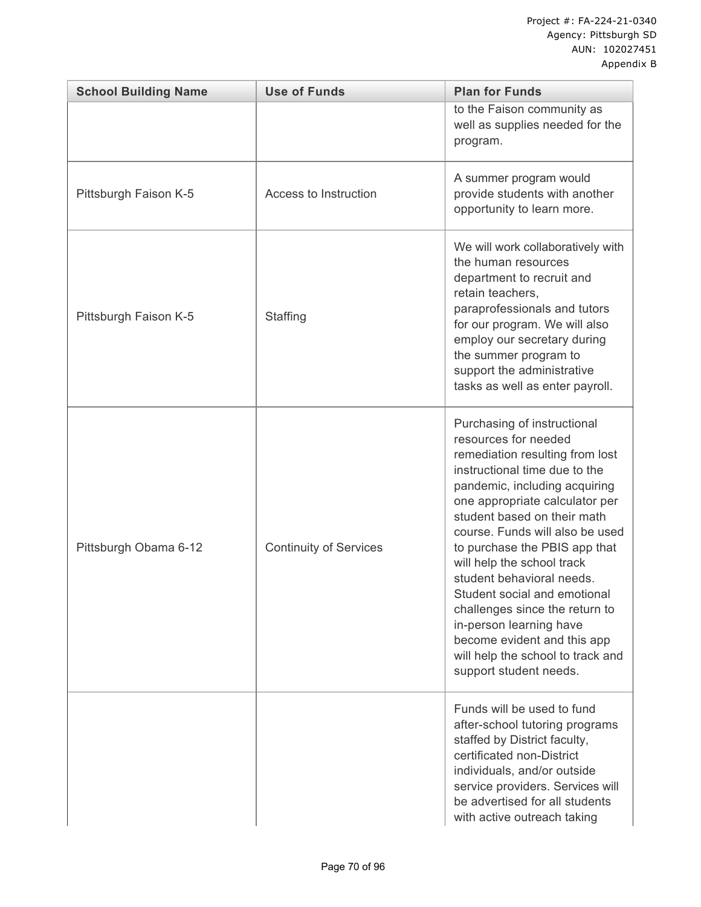| <b>School Building Name</b> | <b>Use of Funds</b>           | <b>Plan for Funds</b>                                                                                                                                                                                                                                                                                                                                                                                                                                                                                                                               |
|-----------------------------|-------------------------------|-----------------------------------------------------------------------------------------------------------------------------------------------------------------------------------------------------------------------------------------------------------------------------------------------------------------------------------------------------------------------------------------------------------------------------------------------------------------------------------------------------------------------------------------------------|
|                             |                               | to the Faison community as<br>well as supplies needed for the<br>program.                                                                                                                                                                                                                                                                                                                                                                                                                                                                           |
| Pittsburgh Faison K-5       | Access to Instruction         | A summer program would<br>provide students with another<br>opportunity to learn more.                                                                                                                                                                                                                                                                                                                                                                                                                                                               |
| Pittsburgh Faison K-5       | Staffing                      | We will work collaboratively with<br>the human resources<br>department to recruit and<br>retain teachers,<br>paraprofessionals and tutors<br>for our program. We will also<br>employ our secretary during<br>the summer program to<br>support the administrative<br>tasks as well as enter payroll.                                                                                                                                                                                                                                                 |
| Pittsburgh Obama 6-12       | <b>Continuity of Services</b> | Purchasing of instructional<br>resources for needed<br>remediation resulting from lost<br>instructional time due to the<br>pandemic, including acquiring<br>one appropriate calculator per<br>student based on their math<br>course. Funds will also be used<br>to purchase the PBIS app that<br>will help the school track<br>student behavioral needs.<br>Student social and emotional<br>challenges since the return to<br>in-person learning have<br>become evident and this app<br>will help the school to track and<br>support student needs. |
|                             |                               | Funds will be used to fund<br>after-school tutoring programs<br>staffed by District faculty,<br>certificated non-District<br>individuals, and/or outside<br>service providers. Services will<br>be advertised for all students<br>with active outreach taking                                                                                                                                                                                                                                                                                       |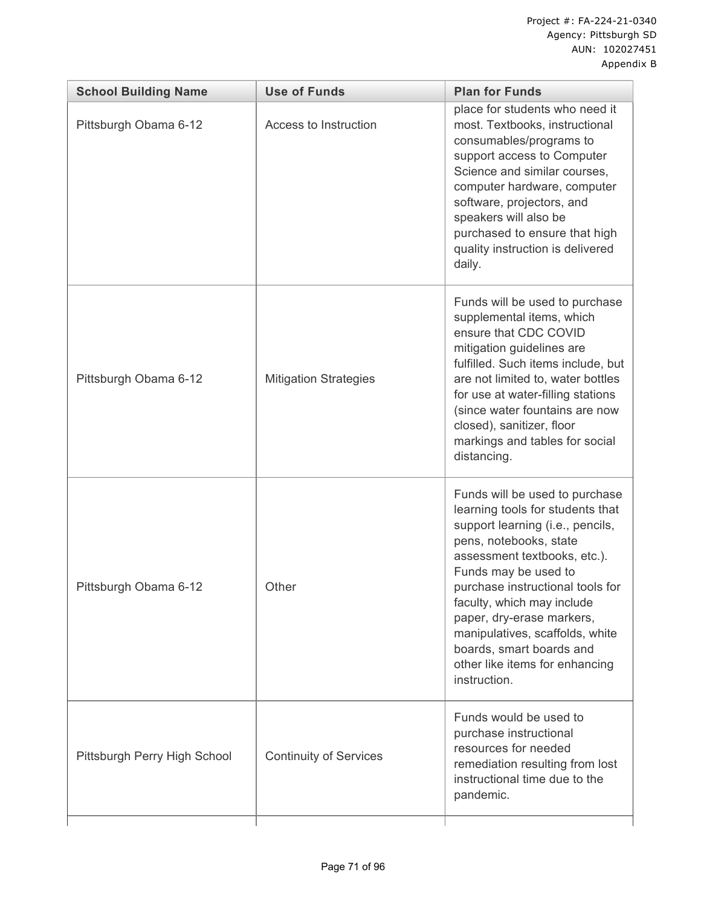| <b>School Building Name</b>  | <b>Use of Funds</b>           | <b>Plan for Funds</b>                                                                                                                                                                                                                                                                                                                                                                                    |
|------------------------------|-------------------------------|----------------------------------------------------------------------------------------------------------------------------------------------------------------------------------------------------------------------------------------------------------------------------------------------------------------------------------------------------------------------------------------------------------|
| Pittsburgh Obama 6-12        | Access to Instruction         | place for students who need it<br>most. Textbooks, instructional<br>consumables/programs to<br>support access to Computer<br>Science and similar courses,<br>computer hardware, computer<br>software, projectors, and<br>speakers will also be<br>purchased to ensure that high<br>quality instruction is delivered<br>daily.                                                                            |
| Pittsburgh Obama 6-12        | <b>Mitigation Strategies</b>  | Funds will be used to purchase<br>supplemental items, which<br>ensure that CDC COVID<br>mitigation guidelines are<br>fulfilled. Such items include, but<br>are not limited to, water bottles<br>for use at water-filling stations<br>(since water fountains are now<br>closed), sanitizer, floor<br>markings and tables for social<br>distancing.                                                        |
| Pittsburgh Obama 6-12        | Other                         | Funds will be used to purchase<br>learning tools for students that<br>support learning (i.e., pencils,<br>pens, notebooks, state<br>assessment textbooks, etc.).<br>Funds may be used to<br>purchase instructional tools for<br>faculty, which may include<br>paper, dry-erase markers,<br>manipulatives, scaffolds, white<br>boards, smart boards and<br>other like items for enhancing<br>instruction. |
| Pittsburgh Perry High School | <b>Continuity of Services</b> | Funds would be used to<br>purchase instructional<br>resources for needed<br>remediation resulting from lost<br>instructional time due to the<br>pandemic.                                                                                                                                                                                                                                                |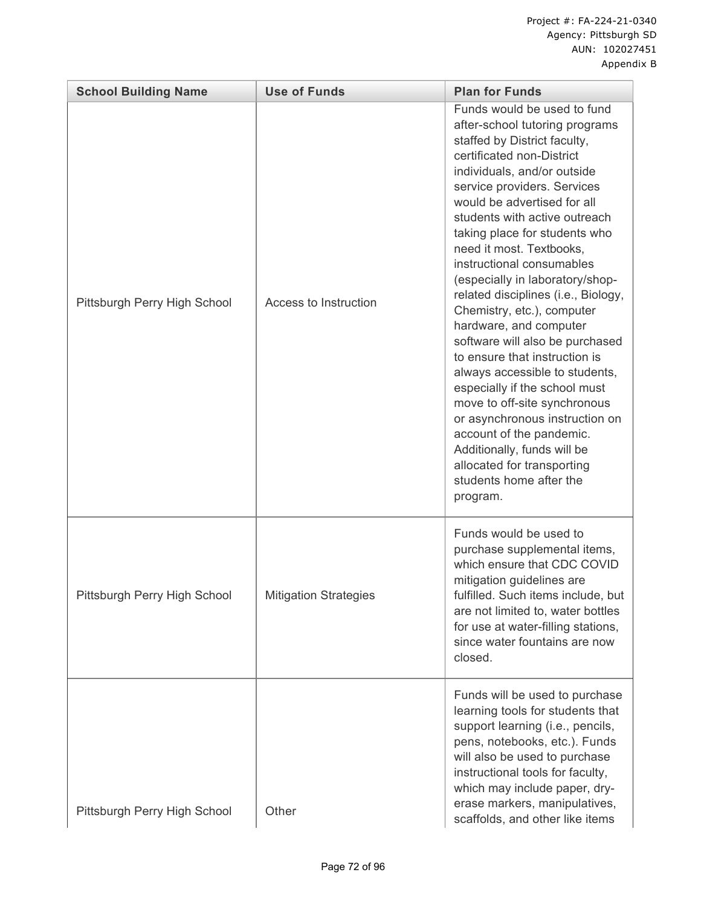| <b>School Building Name</b>  | <b>Use of Funds</b>          | <b>Plan for Funds</b>                                                                                                                                                                                                                                                                                                                                                                                                                                                                                                                                                                                                                                                                                                                                                                                                         |
|------------------------------|------------------------------|-------------------------------------------------------------------------------------------------------------------------------------------------------------------------------------------------------------------------------------------------------------------------------------------------------------------------------------------------------------------------------------------------------------------------------------------------------------------------------------------------------------------------------------------------------------------------------------------------------------------------------------------------------------------------------------------------------------------------------------------------------------------------------------------------------------------------------|
| Pittsburgh Perry High School | Access to Instruction        | Funds would be used to fund<br>after-school tutoring programs<br>staffed by District faculty,<br>certificated non-District<br>individuals, and/or outside<br>service providers. Services<br>would be advertised for all<br>students with active outreach<br>taking place for students who<br>need it most. Textbooks,<br>instructional consumables<br>(especially in laboratory/shop-<br>related disciplines (i.e., Biology,<br>Chemistry, etc.), computer<br>hardware, and computer<br>software will also be purchased<br>to ensure that instruction is<br>always accessible to students,<br>especially if the school must<br>move to off-site synchronous<br>or asynchronous instruction on<br>account of the pandemic.<br>Additionally, funds will be<br>allocated for transporting<br>students home after the<br>program. |
| Pittsburgh Perry High School | <b>Mitigation Strategies</b> | Funds would be used to<br>purchase supplemental items,<br>which ensure that CDC COVID<br>mitigation guidelines are<br>fulfilled. Such items include, but<br>are not limited to, water bottles<br>for use at water-filling stations,<br>since water fountains are now<br>closed.                                                                                                                                                                                                                                                                                                                                                                                                                                                                                                                                               |
| Pittsburgh Perry High School | Other                        | Funds will be used to purchase<br>learning tools for students that<br>support learning (i.e., pencils,<br>pens, notebooks, etc.). Funds<br>will also be used to purchase<br>instructional tools for faculty,<br>which may include paper, dry-<br>erase markers, manipulatives,<br>scaffolds, and other like items                                                                                                                                                                                                                                                                                                                                                                                                                                                                                                             |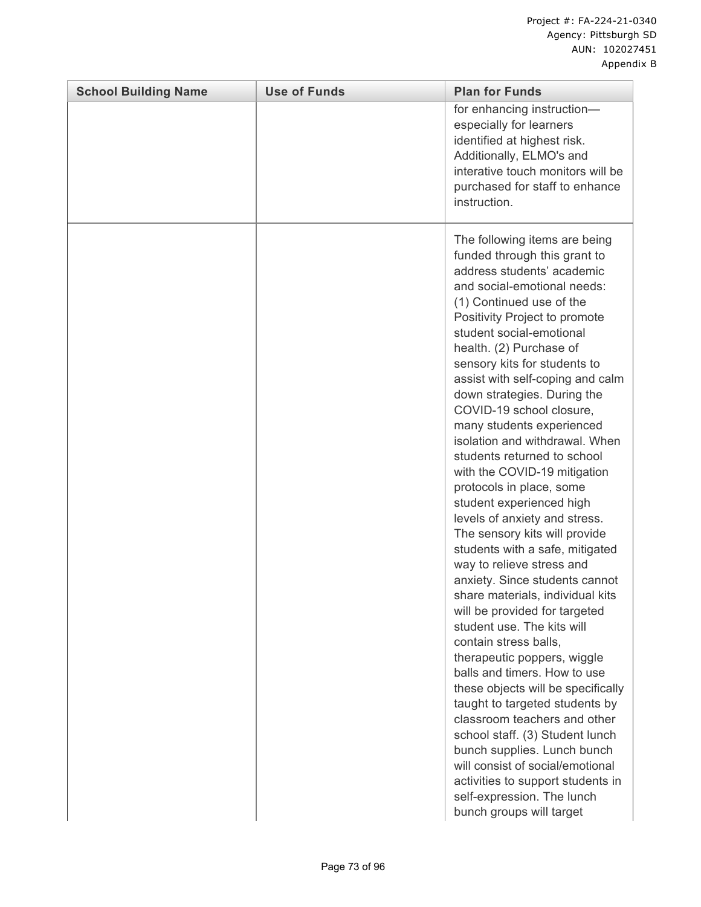| <b>School Building Name</b> | <b>Use of Funds</b> | <b>Plan for Funds</b>                                                                                                                                                                                                                                                                                                                                                                                                                                                                                                                                                                                                                                                                                                                                                                                                                                                                                                                                                                                                                                                                                                                                                                                                                           |
|-----------------------------|---------------------|-------------------------------------------------------------------------------------------------------------------------------------------------------------------------------------------------------------------------------------------------------------------------------------------------------------------------------------------------------------------------------------------------------------------------------------------------------------------------------------------------------------------------------------------------------------------------------------------------------------------------------------------------------------------------------------------------------------------------------------------------------------------------------------------------------------------------------------------------------------------------------------------------------------------------------------------------------------------------------------------------------------------------------------------------------------------------------------------------------------------------------------------------------------------------------------------------------------------------------------------------|
|                             |                     | for enhancing instruction-<br>especially for learners<br>identified at highest risk.<br>Additionally, ELMO's and<br>interative touch monitors will be<br>purchased for staff to enhance<br>instruction.                                                                                                                                                                                                                                                                                                                                                                                                                                                                                                                                                                                                                                                                                                                                                                                                                                                                                                                                                                                                                                         |
|                             |                     | The following items are being<br>funded through this grant to<br>address students' academic<br>and social-emotional needs:<br>(1) Continued use of the<br>Positivity Project to promote<br>student social-emotional<br>health. (2) Purchase of<br>sensory kits for students to<br>assist with self-coping and calm<br>down strategies. During the<br>COVID-19 school closure,<br>many students experienced<br>isolation and withdrawal. When<br>students returned to school<br>with the COVID-19 mitigation<br>protocols in place, some<br>student experienced high<br>levels of anxiety and stress.<br>The sensory kits will provide<br>students with a safe, mitigated<br>way to relieve stress and<br>anxiety. Since students cannot<br>share materials, individual kits<br>will be provided for targeted<br>student use. The kits will<br>contain stress balls,<br>therapeutic poppers, wiggle<br>balls and timers. How to use<br>these objects will be specifically<br>taught to targeted students by<br>classroom teachers and other<br>school staff. (3) Student lunch<br>bunch supplies. Lunch bunch<br>will consist of social/emotional<br>activities to support students in<br>self-expression. The lunch<br>bunch groups will target |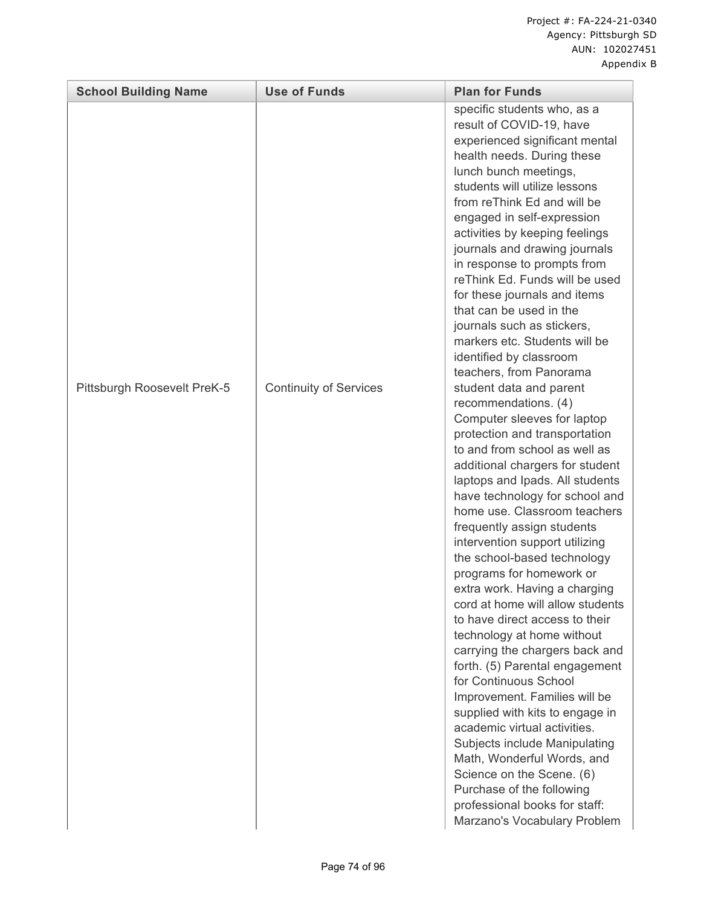| <b>School Building Name</b> | <b>Use of Funds</b>           | <b>Plan for Funds</b>                                                                                                                                                                                                                                                                                                                                                                                                                                                                                                                                                                                                                                                                                                                                                                                                                                                                                                                                                                                                                                                                                                                                                                                                                                                                                                                                                                                                                                                                                                     |
|-----------------------------|-------------------------------|---------------------------------------------------------------------------------------------------------------------------------------------------------------------------------------------------------------------------------------------------------------------------------------------------------------------------------------------------------------------------------------------------------------------------------------------------------------------------------------------------------------------------------------------------------------------------------------------------------------------------------------------------------------------------------------------------------------------------------------------------------------------------------------------------------------------------------------------------------------------------------------------------------------------------------------------------------------------------------------------------------------------------------------------------------------------------------------------------------------------------------------------------------------------------------------------------------------------------------------------------------------------------------------------------------------------------------------------------------------------------------------------------------------------------------------------------------------------------------------------------------------------------|
| Pittsburgh Roosevelt PreK-5 | <b>Continuity of Services</b> | specific students who, as a<br>result of COVID-19, have<br>experienced significant mental<br>health needs. During these<br>lunch bunch meetings,<br>students will utilize lessons<br>from reThink Ed and will be<br>engaged in self-expression<br>activities by keeping feelings<br>journals and drawing journals<br>in response to prompts from<br>reThink Ed. Funds will be used<br>for these journals and items<br>that can be used in the<br>journals such as stickers,<br>markers etc. Students will be<br>identified by classroom<br>teachers, from Panorama<br>student data and parent<br>recommendations. (4)<br>Computer sleeves for laptop<br>protection and transportation<br>to and from school as well as<br>additional chargers for student<br>laptops and Ipads. All students<br>have technology for school and<br>home use. Classroom teachers<br>frequently assign students<br>intervention support utilizing<br>the school-based technology<br>programs for homework or<br>extra work. Having a charging<br>cord at home will allow students<br>to have direct access to their<br>technology at home without<br>carrying the chargers back and<br>forth. (5) Parental engagement<br>for Continuous School<br>Improvement. Families will be<br>supplied with kits to engage in<br>academic virtual activities.<br>Subjects include Manipulating<br>Math, Wonderful Words, and<br>Science on the Scene. (6)<br>Purchase of the following<br>professional books for staff:<br>Marzano's Vocabulary Problem |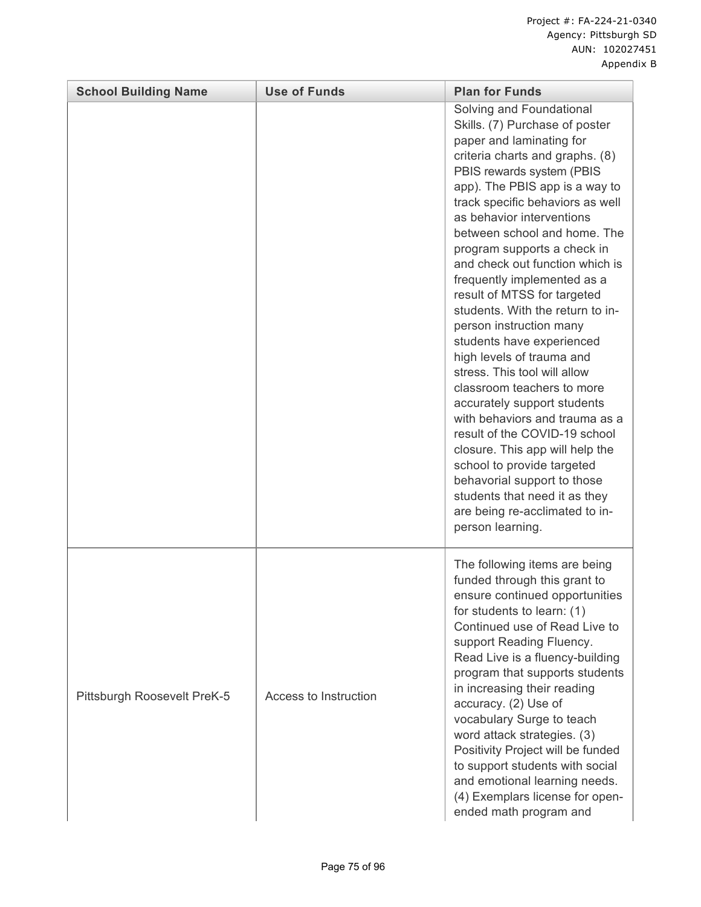| <b>School Building Name</b> | <b>Use of Funds</b>   | <b>Plan for Funds</b>                                                                                                                                                                                                                                                                                                                                                                                                                                                                                                                                                                                                                                                                                                                                                                                                                                                                                     |
|-----------------------------|-----------------------|-----------------------------------------------------------------------------------------------------------------------------------------------------------------------------------------------------------------------------------------------------------------------------------------------------------------------------------------------------------------------------------------------------------------------------------------------------------------------------------------------------------------------------------------------------------------------------------------------------------------------------------------------------------------------------------------------------------------------------------------------------------------------------------------------------------------------------------------------------------------------------------------------------------|
|                             |                       | Solving and Foundational<br>Skills. (7) Purchase of poster<br>paper and laminating for<br>criteria charts and graphs. (8)<br>PBIS rewards system (PBIS<br>app). The PBIS app is a way to<br>track specific behaviors as well<br>as behavior interventions<br>between school and home. The<br>program supports a check in<br>and check out function which is<br>frequently implemented as a<br>result of MTSS for targeted<br>students. With the return to in-<br>person instruction many<br>students have experienced<br>high levels of trauma and<br>stress. This tool will allow<br>classroom teachers to more<br>accurately support students<br>with behaviors and trauma as a<br>result of the COVID-19 school<br>closure. This app will help the<br>school to provide targeted<br>behavorial support to those<br>students that need it as they<br>are being re-acclimated to in-<br>person learning. |
| Pittsburgh Roosevelt PreK-5 | Access to Instruction | The following items are being<br>funded through this grant to<br>ensure continued opportunities<br>for students to learn: (1)<br>Continued use of Read Live to<br>support Reading Fluency.<br>Read Live is a fluency-building<br>program that supports students<br>in increasing their reading<br>accuracy. (2) Use of<br>vocabulary Surge to teach<br>word attack strategies. (3)<br>Positivity Project will be funded<br>to support students with social<br>and emotional learning needs.<br>(4) Exemplars license for open-<br>ended math program and                                                                                                                                                                                                                                                                                                                                                  |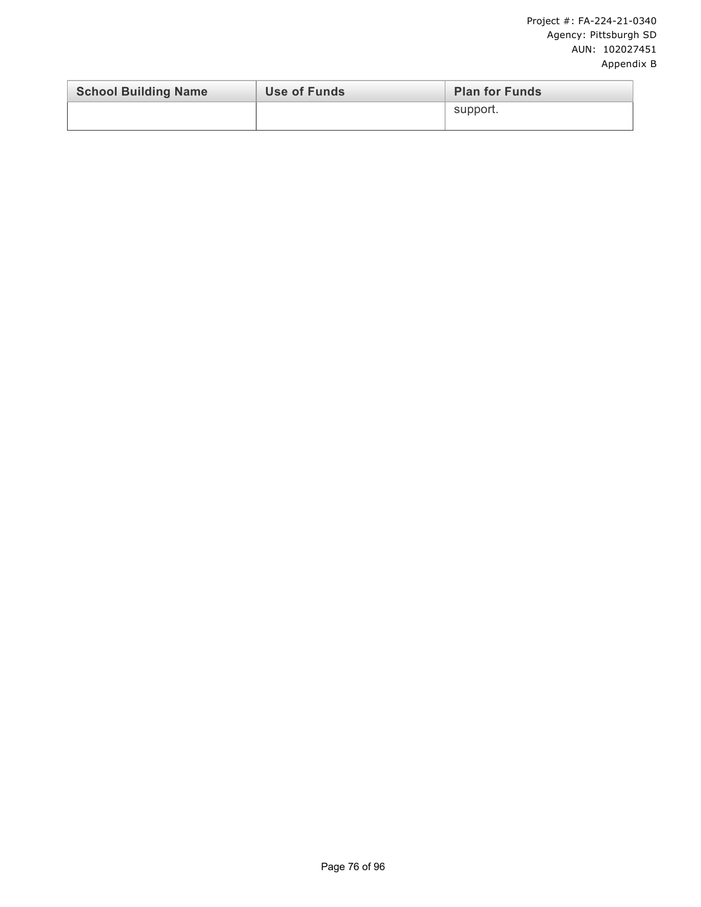| <b>School Building Name</b> | Use of Funds | <b>Plan for Funds</b> |
|-----------------------------|--------------|-----------------------|
|                             |              | support.              |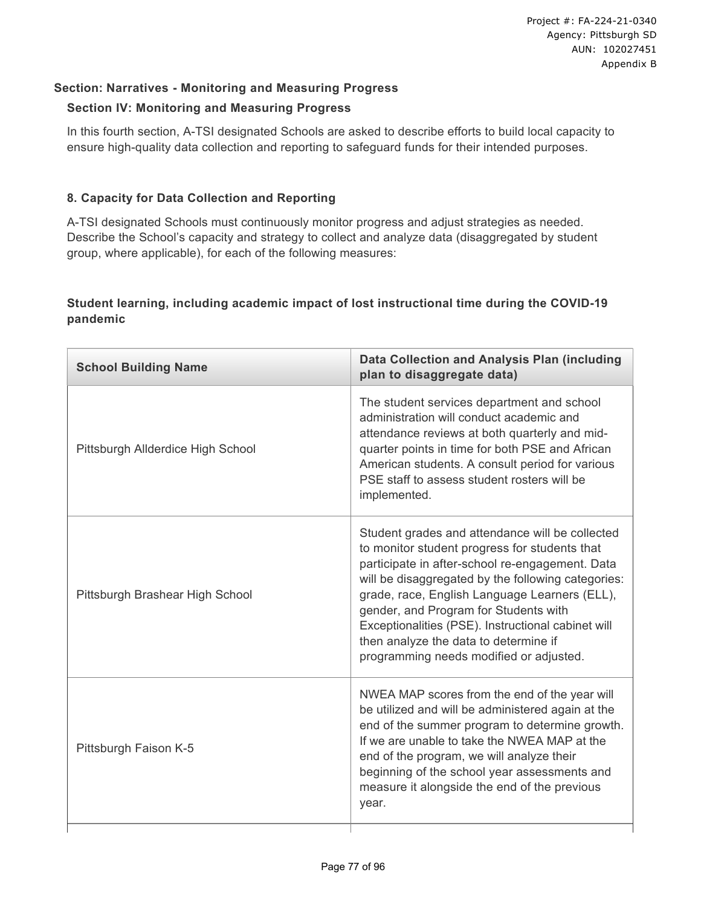#### **Section: Narratives - Monitoring and Measuring Progress**

#### **Section IV: Monitoring and Measuring Progress**

In this fourth section, A-TSI designated Schools are asked to describe efforts to build local capacity to ensure high-quality data collection and reporting to safeguard funds for their intended purposes.

#### **8. Capacity for Data Collection and Reporting**

A-TSI designated Schools must continuously monitor progress and adjust strategies as needed. Describe the School's capacity and strategy to collect and analyze data (disaggregated by student group, where applicable), for each of the following measures:

#### **Student learning, including academic impact of lost instructional time during the COVID-19 pandemic**

| <b>School Building Name</b>       | <b>Data Collection and Analysis Plan (including</b><br>plan to disaggregate data)                                                                                                                                                                                                                                                                                                                                                             |
|-----------------------------------|-----------------------------------------------------------------------------------------------------------------------------------------------------------------------------------------------------------------------------------------------------------------------------------------------------------------------------------------------------------------------------------------------------------------------------------------------|
| Pittsburgh Allderdice High School | The student services department and school<br>administration will conduct academic and<br>attendance reviews at both quarterly and mid-<br>quarter points in time for both PSE and African<br>American students. A consult period for various<br>PSE staff to assess student rosters will be<br>implemented.                                                                                                                                  |
| Pittsburgh Brashear High School   | Student grades and attendance will be collected<br>to monitor student progress for students that<br>participate in after-school re-engagement. Data<br>will be disaggregated by the following categories:<br>grade, race, English Language Learners (ELL),<br>gender, and Program for Students with<br>Exceptionalities (PSE). Instructional cabinet will<br>then analyze the data to determine if<br>programming needs modified or adjusted. |
| Pittsburgh Faison K-5             | NWEA MAP scores from the end of the year will<br>be utilized and will be administered again at the<br>end of the summer program to determine growth.<br>If we are unable to take the NWEA MAP at the<br>end of the program, we will analyze their<br>beginning of the school year assessments and<br>measure it alongside the end of the previous<br>year.                                                                                    |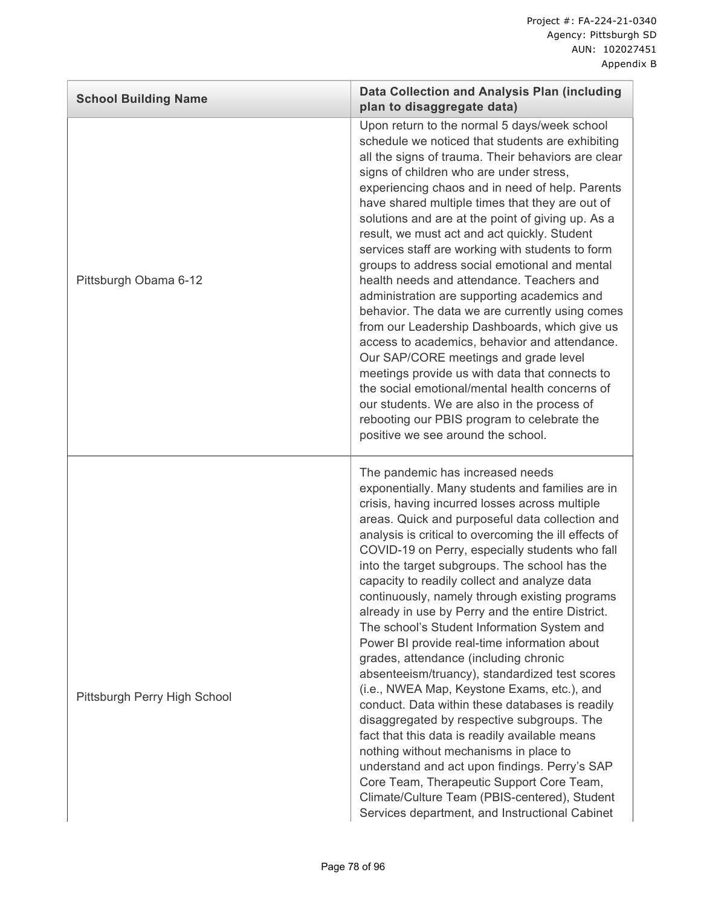| <b>School Building Name</b>  | <b>Data Collection and Analysis Plan (including</b><br>plan to disaggregate data)                                                                                                                                                                                                                                                                                                                                                                                                                                                                                                                                                                                                                                                                                                                                                                                                                                                                                                                                                                                                                                                                   |
|------------------------------|-----------------------------------------------------------------------------------------------------------------------------------------------------------------------------------------------------------------------------------------------------------------------------------------------------------------------------------------------------------------------------------------------------------------------------------------------------------------------------------------------------------------------------------------------------------------------------------------------------------------------------------------------------------------------------------------------------------------------------------------------------------------------------------------------------------------------------------------------------------------------------------------------------------------------------------------------------------------------------------------------------------------------------------------------------------------------------------------------------------------------------------------------------|
| Pittsburgh Obama 6-12        | Upon return to the normal 5 days/week school<br>schedule we noticed that students are exhibiting<br>all the signs of trauma. Their behaviors are clear<br>signs of children who are under stress,<br>experiencing chaos and in need of help. Parents<br>have shared multiple times that they are out of<br>solutions and are at the point of giving up. As a<br>result, we must act and act quickly. Student<br>services staff are working with students to form<br>groups to address social emotional and mental<br>health needs and attendance. Teachers and<br>administration are supporting academics and<br>behavior. The data we are currently using comes<br>from our Leadership Dashboards, which give us<br>access to academics, behavior and attendance.<br>Our SAP/CORE meetings and grade level<br>meetings provide us with data that connects to<br>the social emotional/mental health concerns of<br>our students. We are also in the process of<br>rebooting our PBIS program to celebrate the<br>positive we see around the school.                                                                                                 |
| Pittsburgh Perry High School | The pandemic has increased needs<br>exponentially. Many students and families are in<br>crisis, having incurred losses across multiple<br>areas. Quick and purposeful data collection and<br>analysis is critical to overcoming the ill effects of<br>COVID-19 on Perry, especially students who fall<br>into the target subgroups. The school has the<br>capacity to readily collect and analyze data<br>continuously, namely through existing programs<br>already in use by Perry and the entire District.<br>The school's Student Information System and<br>Power BI provide real-time information about<br>grades, attendance (including chronic<br>absenteeism/truancy), standardized test scores<br>(i.e., NWEA Map, Keystone Exams, etc.), and<br>conduct. Data within these databases is readily<br>disaggregated by respective subgroups. The<br>fact that this data is readily available means<br>nothing without mechanisms in place to<br>understand and act upon findings. Perry's SAP<br>Core Team, Therapeutic Support Core Team,<br>Climate/Culture Team (PBIS-centered), Student<br>Services department, and Instructional Cabinet |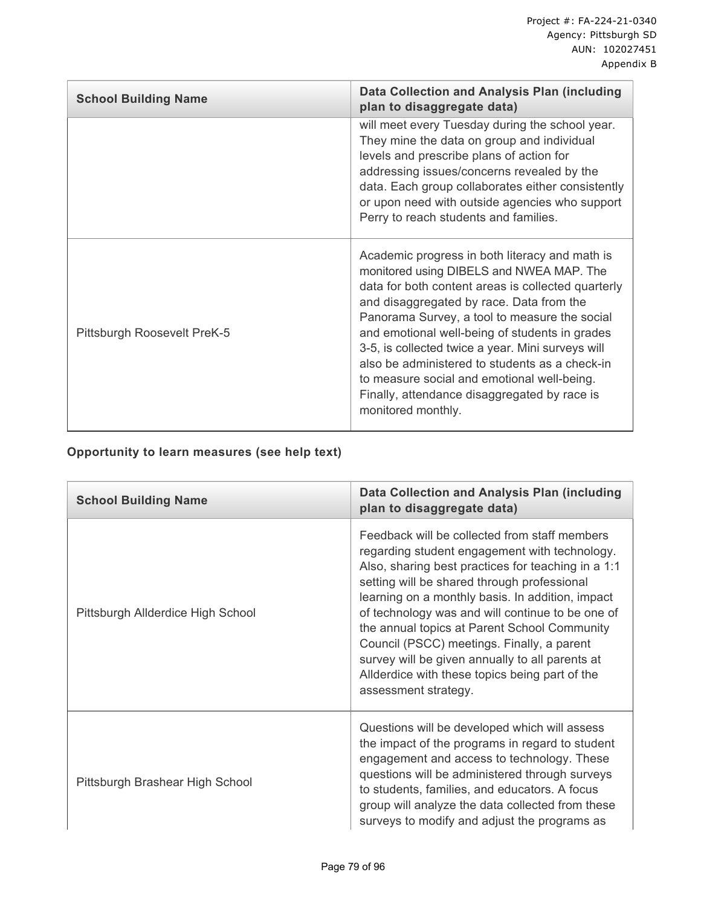| <b>School Building Name</b> | <b>Data Collection and Analysis Plan (including</b><br>plan to disaggregate data)                                                                                                                                                                                                                                                                                                                                                                                                                                           |
|-----------------------------|-----------------------------------------------------------------------------------------------------------------------------------------------------------------------------------------------------------------------------------------------------------------------------------------------------------------------------------------------------------------------------------------------------------------------------------------------------------------------------------------------------------------------------|
|                             | will meet every Tuesday during the school year.<br>They mine the data on group and individual<br>levels and prescribe plans of action for<br>addressing issues/concerns revealed by the<br>data. Each group collaborates either consistently<br>or upon need with outside agencies who support<br>Perry to reach students and families.                                                                                                                                                                                     |
| Pittsburgh Roosevelt PreK-5 | Academic progress in both literacy and math is<br>monitored using DIBELS and NWEA MAP. The<br>data for both content areas is collected quarterly<br>and disaggregated by race. Data from the<br>Panorama Survey, a tool to measure the social<br>and emotional well-being of students in grades<br>3-5, is collected twice a year. Mini surveys will<br>also be administered to students as a check-in<br>to measure social and emotional well-being.<br>Finally, attendance disaggregated by race is<br>monitored monthly. |

## **Opportunity to learn measures (see help text)**

| <b>School Building Name</b>       | Data Collection and Analysis Plan (including<br>plan to disaggregate data)                                                                                                                                                                                                                                                                                                                                                                                                                                                             |
|-----------------------------------|----------------------------------------------------------------------------------------------------------------------------------------------------------------------------------------------------------------------------------------------------------------------------------------------------------------------------------------------------------------------------------------------------------------------------------------------------------------------------------------------------------------------------------------|
| Pittsburgh Allderdice High School | Feedback will be collected from staff members<br>regarding student engagement with technology.<br>Also, sharing best practices for teaching in a 1:1<br>setting will be shared through professional<br>learning on a monthly basis. In addition, impact<br>of technology was and will continue to be one of<br>the annual topics at Parent School Community<br>Council (PSCC) meetings. Finally, a parent<br>survey will be given annually to all parents at<br>Allderdice with these topics being part of the<br>assessment strategy. |
| Pittsburgh Brashear High School   | Questions will be developed which will assess<br>the impact of the programs in regard to student<br>engagement and access to technology. These<br>questions will be administered through surveys<br>to students, families, and educators. A focus<br>group will analyze the data collected from these<br>surveys to modify and adjust the programs as                                                                                                                                                                                  |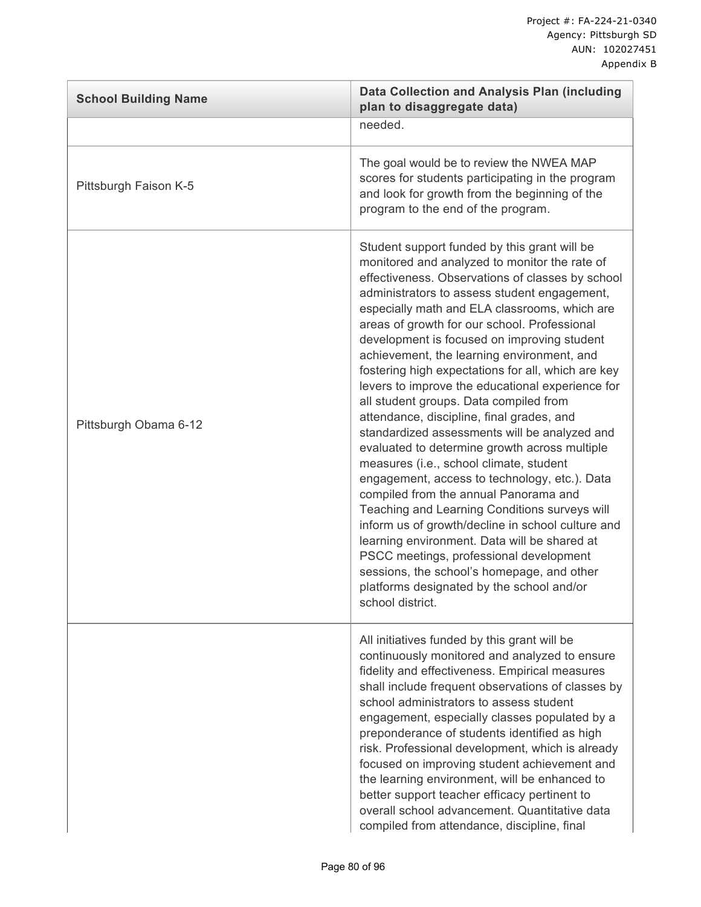| <b>School Building Name</b> | <b>Data Collection and Analysis Plan (including</b><br>plan to disaggregate data)                                                                                                                                                                                                                                                                                                                                                                                                                                                                                                                                                                                                                                                                                                                                                                                                                                                                                                                                                                                                                                                                       |
|-----------------------------|---------------------------------------------------------------------------------------------------------------------------------------------------------------------------------------------------------------------------------------------------------------------------------------------------------------------------------------------------------------------------------------------------------------------------------------------------------------------------------------------------------------------------------------------------------------------------------------------------------------------------------------------------------------------------------------------------------------------------------------------------------------------------------------------------------------------------------------------------------------------------------------------------------------------------------------------------------------------------------------------------------------------------------------------------------------------------------------------------------------------------------------------------------|
|                             | needed.                                                                                                                                                                                                                                                                                                                                                                                                                                                                                                                                                                                                                                                                                                                                                                                                                                                                                                                                                                                                                                                                                                                                                 |
| Pittsburgh Faison K-5       | The goal would be to review the NWEA MAP<br>scores for students participating in the program<br>and look for growth from the beginning of the<br>program to the end of the program.                                                                                                                                                                                                                                                                                                                                                                                                                                                                                                                                                                                                                                                                                                                                                                                                                                                                                                                                                                     |
| Pittsburgh Obama 6-12       | Student support funded by this grant will be<br>monitored and analyzed to monitor the rate of<br>effectiveness. Observations of classes by school<br>administrators to assess student engagement,<br>especially math and ELA classrooms, which are<br>areas of growth for our school. Professional<br>development is focused on improving student<br>achievement, the learning environment, and<br>fostering high expectations for all, which are key<br>levers to improve the educational experience for<br>all student groups. Data compiled from<br>attendance, discipline, final grades, and<br>standardized assessments will be analyzed and<br>evaluated to determine growth across multiple<br>measures (i.e., school climate, student<br>engagement, access to technology, etc.). Data<br>compiled from the annual Panorama and<br>Teaching and Learning Conditions surveys will<br>inform us of growth/decline in school culture and<br>learning environment. Data will be shared at<br>PSCC meetings, professional development<br>sessions, the school's homepage, and other<br>platforms designated by the school and/or<br>school district. |
|                             | All initiatives funded by this grant will be<br>continuously monitored and analyzed to ensure<br>fidelity and effectiveness. Empirical measures<br>shall include frequent observations of classes by<br>school administrators to assess student<br>engagement, especially classes populated by a<br>preponderance of students identified as high<br>risk. Professional development, which is already<br>focused on improving student achievement and<br>the learning environment, will be enhanced to<br>better support teacher efficacy pertinent to<br>overall school advancement. Quantitative data<br>compiled from attendance, discipline, final                                                                                                                                                                                                                                                                                                                                                                                                                                                                                                   |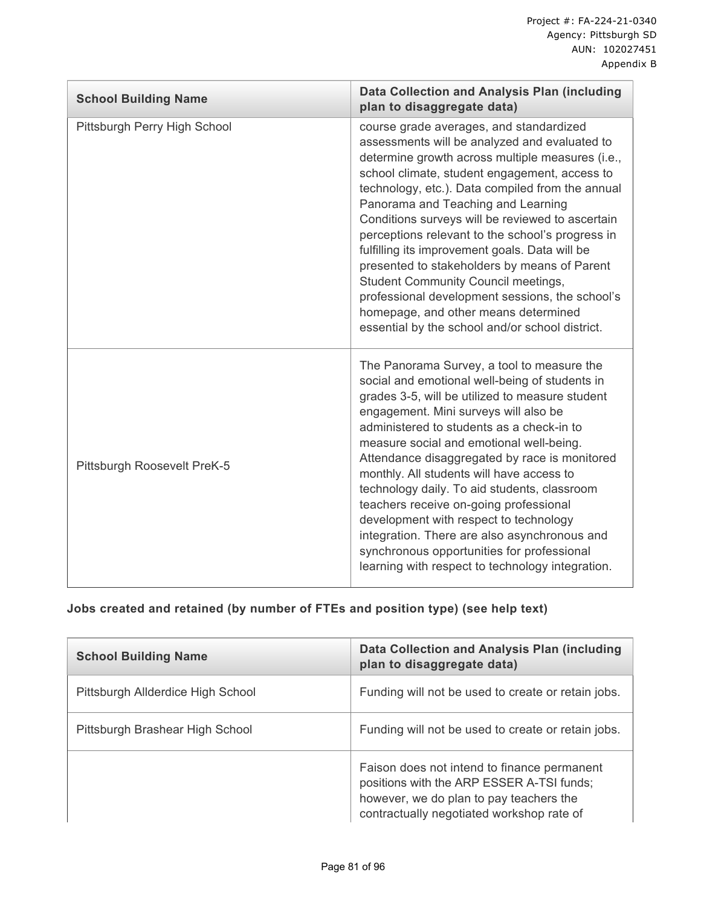| <b>School Building Name</b>  | <b>Data Collection and Analysis Plan (including</b><br>plan to disaggregate data)                                                                                                                                                                                                                                                                                                                                                                                                                                                                                                                                                                                                             |
|------------------------------|-----------------------------------------------------------------------------------------------------------------------------------------------------------------------------------------------------------------------------------------------------------------------------------------------------------------------------------------------------------------------------------------------------------------------------------------------------------------------------------------------------------------------------------------------------------------------------------------------------------------------------------------------------------------------------------------------|
| Pittsburgh Perry High School | course grade averages, and standardized<br>assessments will be analyzed and evaluated to<br>determine growth across multiple measures (i.e.,<br>school climate, student engagement, access to<br>technology, etc.). Data compiled from the annual<br>Panorama and Teaching and Learning<br>Conditions surveys will be reviewed to ascertain<br>perceptions relevant to the school's progress in<br>fulfilling its improvement goals. Data will be<br>presented to stakeholders by means of Parent<br><b>Student Community Council meetings,</b><br>professional development sessions, the school's<br>homepage, and other means determined<br>essential by the school and/or school district. |
| Pittsburgh Roosevelt PreK-5  | The Panorama Survey, a tool to measure the<br>social and emotional well-being of students in<br>grades 3-5, will be utilized to measure student<br>engagement. Mini surveys will also be<br>administered to students as a check-in to<br>measure social and emotional well-being.<br>Attendance disaggregated by race is monitored<br>monthly. All students will have access to<br>technology daily. To aid students, classroom<br>teachers receive on-going professional<br>development with respect to technology<br>integration. There are also asynchronous and<br>synchronous opportunities for professional<br>learning with respect to technology integration.                         |

# **Jobs created and retained (by number of FTEs and position type) (see help text)**

| <b>School Building Name</b>       | Data Collection and Analysis Plan (including<br>plan to disaggregate data)                                                                                                       |
|-----------------------------------|----------------------------------------------------------------------------------------------------------------------------------------------------------------------------------|
| Pittsburgh Allderdice High School | Funding will not be used to create or retain jobs.                                                                                                                               |
| Pittsburgh Brashear High School   | Funding will not be used to create or retain jobs.                                                                                                                               |
|                                   | Faison does not intend to finance permanent<br>positions with the ARP ESSER A-TSI funds;<br>however, we do plan to pay teachers the<br>contractually negotiated workshop rate of |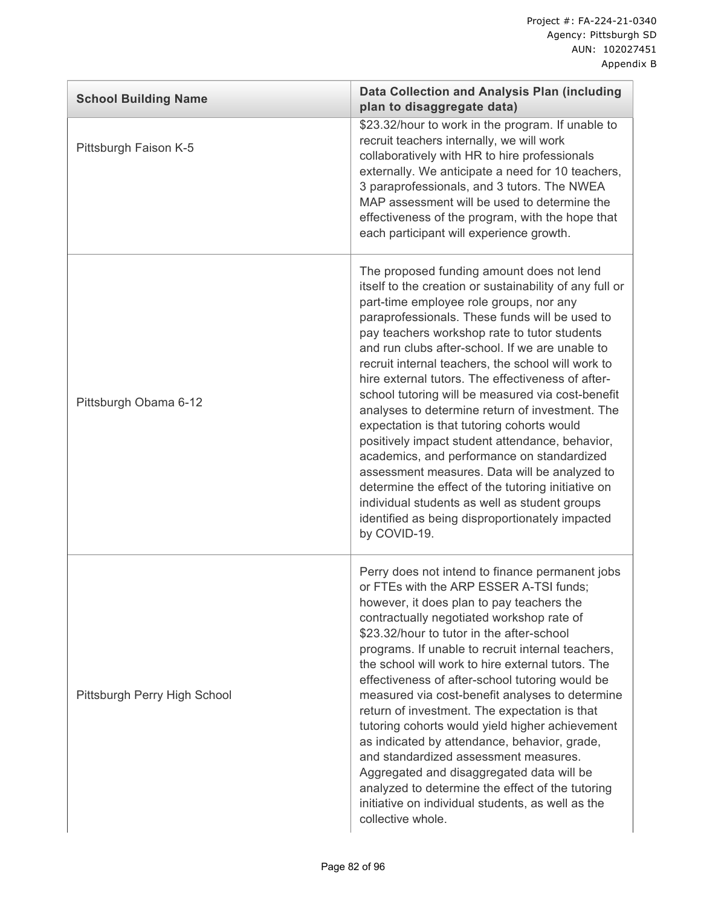| <b>School Building Name</b>  | <b>Data Collection and Analysis Plan (including</b><br>plan to disaggregate data)                                                                                                                                                                                                                                                                                                                                                                                                                                                                                                                                                                                                                                                                                                                                                                                                                 |
|------------------------------|---------------------------------------------------------------------------------------------------------------------------------------------------------------------------------------------------------------------------------------------------------------------------------------------------------------------------------------------------------------------------------------------------------------------------------------------------------------------------------------------------------------------------------------------------------------------------------------------------------------------------------------------------------------------------------------------------------------------------------------------------------------------------------------------------------------------------------------------------------------------------------------------------|
| Pittsburgh Faison K-5        | \$23.32/hour to work in the program. If unable to<br>recruit teachers internally, we will work<br>collaboratively with HR to hire professionals<br>externally. We anticipate a need for 10 teachers,<br>3 paraprofessionals, and 3 tutors. The NWEA<br>MAP assessment will be used to determine the<br>effectiveness of the program, with the hope that<br>each participant will experience growth.                                                                                                                                                                                                                                                                                                                                                                                                                                                                                               |
| Pittsburgh Obama 6-12        | The proposed funding amount does not lend<br>itself to the creation or sustainability of any full or<br>part-time employee role groups, nor any<br>paraprofessionals. These funds will be used to<br>pay teachers workshop rate to tutor students<br>and run clubs after-school. If we are unable to<br>recruit internal teachers, the school will work to<br>hire external tutors. The effectiveness of after-<br>school tutoring will be measured via cost-benefit<br>analyses to determine return of investment. The<br>expectation is that tutoring cohorts would<br>positively impact student attendance, behavior,<br>academics, and performance on standardized<br>assessment measures. Data will be analyzed to<br>determine the effect of the tutoring initiative on<br>individual students as well as student groups<br>identified as being disproportionately impacted<br>by COVID-19. |
| Pittsburgh Perry High School | Perry does not intend to finance permanent jobs<br>or FTEs with the ARP ESSER A-TSI funds;<br>however, it does plan to pay teachers the<br>contractually negotiated workshop rate of<br>\$23.32/hour to tutor in the after-school<br>programs. If unable to recruit internal teachers,<br>the school will work to hire external tutors. The<br>effectiveness of after-school tutoring would be<br>measured via cost-benefit analyses to determine<br>return of investment. The expectation is that<br>tutoring cohorts would yield higher achievement<br>as indicated by attendance, behavior, grade,<br>and standardized assessment measures.<br>Aggregated and disaggregated data will be<br>analyzed to determine the effect of the tutoring<br>initiative on individual students, as well as the<br>collective whole.                                                                         |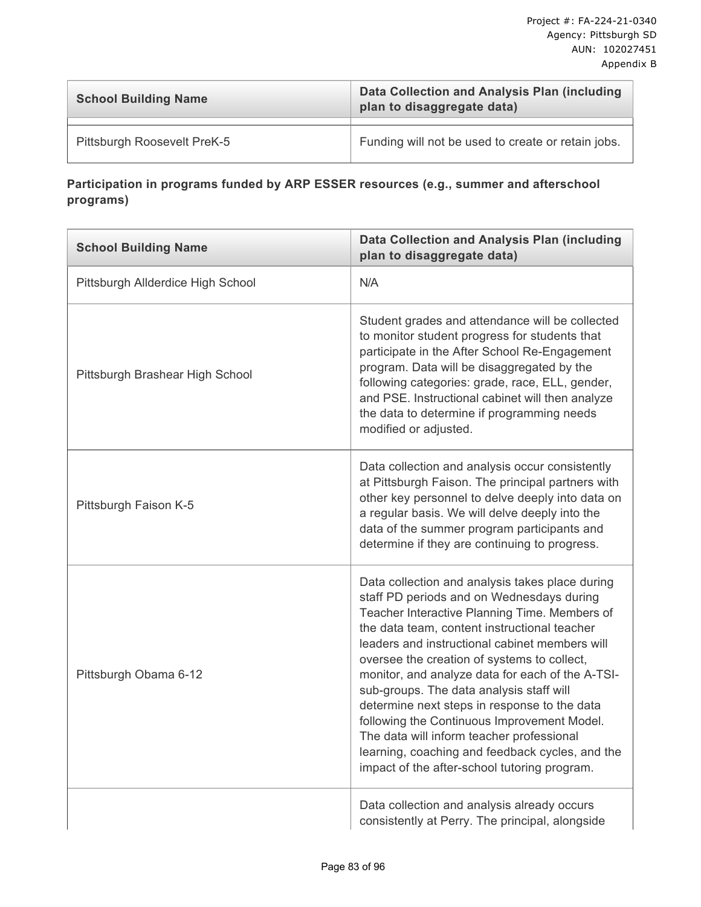| <b>School Building Name</b> | Data Collection and Analysis Plan (including<br>plan to disaggregate data) |  |
|-----------------------------|----------------------------------------------------------------------------|--|
|                             |                                                                            |  |
| Pittsburgh Roosevelt PreK-5 | Funding will not be used to create or retain jobs.                         |  |

### **Participation in programs funded by ARP ESSER resources (e.g., summer and afterschool programs)**

| <b>School Building Name</b>       | <b>Data Collection and Analysis Plan (including</b><br>plan to disaggregate data)                                                                                                                                                                                                                                                                                                                                                                                                                                                                                                                                                             |  |  |
|-----------------------------------|-----------------------------------------------------------------------------------------------------------------------------------------------------------------------------------------------------------------------------------------------------------------------------------------------------------------------------------------------------------------------------------------------------------------------------------------------------------------------------------------------------------------------------------------------------------------------------------------------------------------------------------------------|--|--|
| Pittsburgh Allderdice High School | N/A                                                                                                                                                                                                                                                                                                                                                                                                                                                                                                                                                                                                                                           |  |  |
| Pittsburgh Brashear High School   | Student grades and attendance will be collected<br>to monitor student progress for students that<br>participate in the After School Re-Engagement<br>program. Data will be disaggregated by the<br>following categories: grade, race, ELL, gender,<br>and PSE. Instructional cabinet will then analyze<br>the data to determine if programming needs<br>modified or adjusted.                                                                                                                                                                                                                                                                 |  |  |
| Pittsburgh Faison K-5             | Data collection and analysis occur consistently<br>at Pittsburgh Faison. The principal partners with<br>other key personnel to delve deeply into data on<br>a regular basis. We will delve deeply into the<br>data of the summer program participants and<br>determine if they are continuing to progress.                                                                                                                                                                                                                                                                                                                                    |  |  |
| Pittsburgh Obama 6-12             | Data collection and analysis takes place during<br>staff PD periods and on Wednesdays during<br>Teacher Interactive Planning Time. Members of<br>the data team, content instructional teacher<br>leaders and instructional cabinet members will<br>oversee the creation of systems to collect,<br>monitor, and analyze data for each of the A-TSI-<br>sub-groups. The data analysis staff will<br>determine next steps in response to the data<br>following the Continuous Improvement Model.<br>The data will inform teacher professional<br>learning, coaching and feedback cycles, and the<br>impact of the after-school tutoring program. |  |  |
|                                   | Data collection and analysis already occurs<br>consistently at Perry. The principal, alongside                                                                                                                                                                                                                                                                                                                                                                                                                                                                                                                                                |  |  |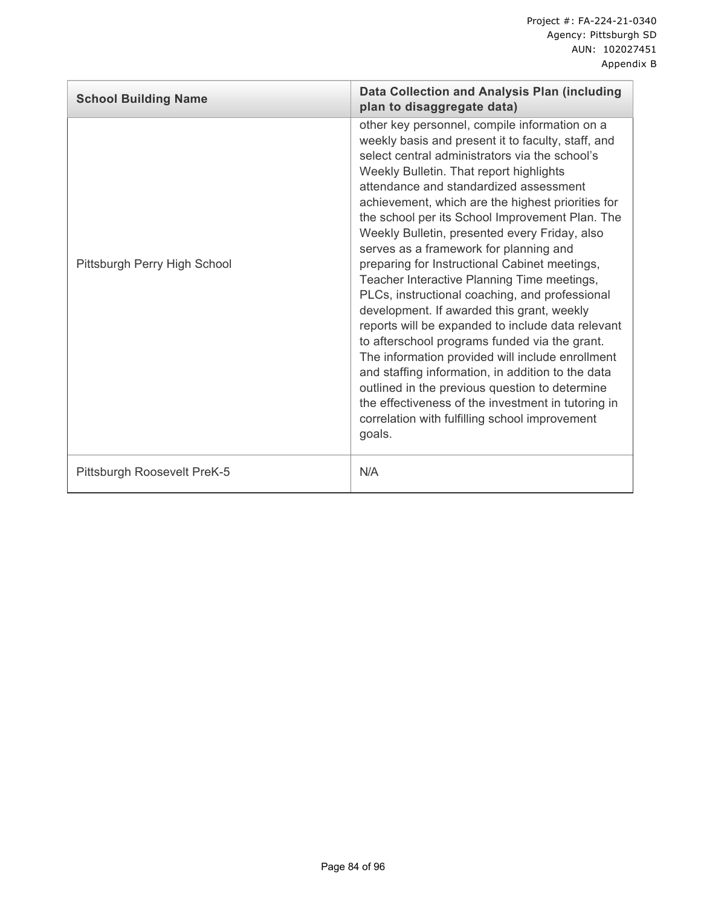| <b>School Building Name</b>  | Data Collection and Analysis Plan (including<br>plan to disaggregate data)                                                                                                                                                                                                                                                                                                                                                                                                                                                                                                                                                                                                                                                                                                                                                                                                                                                                                                                                                       |  |  |
|------------------------------|----------------------------------------------------------------------------------------------------------------------------------------------------------------------------------------------------------------------------------------------------------------------------------------------------------------------------------------------------------------------------------------------------------------------------------------------------------------------------------------------------------------------------------------------------------------------------------------------------------------------------------------------------------------------------------------------------------------------------------------------------------------------------------------------------------------------------------------------------------------------------------------------------------------------------------------------------------------------------------------------------------------------------------|--|--|
| Pittsburgh Perry High School | other key personnel, compile information on a<br>weekly basis and present it to faculty, staff, and<br>select central administrators via the school's<br>Weekly Bulletin. That report highlights<br>attendance and standardized assessment<br>achievement, which are the highest priorities for<br>the school per its School Improvement Plan. The<br>Weekly Bulletin, presented every Friday, also<br>serves as a framework for planning and<br>preparing for Instructional Cabinet meetings,<br>Teacher Interactive Planning Time meetings,<br>PLCs, instructional coaching, and professional<br>development. If awarded this grant, weekly<br>reports will be expanded to include data relevant<br>to afterschool programs funded via the grant.<br>The information provided will include enrollment<br>and staffing information, in addition to the data<br>outlined in the previous question to determine<br>the effectiveness of the investment in tutoring in<br>correlation with fulfilling school improvement<br>goals. |  |  |
| Pittsburgh Roosevelt PreK-5  | N/A                                                                                                                                                                                                                                                                                                                                                                                                                                                                                                                                                                                                                                                                                                                                                                                                                                                                                                                                                                                                                              |  |  |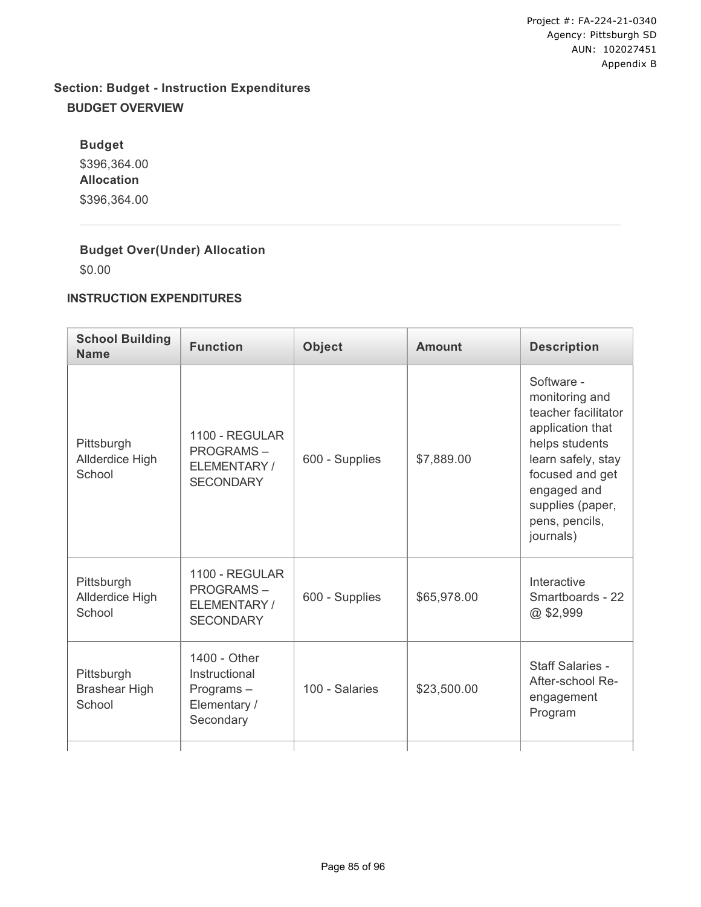# **Section: Budget - Instruction Expenditures BUDGET OVERVIEW**

**Budget** \$396,364.00 **Allocation** \$396,364.00

## **Budget Over(Under) Allocation**

\$0.00

#### **INSTRUCTION EXPENDITURES**

| <b>School Building</b><br><b>Name</b>        | <b>Function</b>                                                         | <b>Object</b>  | <b>Amount</b> | <b>Description</b>                                                                                                                                                                                   |
|----------------------------------------------|-------------------------------------------------------------------------|----------------|---------------|------------------------------------------------------------------------------------------------------------------------------------------------------------------------------------------------------|
| Pittsburgh<br>Allderdice High<br>School      | 1100 - REGULAR<br><b>PROGRAMS-</b><br>ELEMENTARY/<br><b>SECONDARY</b>   | 600 - Supplies | \$7,889.00    | Software -<br>monitoring and<br>teacher facilitator<br>application that<br>helps students<br>learn safely, stay<br>focused and get<br>engaged and<br>supplies (paper,<br>pens, pencils,<br>journals) |
| Pittsburgh<br>Allderdice High<br>School      | 1100 - REGULAR<br><b>PROGRAMS-</b><br>ELEMENTARY/<br><b>SECONDARY</b>   | 600 - Supplies | \$65,978.00   | Interactive<br>Smartboards - 22<br>@\$2,999                                                                                                                                                          |
| Pittsburgh<br><b>Brashear High</b><br>School | 1400 - Other<br>Instructional<br>Programs-<br>Elementary /<br>Secondary | 100 - Salaries | \$23,500.00   | <b>Staff Salaries -</b><br>After-school Re-<br>engagement<br>Program                                                                                                                                 |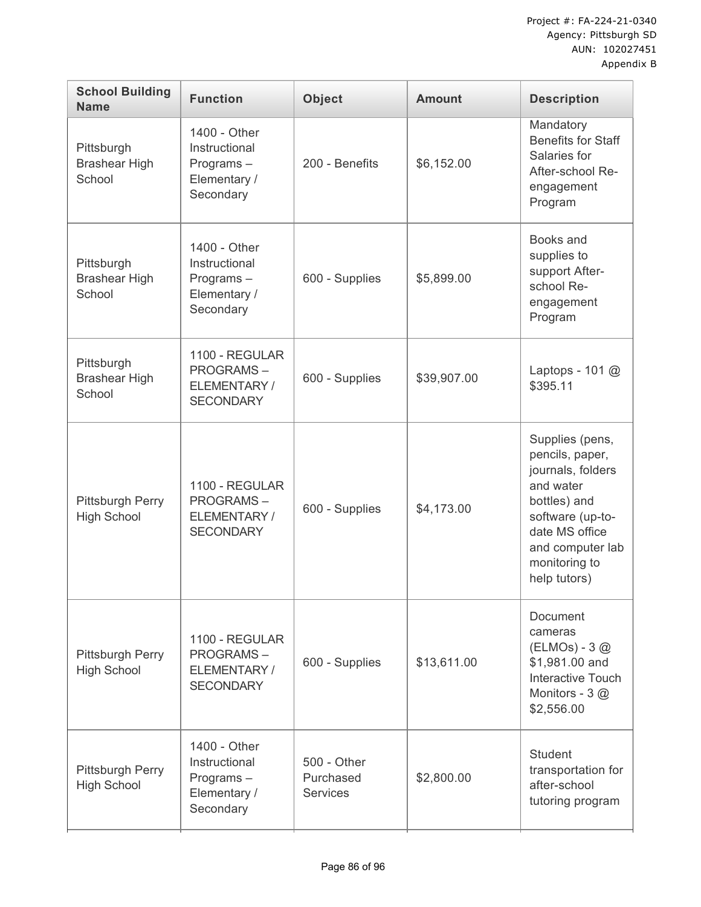| <b>School Building</b><br><b>Name</b>         | <b>Function</b>                                                         | <b>Object</b>                               | <b>Amount</b> | <b>Description</b>                                                                                                                                                              |
|-----------------------------------------------|-------------------------------------------------------------------------|---------------------------------------------|---------------|---------------------------------------------------------------------------------------------------------------------------------------------------------------------------------|
| Pittsburgh<br><b>Brashear High</b><br>School  | 1400 - Other<br>Instructional<br>Programs-<br>Elementary /<br>Secondary | 200 - Benefits                              | \$6,152.00    | Mandatory<br><b>Benefits for Staff</b><br>Salaries for<br>After-school Re-<br>engagement<br>Program                                                                             |
| Pittsburgh<br><b>Brashear High</b><br>School  | 1400 - Other<br>Instructional<br>Programs-<br>Elementary /<br>Secondary | 600 - Supplies                              | \$5,899.00    | Books and<br>supplies to<br>support After-<br>school Re-<br>engagement<br>Program                                                                                               |
| Pittsburgh<br><b>Brashear High</b><br>School  | 1100 - REGULAR<br><b>PROGRAMS-</b><br>ELEMENTARY/<br><b>SECONDARY</b>   | 600 - Supplies                              | \$39,907.00   | Laptops - 101 @<br>\$395.11                                                                                                                                                     |
| <b>Pittsburgh Perry</b><br><b>High School</b> | 1100 - REGULAR<br><b>PROGRAMS-</b><br>ELEMENTARY/<br><b>SECONDARY</b>   | 600 - Supplies                              | \$4,173.00    | Supplies (pens,<br>pencils, paper,<br>journals, folders<br>and water<br>bottles) and<br>software (up-to-<br>date MS office<br>and computer lab<br>monitoring to<br>help tutors) |
| <b>Pittsburgh Perry</b><br><b>High School</b> | 1100 - REGULAR<br><b>PROGRAMS-</b><br>ELEMENTARY/<br><b>SECONDARY</b>   | 600 - Supplies                              | \$13,611.00   | <b>Document</b><br>cameras<br>(ELMOs) - 3 @<br>\$1,981.00 and<br>Interactive Touch<br>Monitors - 3@<br>\$2,556.00                                                               |
| <b>Pittsburgh Perry</b><br><b>High School</b> | 1400 - Other<br>Instructional<br>Programs-<br>Elementary /<br>Secondary | 500 - Other<br>Purchased<br><b>Services</b> | \$2,800.00    | <b>Student</b><br>transportation for<br>after-school<br>tutoring program                                                                                                        |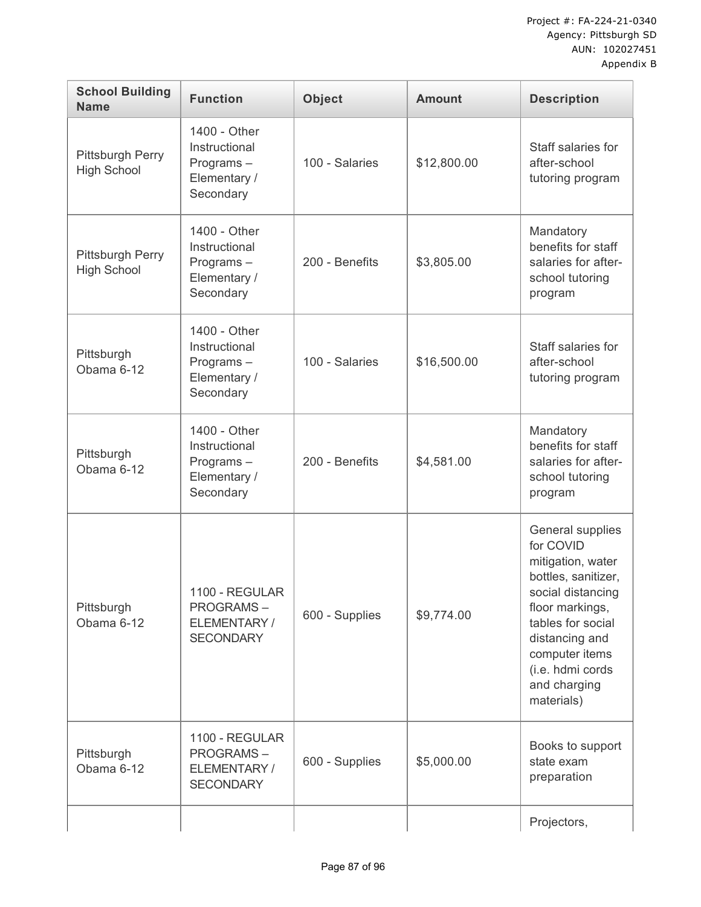| <b>School Building</b><br><b>Name</b>  | <b>Function</b>                                                         | <b>Object</b>  | <b>Amount</b> | <b>Description</b>                                                                                                                                                                                                           |
|----------------------------------------|-------------------------------------------------------------------------|----------------|---------------|------------------------------------------------------------------------------------------------------------------------------------------------------------------------------------------------------------------------------|
| Pittsburgh Perry<br><b>High School</b> | 1400 - Other<br>Instructional<br>Programs-<br>Elementary /<br>Secondary | 100 - Salaries | \$12,800.00   | Staff salaries for<br>after-school<br>tutoring program                                                                                                                                                                       |
| Pittsburgh Perry<br><b>High School</b> | 1400 - Other<br>Instructional<br>Programs-<br>Elementary /<br>Secondary | 200 - Benefits | \$3,805.00    | Mandatory<br>benefits for staff<br>salaries for after-<br>school tutoring<br>program                                                                                                                                         |
| Pittsburgh<br>Obama 6-12               | 1400 - Other<br>Instructional<br>Programs-<br>Elementary /<br>Secondary | 100 - Salaries | \$16,500.00   | Staff salaries for<br>after-school<br>tutoring program                                                                                                                                                                       |
| Pittsburgh<br>Obama 6-12               | 1400 - Other<br>Instructional<br>Programs-<br>Elementary /<br>Secondary | 200 - Benefits | \$4,581.00    | Mandatory<br>benefits for staff<br>salaries for after-<br>school tutoring<br>program                                                                                                                                         |
| Pittsburgh<br>Obama 6-12               | 1100 - REGULAR<br><b>PROGRAMS-</b><br>ELEMENTARY /<br><b>SECONDARY</b>  | 600 - Supplies | \$9,774.00    | General supplies<br>for COVID<br>mitigation, water<br>bottles, sanitizer,<br>social distancing<br>floor markings,<br>tables for social<br>distancing and<br>computer items<br>(i.e. hdmi cords<br>and charging<br>materials) |
| Pittsburgh<br>Obama 6-12               | 1100 - REGULAR<br><b>PROGRAMS-</b><br>ELEMENTARY /<br><b>SECONDARY</b>  | 600 - Supplies | \$5,000.00    | Books to support<br>state exam<br>preparation                                                                                                                                                                                |
|                                        |                                                                         |                |               | Projectors,                                                                                                                                                                                                                  |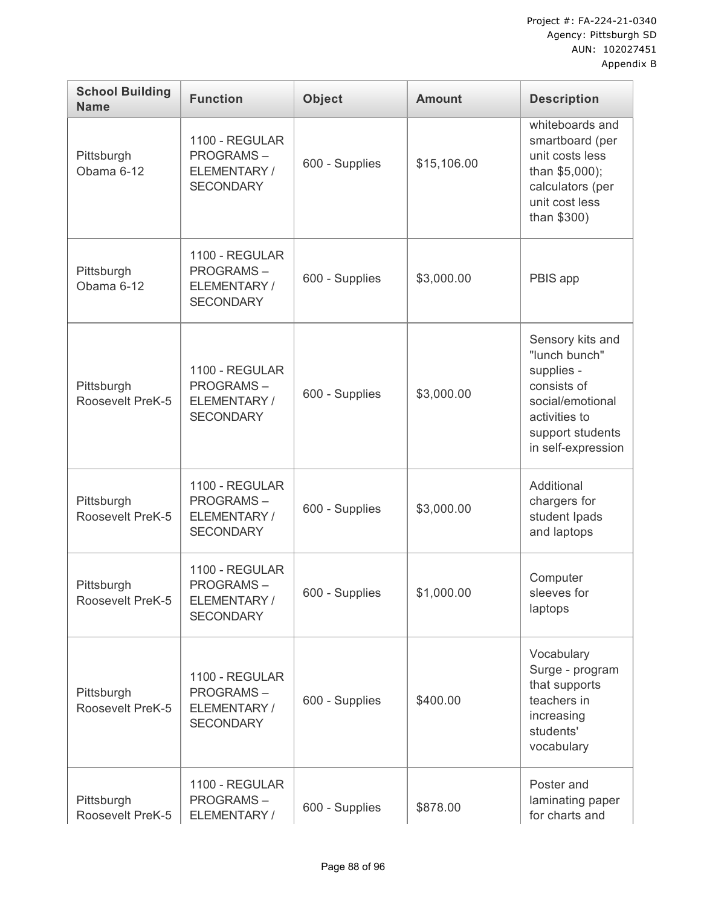| <b>School Building</b><br><b>Name</b> | <b>Function</b>                                                        | <b>Object</b>  | <b>Amount</b> | <b>Description</b>                                                                                                                            |
|---------------------------------------|------------------------------------------------------------------------|----------------|---------------|-----------------------------------------------------------------------------------------------------------------------------------------------|
| Pittsburgh<br>Obama 6-12              | 1100 - REGULAR<br><b>PROGRAMS-</b><br>ELEMENTARY/<br><b>SECONDARY</b>  | 600 - Supplies | \$15,106.00   | whiteboards and<br>smartboard (per<br>unit costs less<br>than \$5,000);<br>calculators (per<br>unit cost less<br>than \$300)                  |
| Pittsburgh<br>Obama 6-12              | 1100 - REGULAR<br><b>PROGRAMS-</b><br>ELEMENTARY/<br><b>SECONDARY</b>  | 600 - Supplies | \$3,000.00    | PBIS app                                                                                                                                      |
| Pittsburgh<br>Roosevelt PreK-5        | 1100 - REGULAR<br><b>PROGRAMS-</b><br>ELEMENTARY/<br><b>SECONDARY</b>  | 600 - Supplies | \$3,000.00    | Sensory kits and<br>"lunch bunch"<br>supplies -<br>consists of<br>social/emotional<br>activities to<br>support students<br>in self-expression |
| Pittsburgh<br>Roosevelt PreK-5        | 1100 - REGULAR<br><b>PROGRAMS-</b><br>ELEMENTARY/<br><b>SECONDARY</b>  | 600 - Supplies | \$3,000.00    | Additional<br>chargers for<br>student Ipads<br>and laptops                                                                                    |
| Pittsburgh<br>Roosevelt PreK-5        | 1100 - REGULAR<br><b>PROGRAMS-</b><br>ELEMENTARY /<br><b>SECONDARY</b> | 600 - Supplies | \$1,000.00    | Computer<br>sleeves for<br>laptops                                                                                                            |
| Pittsburgh<br>Roosevelt PreK-5        | 1100 - REGULAR<br><b>PROGRAMS-</b><br>ELEMENTARY /<br><b>SECONDARY</b> | 600 - Supplies | \$400.00      | Vocabulary<br>Surge - program<br>that supports<br>teachers in<br>increasing<br>students'<br>vocabulary                                        |
| Pittsburgh<br>Roosevelt PreK-5        | 1100 - REGULAR<br><b>PROGRAMS-</b><br>ELEMENTARY /                     | 600 - Supplies | \$878.00      | Poster and<br>laminating paper<br>for charts and                                                                                              |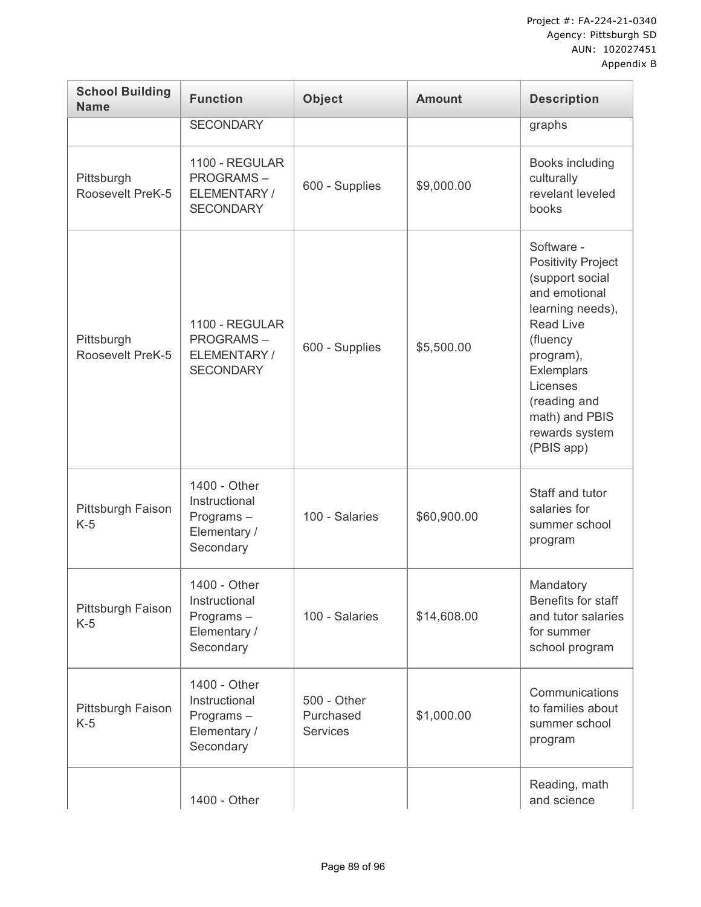| <b>School Building</b><br><b>Name</b> | <b>Function</b>                                                         | <b>Object</b>                               | <b>Amount</b> | <b>Description</b>                                                                                                                                                                                                                       |
|---------------------------------------|-------------------------------------------------------------------------|---------------------------------------------|---------------|------------------------------------------------------------------------------------------------------------------------------------------------------------------------------------------------------------------------------------------|
|                                       | <b>SECONDARY</b>                                                        |                                             |               | graphs                                                                                                                                                                                                                                   |
| Pittsburgh<br>Roosevelt PreK-5        | 1100 - REGULAR<br><b>PROGRAMS-</b><br>ELEMENTARY/<br><b>SECONDARY</b>   | 600 - Supplies                              | \$9,000.00    | Books including<br>culturally<br>revelant leveled<br>books                                                                                                                                                                               |
| Pittsburgh<br>Roosevelt PreK-5        | 1100 - REGULAR<br><b>PROGRAMS-</b><br>ELEMENTARY /<br><b>SECONDARY</b>  | 600 - Supplies                              | \$5,500.00    | Software -<br><b>Positivity Project</b><br>(support social<br>and emotional<br>learning needs),<br><b>Read Live</b><br>(fluency<br>program),<br>Exlemplars<br>Licenses<br>(reading and<br>math) and PBIS<br>rewards system<br>(PBIS app) |
| Pittsburgh Faison<br>$K-5$            | 1400 - Other<br>Instructional<br>Programs-<br>Elementary /<br>Secondary | 100 - Salaries                              | \$60,900.00   | Staff and tutor<br>salaries for<br>summer school<br>program                                                                                                                                                                              |
| Pittsburgh Faison<br>$K-5$            | 1400 - Other<br>Instructional<br>Programs-<br>Elementary /<br>Secondary | 100 - Salaries                              | \$14,608.00   | Mandatory<br>Benefits for staff<br>and tutor salaries<br>for summer<br>school program                                                                                                                                                    |
| Pittsburgh Faison<br>$K-5$            | 1400 - Other<br>Instructional<br>Programs-<br>Elementary /<br>Secondary | 500 - Other<br>Purchased<br><b>Services</b> | \$1,000.00    | Communications<br>to families about<br>summer school<br>program                                                                                                                                                                          |
|                                       | 1400 - Other                                                            |                                             |               | Reading, math<br>and science                                                                                                                                                                                                             |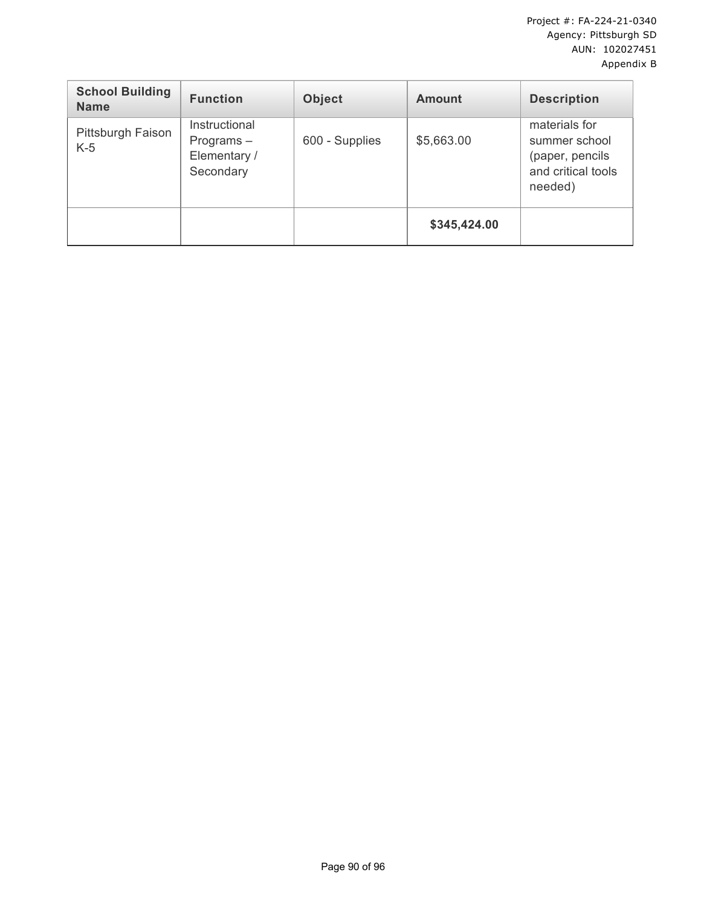| <b>School Building</b><br><b>Name</b> | <b>Function</b>                                            | <b>Object</b>  | <b>Amount</b> | <b>Description</b>                                                                 |
|---------------------------------------|------------------------------------------------------------|----------------|---------------|------------------------------------------------------------------------------------|
| Pittsburgh Faison<br>$K-5$            | Instructional<br>$Programs -$<br>Elementary /<br>Secondary | 600 - Supplies | \$5,663.00    | materials for<br>summer school<br>(paper, pencils<br>and critical tools<br>needed) |
|                                       |                                                            |                | \$345,424.00  |                                                                                    |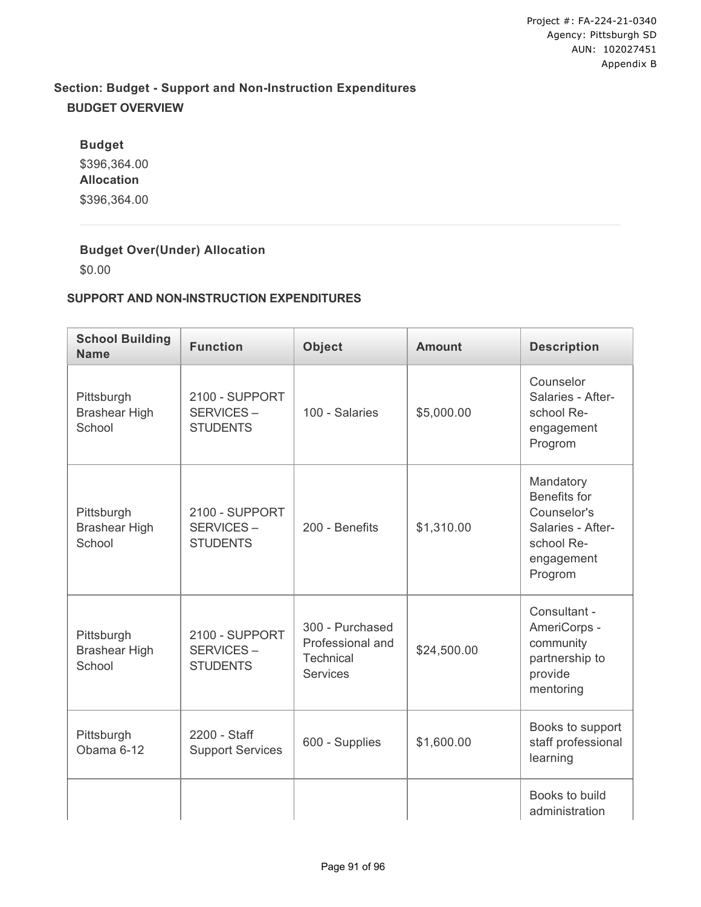# **Section: Budget - Support and Non-Instruction Expenditures BUDGET OVERVIEW**

**Budget** \$396,364.00 **Allocation** \$396,364.00

## **Budget Over(Under) Allocation**

\$0.00

### **SUPPORT AND NON-INSTRUCTION EXPENDITURES**

| <b>School Building</b><br><b>Name</b>        | <b>Function</b>                                | <b>Object</b>                                                       | <b>Amount</b> | <b>Description</b>                                                                                   |
|----------------------------------------------|------------------------------------------------|---------------------------------------------------------------------|---------------|------------------------------------------------------------------------------------------------------|
| Pittsburgh<br><b>Brashear High</b><br>School | 2100 - SUPPORT<br>SERVICES-<br><b>STUDENTS</b> | 100 - Salaries                                                      | \$5,000.00    | Counselor<br>Salaries - After-<br>school Re-<br>engagement<br>Progrom                                |
| Pittsburgh<br><b>Brashear High</b><br>School | 2100 - SUPPORT<br>SERVICES-<br><b>STUDENTS</b> | 200 - Benefits                                                      | \$1,310.00    | Mandatory<br>Benefits for<br>Counselor's<br>Salaries - After-<br>school Re-<br>engagement<br>Progrom |
| Pittsburgh<br><b>Brashear High</b><br>School | 2100 - SUPPORT<br>SERVICES-<br><b>STUDENTS</b> | 300 - Purchased<br>Professional and<br>Technical<br><b>Services</b> | \$24,500.00   | Consultant -<br>AmeriCorps -<br>community<br>partnership to<br>provide<br>mentoring                  |
| Pittsburgh<br>Obama 6-12                     | 2200 - Staff<br><b>Support Services</b>        | 600 - Supplies                                                      | \$1,600.00    | Books to support<br>staff professional<br>learning                                                   |
|                                              |                                                |                                                                     |               | Books to build<br>administration                                                                     |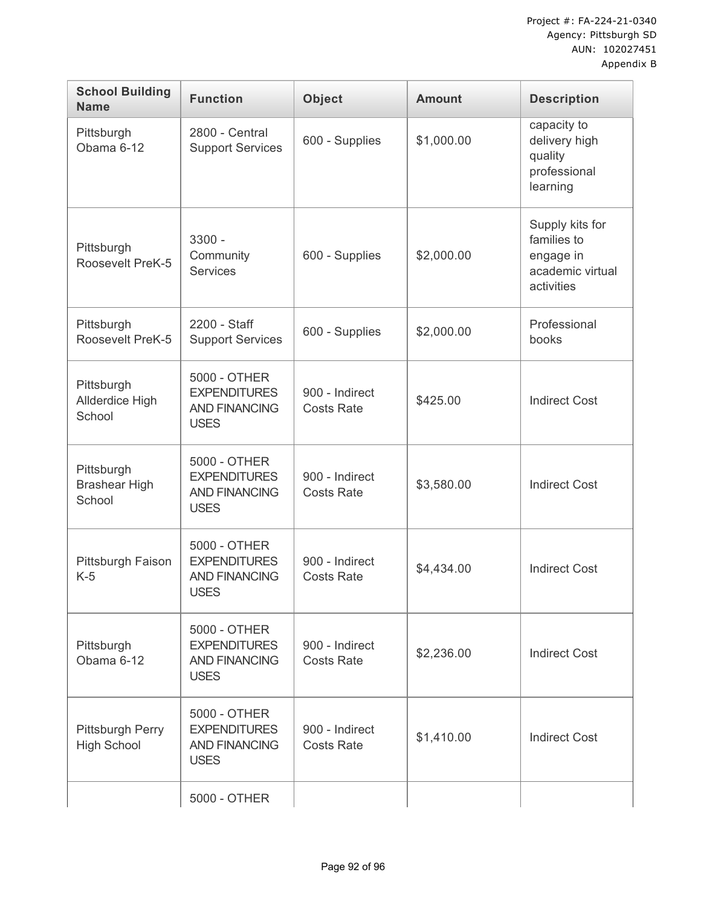| <b>School Building</b><br><b>Name</b>        | <b>Function</b>                                                            | <b>Object</b>                       | <b>Amount</b> | <b>Description</b>                                                            |
|----------------------------------------------|----------------------------------------------------------------------------|-------------------------------------|---------------|-------------------------------------------------------------------------------|
| Pittsburgh<br>Obama 6-12                     | 2800 - Central<br><b>Support Services</b>                                  | 600 - Supplies                      | \$1,000.00    | capacity to<br>delivery high<br>quality<br>professional<br>learning           |
| Pittsburgh<br>Roosevelt PreK-5               | $3300 -$<br>Community<br><b>Services</b>                                   | 600 - Supplies                      | \$2,000.00    | Supply kits for<br>families to<br>engage in<br>academic virtual<br>activities |
| Pittsburgh<br>Roosevelt PreK-5               | 2200 - Staff<br><b>Support Services</b>                                    | 600 - Supplies                      | \$2,000.00    | Professional<br>books                                                         |
| Pittsburgh<br>Allderdice High<br>School      | 5000 - OTHER<br><b>EXPENDITURES</b><br><b>AND FINANCING</b><br><b>USES</b> | 900 - Indirect<br><b>Costs Rate</b> | \$425.00      | <b>Indirect Cost</b>                                                          |
| Pittsburgh<br><b>Brashear High</b><br>School | 5000 - OTHER<br><b>EXPENDITURES</b><br><b>AND FINANCING</b><br><b>USES</b> | 900 - Indirect<br><b>Costs Rate</b> | \$3,580.00    | <b>Indirect Cost</b>                                                          |
| Pittsburgh Faison<br>$K-5$                   | 5000 - OTHER<br><b>EXPENDITURES</b><br><b>AND FINANCING</b><br><b>USES</b> | 900 - Indirect<br><b>Costs Rate</b> | \$4,434.00    | <b>Indirect Cost</b>                                                          |
| Pittsburgh<br>Obama 6-12                     | 5000 - OTHER<br><b>EXPENDITURES</b><br><b>AND FINANCING</b><br><b>USES</b> | 900 - Indirect<br><b>Costs Rate</b> | \$2,236.00    | <b>Indirect Cost</b>                                                          |
| Pittsburgh Perry<br><b>High School</b>       | 5000 - OTHER<br><b>EXPENDITURES</b><br><b>AND FINANCING</b><br><b>USES</b> | 900 - Indirect<br><b>Costs Rate</b> | \$1,410.00    | <b>Indirect Cost</b>                                                          |
|                                              | 5000 - OTHER                                                               |                                     |               |                                                                               |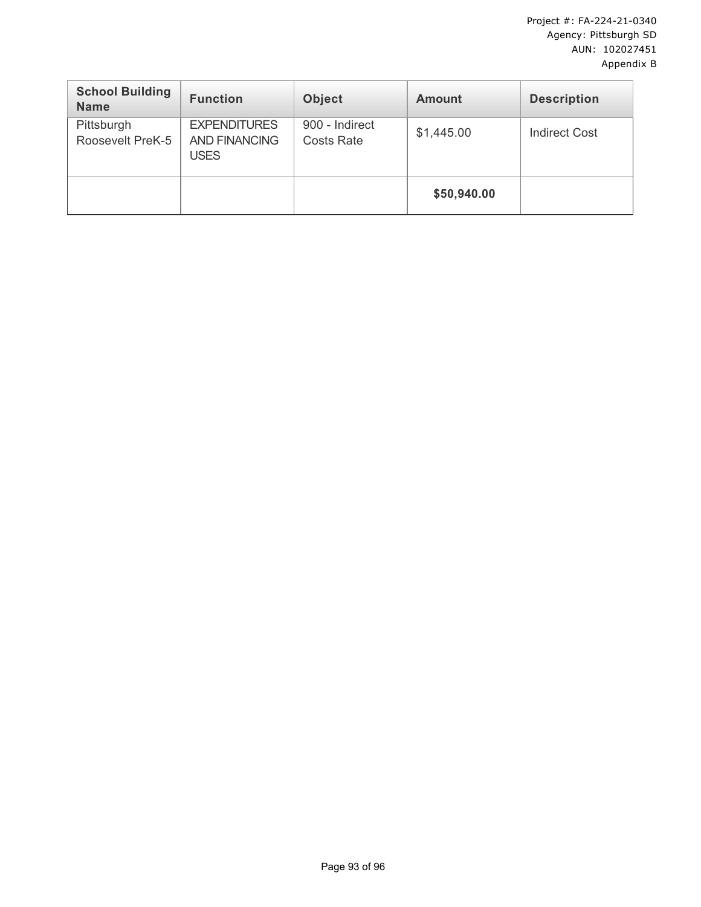| <b>School Building</b><br><b>Name</b> | <b>Function</b>                                            | <b>Object</b>                       | <b>Amount</b> | <b>Description</b>   |
|---------------------------------------|------------------------------------------------------------|-------------------------------------|---------------|----------------------|
| Pittsburgh<br>Roosevelt PreK-5        | <b>EXPENDITURES</b><br><b>AND FINANCING</b><br><b>USES</b> | 900 - Indirect<br><b>Costs Rate</b> | \$1,445.00    | <b>Indirect Cost</b> |
|                                       |                                                            |                                     | \$50,940.00   |                      |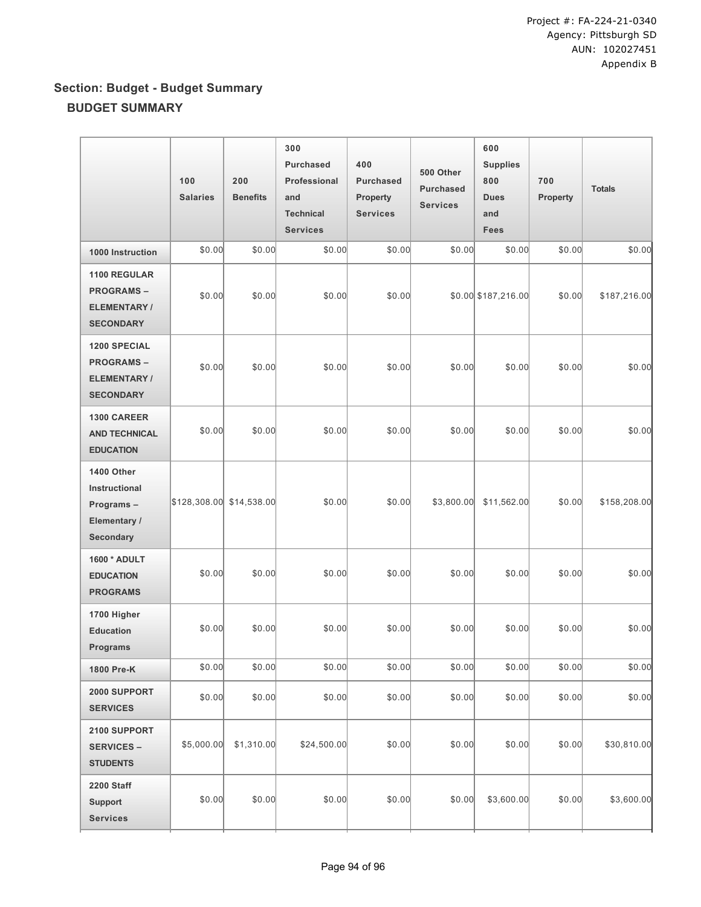# **Section: Budget - Budget Summary BUDGET SUMMARY**

|                                                                                   | 100<br><b>Salaries</b>   | 200<br><b>Benefits</b> | 300<br><b>Purchased</b><br>Professional<br>and<br><b>Technical</b><br><b>Services</b> | 400<br><b>Purchased</b><br>Property<br><b>Services</b> | 500 Other<br><b>Purchased</b><br><b>Services</b> | 600<br><b>Supplies</b><br>800<br><b>Dues</b><br>and<br><b>Fees</b> | 700<br>Property | <b>Totals</b> |
|-----------------------------------------------------------------------------------|--------------------------|------------------------|---------------------------------------------------------------------------------------|--------------------------------------------------------|--------------------------------------------------|--------------------------------------------------------------------|-----------------|---------------|
| 1000 Instruction                                                                  | \$0.00                   | \$0.00                 | \$0.00                                                                                | \$0.00                                                 | \$0.00                                           | \$0.00                                                             | \$0.00          | \$0.00        |
| <b>1100 REGULAR</b><br><b>PROGRAMS-</b><br><b>ELEMENTARY/</b><br><b>SECONDARY</b> | \$0.00                   | \$0.00                 | \$0.00                                                                                | \$0.00                                                 |                                                  | \$0.00 \$187,216.00                                                | \$0.00          | \$187,216.00  |
| <b>1200 SPECIAL</b><br><b>PROGRAMS-</b><br><b>ELEMENTARY/</b><br><b>SECONDARY</b> | \$0.00                   | \$0.00                 | \$0.00                                                                                | \$0.00                                                 | \$0.00                                           | \$0.00                                                             | \$0.00          | \$0.00        |
| <b>1300 CAREER</b><br><b>AND TECHNICAL</b><br><b>EDUCATION</b>                    | \$0.00                   | \$0.00                 | \$0.00                                                                                | \$0.00                                                 | \$0.00                                           | \$0.00                                                             | \$0.00          | \$0.00        |
| 1400 Other<br>Instructional<br>Programs-<br>Elementary /<br><b>Secondary</b>      | \$128,308.00 \$14,538.00 |                        | \$0.00                                                                                | \$0.00                                                 | \$3,800.00                                       | \$11,562.00                                                        | \$0.00          | \$158,208.00  |
| 1600 * ADULT<br><b>EDUCATION</b><br><b>PROGRAMS</b>                               | \$0.00                   | \$0.00                 | \$0.00                                                                                | \$0.00                                                 | \$0.00                                           | \$0.00                                                             | \$0.00          | \$0.00        |
| 1700 Higher<br><b>Education</b><br>Programs                                       | \$0.00                   | \$0.00                 | \$0.00                                                                                | \$0.00                                                 | \$0.00                                           | \$0.00                                                             | \$0.00          | \$0.00        |
| 1800 Pre-K                                                                        | \$0.00                   | \$0.00                 | \$0.00                                                                                | \$0.00                                                 | \$0.00                                           | \$0.00                                                             | \$0.00          | \$0.00        |
| 2000 SUPPORT<br><b>SERVICES</b>                                                   | \$0.00                   | \$0.00                 | \$0.00                                                                                | \$0.00                                                 | \$0.00                                           | \$0.00                                                             | \$0.00          | \$0.00        |
| 2100 SUPPORT<br><b>SERVICES -</b><br><b>STUDENTS</b>                              | \$5,000.00               | \$1,310.00             | \$24,500.00                                                                           | \$0.00                                                 | \$0.00                                           | \$0.00                                                             | \$0.00          | \$30,810.00   |
| <b>2200 Staff</b><br><b>Support</b><br><b>Services</b>                            | \$0.00                   | \$0.00                 | \$0.00                                                                                | \$0.00                                                 | \$0.00                                           | \$3,600.00                                                         | \$0.00          | \$3,600.00    |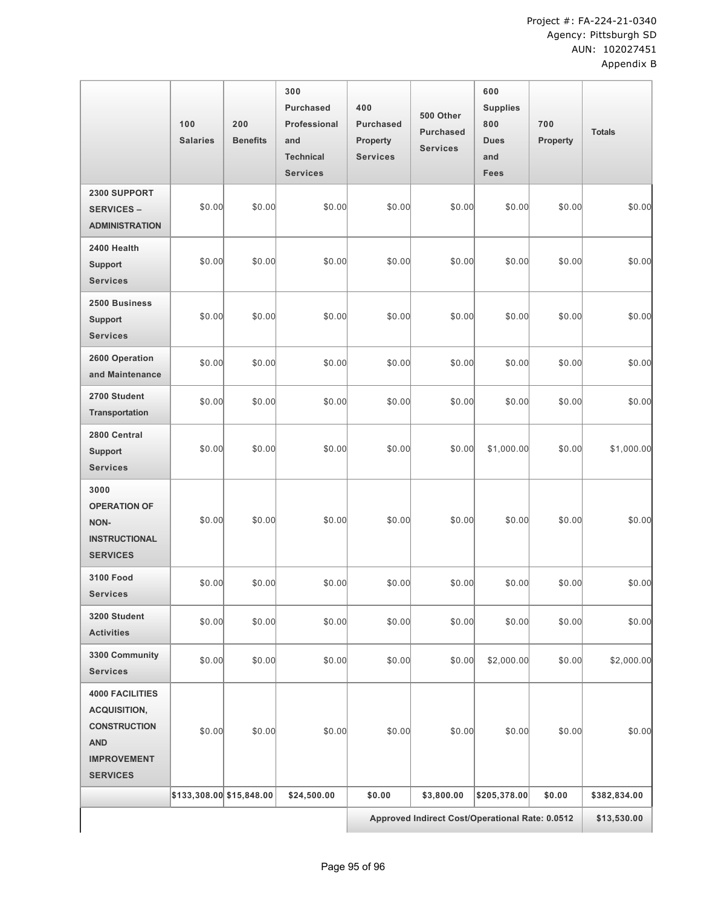|                                                                                                                             | 100<br><b>Salaries</b>   | 200<br><b>Benefits</b> | 300<br><b>Purchased</b><br>Professional<br>and<br><b>Technical</b><br><b>Services</b> | 400<br><b>Purchased</b><br><b>Property</b><br><b>Services</b> | 500 Other<br><b>Purchased</b><br><b>Services</b> | 600<br><b>Supplies</b><br>800<br><b>Dues</b><br>and<br><b>Fees</b> | 700<br>Property | <b>Totals</b> |
|-----------------------------------------------------------------------------------------------------------------------------|--------------------------|------------------------|---------------------------------------------------------------------------------------|---------------------------------------------------------------|--------------------------------------------------|--------------------------------------------------------------------|-----------------|---------------|
| 2300 SUPPORT<br><b>SERVICES -</b><br><b>ADMINISTRATION</b>                                                                  | \$0.00                   | \$0.00                 | \$0.00                                                                                | \$0.00                                                        | \$0.00                                           | \$0.00                                                             | \$0.00          | \$0.00        |
| 2400 Health<br><b>Support</b><br><b>Services</b>                                                                            | \$0.00                   | \$0.00                 | \$0.00                                                                                | \$0.00                                                        | \$0.00                                           | \$0.00                                                             | \$0.00          | \$0.00        |
| 2500 Business<br><b>Support</b><br><b>Services</b>                                                                          | \$0.00                   | \$0.00                 | \$0.00                                                                                | \$0.00                                                        | \$0.00                                           | \$0.00                                                             | \$0.00          | \$0.00        |
| 2600 Operation<br>and Maintenance                                                                                           | \$0.00                   | \$0.00                 | \$0.00                                                                                | \$0.00                                                        | \$0.00                                           | \$0.00                                                             | \$0.00          | \$0.00        |
| 2700 Student<br><b>Transportation</b>                                                                                       | \$0.00                   | \$0.00                 | \$0.00                                                                                | \$0.00                                                        | \$0.00                                           | \$0.00                                                             | \$0.00          | \$0.00        |
| 2800 Central<br><b>Support</b><br><b>Services</b>                                                                           | \$0.00                   | \$0.00                 | \$0.00                                                                                | \$0.00                                                        | \$0.00                                           | \$1,000.00                                                         | \$0.00          | \$1,000.00    |
| 3000<br><b>OPERATION OF</b><br>NON-<br><b>INSTRUCTIONAL</b><br><b>SERVICES</b>                                              | \$0.00                   | \$0.00                 | \$0.00                                                                                | \$0.00                                                        | \$0.00                                           | \$0.00                                                             | \$0.00          | \$0.00        |
| <b>3100 Food</b><br><b>Services</b>                                                                                         | \$0.00                   | \$0.00                 | \$0.00                                                                                | \$0.00                                                        | \$0.00                                           | \$0.00                                                             | \$0.00          | \$0.00        |
| 3200 Student<br><b>Activities</b>                                                                                           | \$0.00                   | \$0.00                 | \$0.00                                                                                | \$0.00                                                        | \$0.00                                           | \$0.00                                                             | \$0.00          | \$0.00        |
| 3300 Community<br><b>Services</b>                                                                                           | \$0.00                   | \$0.00                 | \$0.00                                                                                | \$0.00                                                        | \$0.00                                           | \$2,000.00                                                         | \$0.00          | \$2,000.00    |
| <b>4000 FACILITIES</b><br><b>ACQUISITION,</b><br><b>CONSTRUCTION</b><br><b>AND</b><br><b>IMPROVEMENT</b><br><b>SERVICES</b> | \$0.00                   | \$0.00                 | \$0.00                                                                                | \$0.00                                                        | \$0.00                                           | \$0.00                                                             | \$0.00          | \$0.00        |
|                                                                                                                             | \$133,308.00 \$15,848.00 |                        | \$24,500.00                                                                           | \$0.00                                                        | \$3,800.00                                       | \$205,378.00                                                       | \$0.00          | \$382,834.00  |
|                                                                                                                             |                          |                        |                                                                                       | Approved Indirect Cost/Operational Rate: 0.0512               |                                                  |                                                                    |                 | \$13,530.00   |